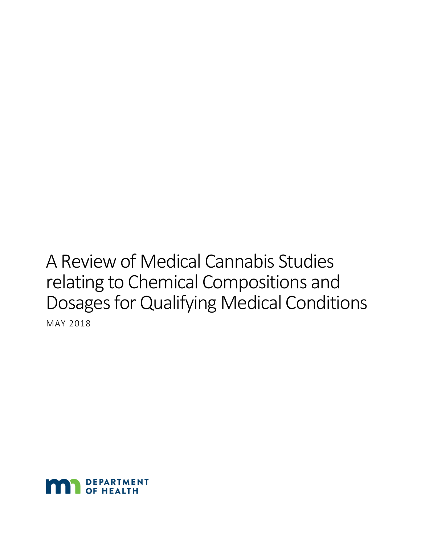# A Review of Medical Cannabis Studies relating to Chemical Compositions and Dosages for Qualifying Medical Conditions

MAY 2018

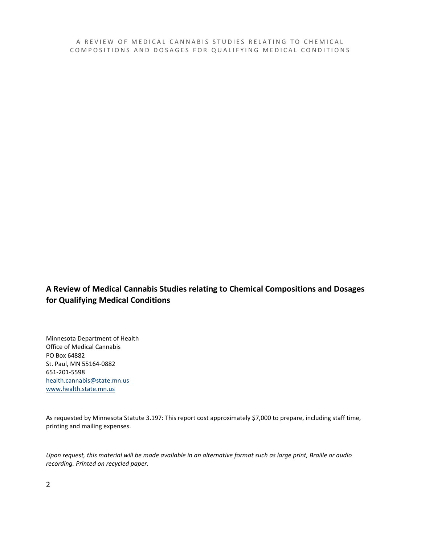A REVIEW OF MEDICAL CANNABIS STUDIES RELATING TO CHEMICAL COMPOSITIONS AND DOS AGES FOR QUALIFYING MEDICAL CONDITIONS

#### **A Review of Medical Cannabis Studies relating to Chemical Compositions and Dosages for Qualifying Medical Conditions**

Minnesota Department of Health Office of Medical Cannabis PO Box 64882 St. Paul, MN 55164-0882 651-201-5598 [health.cannabis@state.mn.us](mailto:health.cannabis@state.mn.us) [www.health.state.mn.us](http://www.health.state.mn.us/)

As requested by Minnesota Statute 3.197: This report cost approximately \$7,000 to prepare, including staff time, printing and mailing expenses.

*Upon request, this material will be made available in an alternative format such as large print, Braille or audio recording. Printed on recycled paper.*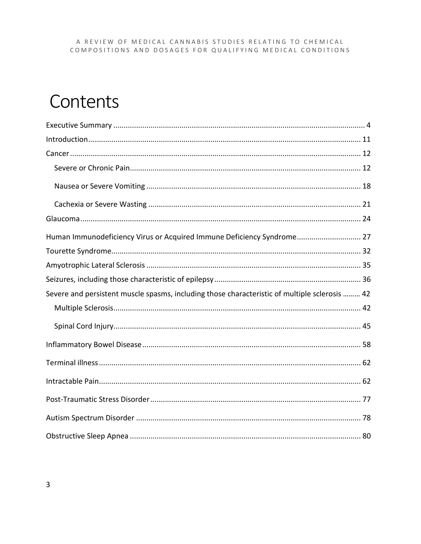#### A REVIEW OF MEDICAL CANNABIS STUDIES RELATING TO CHEMICAL COMPOSITIONS AND DOSAGES FOR QUALIFYING MEDICAL CONDITIONS

## Contents

| Human Immunodeficiency Virus or Acquired Immune Deficiency Syndrome 27                        |
|-----------------------------------------------------------------------------------------------|
|                                                                                               |
|                                                                                               |
|                                                                                               |
| Severe and persistent muscle spasms, including those characteristic of multiple sclerosis  42 |
|                                                                                               |
|                                                                                               |
|                                                                                               |
|                                                                                               |
|                                                                                               |
|                                                                                               |
|                                                                                               |
|                                                                                               |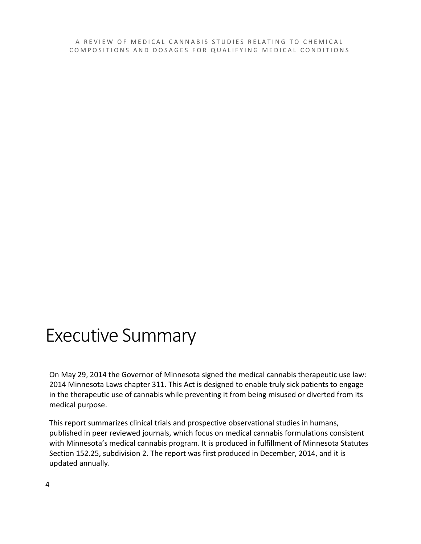A REVIEW OF MEDICAL CANNABIS STUDIES RELATING TO CHEMICAL COMPOSITIONS AND DOSAGES FOR QUALIFYING MEDICAL CONDITIONS

## Executive Summary

On May 29, 2014 the Governor of Minnesota signed the medical cannabis therapeutic use law: 2014 Minnesota Laws chapter 311. This Act is designed to enable truly sick patients to engage in the therapeutic use of cannabis while preventing it from being misused or diverted from its medical purpose.

This report summarizes clinical trials and prospective observational studies in humans, published in peer reviewed journals, which focus on medical cannabis formulations consistent with Minnesota's medical cannabis program. It is produced in fulfillment of Minnesota Statutes Section 152.25, subdivision 2. The report was first produced in December, 2014, and it is updated annually.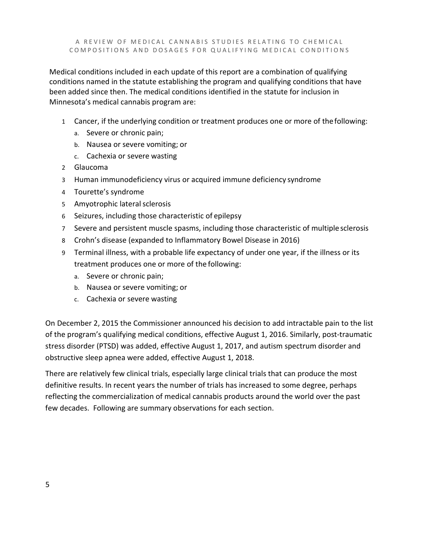A REVIEW OF MEDICAL CANNABIS STUDIES RELATING TO CHEMICAL COMPOSITIONS AND DOSAGES FOR QUALIFYING MEDICAL CONDITIONS

Medical conditions included in each update of this report are a combination of qualifying conditions named in the statute establishing the program and qualifying conditions that have been added since then. The medical conditions identified in the statute for inclusion in Minnesota's medical cannabis program are:

- 1 Cancer, if the underlying condition or treatment produces one or more of thefollowing:
	- a. Severe or chronic pain;
	- b. Nausea or severe vomiting; or
	- c. Cachexia or severe wasting
- 2 Glaucoma
- 3 Human immunodeficiency virus or acquired immune deficiency syndrome
- 4 Tourette's syndrome
- 5 Amyotrophic lateral sclerosis
- 6 Seizures, including those characteristic of epilepsy
- 7 Severe and persistent muscle spasms, including those characteristic of multiplesclerosis
- 8 Crohn's disease (expanded to Inflammatory Bowel Disease in 2016)
- 9 Terminal illness, with a probable life expectancy of under one year, if the illness or its treatment produces one or more of the following:
	- a. Severe or chronic pain;
	- b. Nausea or severe vomiting; or
	- c. Cachexia or severe wasting

On December 2, 2015 the Commissioner announced his decision to add intractable pain to the list of the program's qualifying medical conditions, effective August 1, 2016. Similarly, post-traumatic stress disorder (PTSD) was added, effective August 1, 2017, and autism spectrum disorder and obstructive sleep apnea were added, effective August 1, 2018.

There are relatively few clinical trials, especially large clinical trials that can produce the most definitive results. In recent years the number of trials has increased to some degree, perhaps reflecting the commercialization of medical cannabis products around the world over the past few decades. Following are summary observations for each section.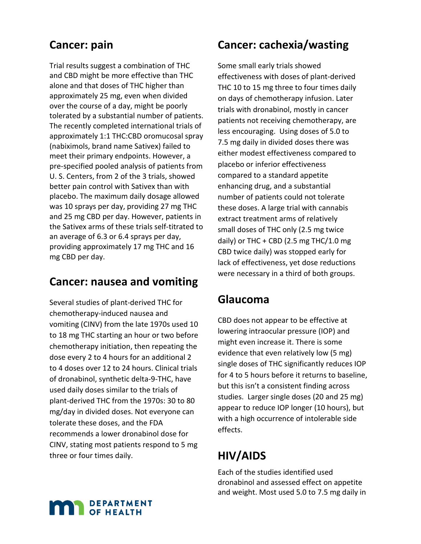## **Cancer: pain**

Trial results suggest a combination of THC and CBD might be more effective than THC alone and that doses of THC higher than approximately 25 mg, even when divided over the course of a day, might be poorly tolerated by a substantial number of patients. The recently completed international trials of approximately 1:1 THC:CBD oromucosal spray (nabiximols, brand name Sativex) failed to meet their primary endpoints. However, a pre-specified pooled analysis of patients from U. S. Centers, from 2 of the 3 trials, showed better pain control with Sativex than with placebo. The maximum daily dosage allowed was 10 sprays per day, providing 27 mg THC and 25 mg CBD per day. However, patients in the Sativex arms of these trials self-titrated to an average of 6.3 or 6.4 sprays per day, providing approximately 17 mg THC and 16 mg CBD per day.

#### **Cancer: nausea and vomiting**

Several studies of plant-derived THC for chemotherapy-induced nausea and vomiting (CINV) from the late 1970s used 10 to 18 mg THC starting an hour or two before chemotherapy initiation, then repeating the dose every 2 to 4 hours for an additional 2 to 4 doses over 12 to 24 hours. Clinical trials of dronabinol, synthetic delta-9-THC, have used daily doses similar to the trials of plant-derived THC from the 1970s: 30 to 80 mg/day in divided doses. Not everyone can tolerate these doses, and the FDA recommends a lower dronabinol dose for CINV, stating most patients respond to 5 mg three or four times daily.

### **Cancer: cachexia/wasting**

Some small early trials showed effectiveness with doses of plant-derived THC 10 to 15 mg three to four times daily on days of chemotherapy infusion. Later trials with dronabinol, mostly in cancer patients not receiving chemotherapy, are less encouraging. Using doses of 5.0 to 7.5 mg daily in divided doses there was either modest effectiveness compared to placebo or inferior effectiveness compared to a standard appetite enhancing drug, and a substantial number of patients could not tolerate these doses. A large trial with cannabis extract treatment arms of relatively small doses of THC only (2.5 mg twice daily) or THC + CBD (2.5 mg THC/1.0 mg CBD twice daily) was stopped early for lack of effectiveness, yet dose reductions were necessary in a third of both groups.

#### **Glaucoma**

CBD does not appear to be effective at lowering intraocular pressure (IOP) and might even increase it. There is some evidence that even relatively low (5 mg) single doses of THC significantly reduces IOP for 4 to 5 hours before it returns to baseline, but this isn't a consistent finding across studies. Larger single doses (20 and 25 mg) appear to reduce IOP longer (10 hours), but with a high occurrence of intolerable side effects.

### **HIV/AIDS**

Each of the studies identified used dronabinol and assessed effect on appetite and weight. Most used 5.0 to 7.5 mg daily in

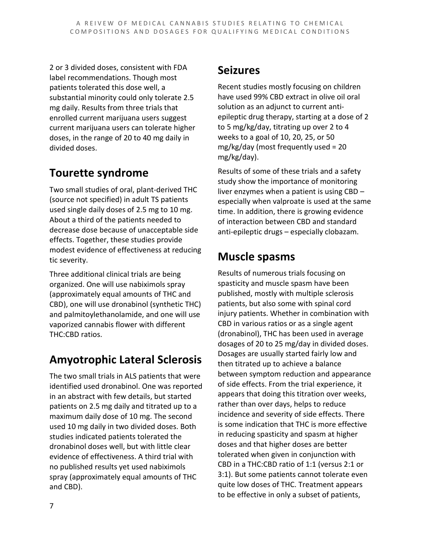2 or 3 divided doses, consistent with FDA label recommendations. Though most patients tolerated this dose well, a substantial minority could only tolerate 2.5 mg daily. Results from three trials that enrolled current marijuana users suggest current marijuana users can tolerate higher doses, in the range of 20 to 40 mg daily in divided doses.

## **Tourette syndrome**

Two small studies of oral, plant-derived THC (source not specified) in adult TS patients used single daily doses of 2.5 mg to 10 mg. About a third of the patients needed to decrease dose because of unacceptable side effects. Together, these studies provide modest evidence of effectiveness at reducing tic severity.

Three additional clinical trials are being organized. One will use nabiximols spray (approximately equal amounts of THC and CBD), one will use dronabinol (synthetic THC) and palmitoylethanolamide, and one will use vaporized cannabis flower with different THC:CBD ratios.

## **Amyotrophic Lateral Sclerosis**

The two small trials in ALS patients that were identified used dronabinol. One was reported in an abstract with few details, but started patients on 2.5 mg daily and titrated up to a maximum daily dose of 10 mg. The second used 10 mg daily in two divided doses. Both studies indicated patients tolerated the dronabinol doses well, but with little clear evidence of effectiveness. A third trial with no published results yet used nabiximols spray (approximately equal amounts of THC and CBD).

## **Seizures**

Recent studies mostly focusing on children have used 99% CBD extract in olive oil oral solution as an adjunct to current antiepileptic drug therapy, starting at a dose of 2 to 5 mg/kg/day, titrating up over 2 to 4 weeks to a goal of 10, 20, 25, or 50 mg/kg/day (most frequently used = 20 mg/kg/day).

Results of some of these trials and a safety study show the importance of monitoring liver enzymes when a patient is using CBD – especially when valproate is used at the same time. In addition, there is growing evidence of interaction between CBD and standard anti-epileptic drugs – especially clobazam.

## **Muscle spasms**

Results of numerous trials focusing on spasticity and muscle spasm have been published, mostly with multiple sclerosis patients, but also some with spinal cord injury patients. Whether in combination with CBD in various ratios or as a single agent (dronabinol), THC has been used in average dosages of 20 to 25 mg/day in divided doses. Dosages are usually started fairly low and then titrated up to achieve a balance between symptom reduction and appearance of side effects. From the trial experience, it appears that doing this titration over weeks, rather than over days, helps to reduce incidence and severity of side effects. There is some indication that THC is more effective in reducing spasticity and spasm at higher doses and that higher doses are better tolerated when given in conjunction with CBD in a THC:CBD ratio of 1:1 (versus 2:1 or 3:1). But some patients cannot tolerate even quite low doses of THC. Treatment appears to be effective in only a subset of patients,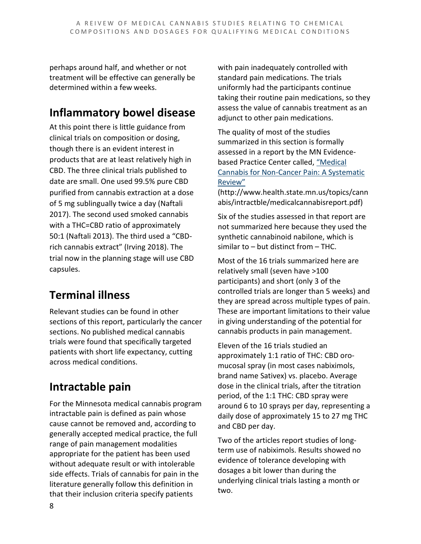perhaps around half, and whether or not treatment will be effective can generally be determined within a few weeks.

## **Inflammatory bowel disease**

At this point there is little guidance from clinical trials on composition or dosing, though there is an evident interest in products that are at least relatively high in CBD. The three clinical trials published to date are small. One used 99.5% pure CBD purified from cannabis extraction at a dose of 5 mg sublingually twice a day (Naftali 2017). The second used smoked cannabis with a THC=CBD ratio of approximately 50:1 (Naftali 2013). The third used a "CBDrich cannabis extract" (Irving 2018). The trial now in the planning stage will use CBD capsules.

## **Terminal illness**

Relevant studies can be found in other sections of this report, particularly the cancer sections. No published medical cannabis trials were found that specifically targeted patients with short life expectancy, cutting across medical conditions.

## **Intractable pain**

For the Minnesota medical cannabis program intractable pain is defined as pain whose cause cannot be removed and, according to generally accepted medical practice, the full range of pain management modalities appropriate for the patient has been used without adequate result or with intolerable side effects. Trials of cannabis for pain in the literature generally follow this definition in that their inclusion criteria specify patients

with pain inadequately controlled with standard pain medications. The trials uniformly had the participants continue taking their routine pain medications, so they assess the value of cannabis treatment as an adjunct to other pain medications.

The quality of most of the studies summarized in this section is formally assessed in a report by the MN Evidencebased Practice Center called, ["Medical](http://www.health.state.mn.us/topics/cannabis/intractble/medicalcannabisreport.pdf)  [Cannabis for Non-Cancer Pain: A Systematic](http://www.health.state.mn.us/topics/cannabis/intractble/medicalcannabisreport.pdf)  [Review"](http://www.health.state.mn.us/topics/cannabis/intractble/medicalcannabisreport.pdf) 

(http://www.health.state.mn.us/topics/cann abis/intractble/medicalcannabisreport.pdf)

Six of the studies assessed in that report are not summarized here because they used the synthetic cannabinoid nabilone, which is similar to – but distinct from – THC.

Most of the 16 trials summarized here are relatively small (seven have >100 participants) and short (only 3 of the controlled trials are longer than 5 weeks) and they are spread across multiple types of pain. These are important limitations to their value in giving understanding of the potential for cannabis products in pain management.

Eleven of the 16 trials studied an approximately 1:1 ratio of THC: CBD oromucosal spray (in most cases nabiximols, brand name Sativex) vs. placebo. Average dose in the clinical trials, after the titration period, of the 1:1 THC: CBD spray were around 6 to 10 sprays per day, representing a daily dose of approximately 15 to 27 mg THC and CBD per day.

Two of the articles report studies of longterm use of nabiximols. Results showed no evidence of tolerance developing with dosages a bit lower than during the underlying clinical trials lasting a month or two.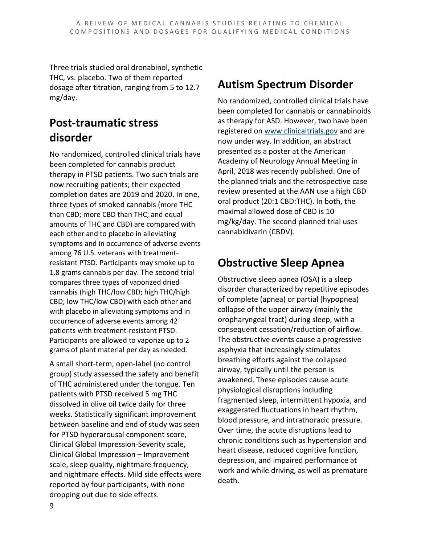Three trials studied oral dronabinol, synthetic THC, vs. placebo. Two of them reported dosage after titration, ranging from 5 to 12.7 mg/day.

## **Post-traumatic stress disorder**

No randomized, controlled clinical trials have been completed for cannabis product therapy in PTSD patients. Two such trials are now recruiting patients; their expected completion dates are 2019 and 2020. In one, three types of smoked cannabis (more THC than CBD; more CBD than THC; and equal amounts of THC and CBD) are compared with each other and to placebo in alleviating symptoms and in occurrence of adverse events among 76 U.S. veterans with treatmentresistant PTSD. Participants may smoke up to 1.8 grams cannabis per day. The second trial compares three types of vaporized dried cannabis (high THC/low CBD; high THC/high CBD; low THC/low CBD) with each other and with placebo in alleviating symptoms and in occurrence of adverse events among 42 patients with treatment-resistant PTSD. Participants are allowed to vaporize up to 2 grams of plant material per day as needed.

A small short-term, open-label (no control group) study assessed the safety and benefit of THC administered under the tongue. Ten patients with PTSD received 5 mg THC dissolved in olive oil twice daily for three weeks. Statistically significant improvement between baseline and end of study was seen for PTSD hyperarousal component score, Clinical Global Impression-Severity scale, Clinical Global Impression – Improvement scale, sleep quality, nightmare frequency, and nightmare effects. Mild side effects were reported by four participants, with none dropping out due to side effects.

### **Autism Spectrum Disorder**

No randomized, controlled clinical trials have been completed for cannabis or cannabinoids as therapy for ASD. However, two have been registered on [www.clinicaltrials.gov](http://www.clinicaltrials.gov/) and are now under way. In addition, an abstract presented as a poster at the American Academy of Neurology Annual Meeting in April, 2018 was recently published. One of the planned trials and the retrospective case review presented at the AAN use a high CBD oral product (20:1 CBD:THC). In both, the maximal allowed dose of CBD is 10 mg/kg/day. The second planned trial uses cannabidivarin (CBDV).

## **Obstructive Sleep Apnea**

Obstructive sleep apnea (OSA) is a sleep disorder characterized by repetitive episodes of complete (apnea) or partial (hypopnea) collapse of the upper airway (mainly the oropharyngeal tract) during sleep, with a consequent cessation/reduction of airflow. The obstructive events cause a progressive asphyxia that increasingly stimulates breathing efforts against the collapsed airway, typically until the person is awakened. These episodes cause acute physiological disruptions including fragmented sleep, intermittent hypoxia, and exaggerated fluctuations in heart rhythm, blood pressure, and intrathoracic pressure. Over time, the acute disruptions lead to chronic conditions such as hypertension and heart disease, reduced cognitive function, depression, and impaired performance at work and while driving, as well as premature death.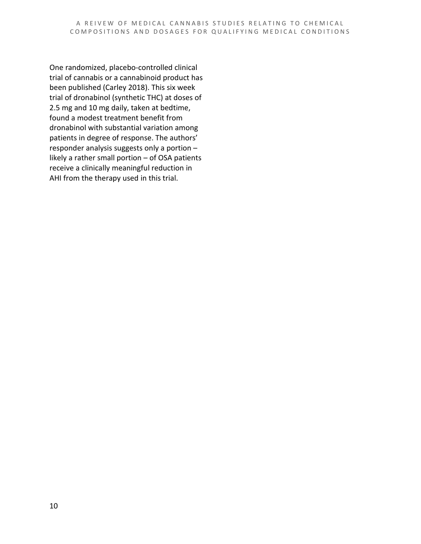One randomized, placebo-controlled clinical trial of cannabis or a cannabinoid product has been published (Carley 2018). This six week trial of dronabinol (synthetic THC) at doses of 2.5 mg and 10 mg daily, taken at bedtime, found a modest treatment benefit from dronabinol with substantial variation among patients in degree of response. The authors' responder analysis suggests only a portion – likely a rather small portion – of OSA patients receive a clinically meaningful reduction in AHI from the therapy used in this trial.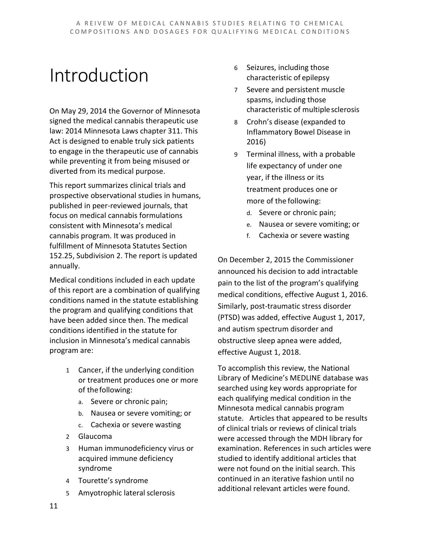## Introduction

On May 29, 2014 the Governor of Minnesota signed the medical cannabis therapeutic use law: 2014 Minnesota Laws chapter 311. This Act is designed to enable truly sick patients to engage in the therapeutic use of cannabis while preventing it from being misused or diverted from its medical purpose.

This report summarizes clinical trials and prospective observational studies in humans, published in peer-reviewed journals, that focus on medical cannabis formulations consistent with Minnesota's medical cannabis program. It was produced in fulfillment of Minnesota Statutes Section 152.25, Subdivision 2. The report is updated annually.

Medical conditions included in each update of this report are a combination of qualifying conditions named in the statute establishing the program and qualifying conditions that have been added since then. The medical conditions identified in the statute for inclusion in Minnesota's medical cannabis program are:

- 1 Cancer, if the underlying condition or treatment produces one or more of thefollowing:
	- a. Severe or chronic pain;
	- b. Nausea or severe vomiting; or
	- c. Cachexia or severe wasting
- 2 Glaucoma
- 3 Human immunodeficiency virus or acquired immune deficiency syndrome
- 4 Tourette's syndrome
- 5 Amyotrophic lateral sclerosis
- 6 Seizures, including those characteristic of epilepsy
- 7 Severe and persistent muscle spasms, including those characteristic of multiplesclerosis
- 8 Crohn's disease (expanded to Inflammatory Bowel Disease in 2016)
- 9 Terminal illness, with a probable life expectancy of under one year, if the illness or its treatment produces one or more of the following:
	- d. Severe or chronic pain;
	- e. Nausea or severe vomiting; or
	- f. Cachexia or severe wasting

On December 2, 2015 the Commissioner announced his decision to add intractable pain to the list of the program's qualifying medical conditions, effective August 1, 2016. Similarly, post-traumatic stress disorder (PTSD) was added, effective August 1, 2017, and autism spectrum disorder and obstructive sleep apnea were added, effective August 1, 2018.

To accomplish this review, the National Library of Medicine's MEDLINE database was searched using key words appropriate for each qualifying medical condition in the Minnesota medical cannabis program statute. Articles that appeared to be results of clinical trials or reviews of clinical trials were accessed through the MDH library for examination. References in such articles were studied to identify additional articles that were not found on the initial search. This continued in an iterative fashion until no additional relevant articles were found.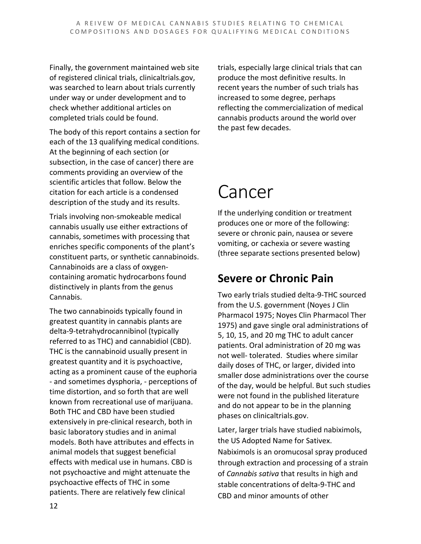Finally, the government maintained web site of registered clinical trials, clinicaltrials.gov, was searched to learn about trials currently under way or under development and to check whether additional articles on completed trials could be found.

The body of this report contains a section for each of the 13 qualifying medical conditions. At the beginning of each section (or subsection, in the case of cancer) there are comments providing an overview of the scientific articles that follow. Below the citation for each article is a condensed description of the study and its results.

Trials involving non-smokeable medical cannabis usually use either extractions of cannabis, sometimes with processing that enriches specific components of the plant's constituent parts, or synthetic cannabinoids. Cannabinoids are a class of oxygencontaining aromatic hydrocarbons found distinctively in plants from the genus Cannabis.

The two cannabinoids typically found in greatest quantity in cannabis plants are delta-9-tetrahydrocannibinol (typically referred to as THC) and cannabidiol (CBD). THC is the cannabinoid usually present in greatest quantity and it is psychoactive, acting as a prominent cause of the euphoria - and sometimes dysphoria, - perceptions of time distortion, and so forth that are well known from recreational use of marijuana. Both THC and CBD have been studied extensively in pre-clinical research, both in basic laboratory studies and in animal models. Both have attributes and effects in animal models that suggest beneficial effects with medical use in humans. CBD is not psychoactive and might attenuate the psychoactive effects of THC in some patients. There are relatively few clinical

trials, especially large clinical trials that can produce the most definitive results. In recent years the number of such trials has increased to some degree, perhaps reflecting the commercialization of medical cannabis products around the world over the past few decades.

## Cancer

If the underlying condition or treatment produces one or more of the following: severe or chronic pain, nausea or severe vomiting, or cachexia or severe wasting (three separate sections presented below)

## **Severe or Chronic Pain**

Two early trials studied delta-9-THC sourced from the U.S. government (Noyes J Clin Pharmacol 1975; Noyes Clin Pharmacol Ther 1975) and gave single oral administrations of 5, 10, 15, and 20 mg THC to adult cancer patients. Oral administration of 20 mg was not well- tolerated. Studies where similar daily doses of THC, or larger, divided into smaller dose administrations over the course of the day, would be helpful. But such studies were not found in the published literature and do not appear to be in the planning phases on clinicaltrials.gov.

Later, larger trials have studied nabiximols, the US Adopted Name for Sativex. Nabiximols is an oromucosal spray produced through extraction and processing of a strain of *Cannabis sativa* that results in high and stable concentrations of delta-9-THC and CBD and minor amounts of other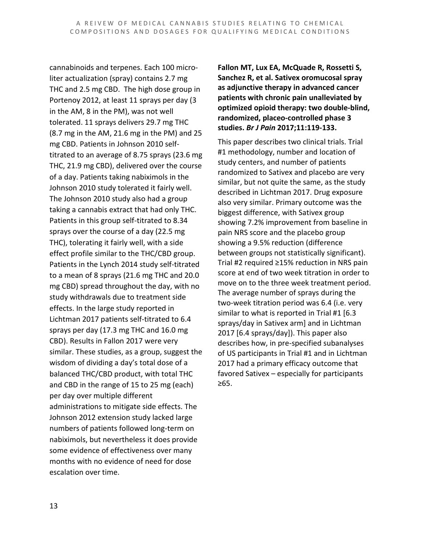cannabinoids and terpenes. Each 100 microliter actualization (spray) contains 2.7 mg THC and 2.5 mg CBD. The high dose group in Portenoy 2012, at least 11 sprays per day (3 in the AM, 8 in the PM), was not well tolerated. 11 sprays delivers 29.7 mg THC (8.7 mg in the AM, 21.6 mg in the PM) and 25 mg CBD. Patients in Johnson 2010 selftitrated to an average of 8.75 sprays (23.6 mg THC, 21.9 mg CBD), delivered over the course of a day. Patients taking nabiximols in the Johnson 2010 study tolerated it fairly well. The Johnson 2010 study also had a group taking a cannabis extract that had only THC. Patients in this group self-titrated to 8.34 sprays over the course of a day (22.5 mg THC), tolerating it fairly well, with a side effect profile similar to the THC/CBD group. Patients in the Lynch 2014 study self-titrated to a mean of 8 sprays (21.6 mg THC and 20.0 mg CBD) spread throughout the day, with no study withdrawals due to treatment side effects. In the large study reported in Lichtman 2017 patients self-titrated to 6.4 sprays per day (17.3 mg THC and 16.0 mg CBD). Results in Fallon 2017 were very similar. These studies, as a group, suggest the wisdom of dividing a day's total dose of a balanced THC/CBD product, with total THC and CBD in the range of 15 to 25 mg (each) per day over multiple different administrations to mitigate side effects. The Johnson 2012 extension study lacked large numbers of patients followed long-term on nabiximols, but nevertheless it does provide some evidence of effectiveness over many months with no evidence of need for dose escalation over time.

**Fallon MT, Lux EA, McQuade R, Rossetti S, Sanchez R, et al. Sativex oromucosal spray as adjunctive therapy in advanced cancer patients with chronic pain unalleviated by optimized opioid therapy: two double-blind, randomized, placeo-controlled phase 3 studies.** *Br J Pain* **2017;11:119-133.**

This paper describes two clinical trials. Trial #1 methodology, number and location of study centers, and number of patients randomized to Sativex and placebo are very similar, but not quite the same, as the study described in Lichtman 2017. Drug exposure also very similar. Primary outcome was the biggest difference, with Sativex group showing 7.2% improvement from baseline in pain NRS score and the placebo group showing a 9.5% reduction (difference between groups not statistically significant). Trial #2 required ≥15% reduction in NRS pain score at end of two week titration in order to move on to the three week treatment period. The average number of sprays during the two-week titration period was 6.4 (i.e. very similar to what is reported in Trial #1 [6.3 sprays/day in Sativex arm] and in Lichtman 2017 [6.4 sprays/day]). This paper also describes how, in pre-specified subanalyses of US participants in Trial #1 and in Lichtman 2017 had a primary efficacy outcome that favored Sativex – especially for participants ≥65.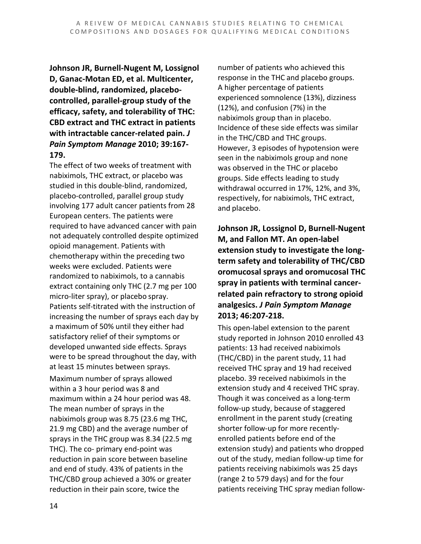**Johnson JR, Burnell-Nugent M, Lossignol D, Ganac-Motan ED, et al. Multicenter, double-blind, randomized, placebocontrolled, parallel-group study of the efficacy, safety, and tolerability of THC: CBD extract and THC extract in patients with intractable cancer-related pain.** *J Pain Symptom Manage* **2010; 39:167- 179.**

The effect of two weeks of treatment with nabiximols, THC extract, or placebo was studied in this double-blind, randomized, placebo-controlled, parallel group study involving 177 adult cancer patients from 28 European centers. The patients were required to have advanced cancer with pain not adequately controlled despite optimized opioid management. Patients with chemotherapy within the preceding two weeks were excluded. Patients were randomized to nabiximols, to a cannabis extract containing only THC (2.7 mg per 100 micro-liter spray), or placebo spray. Patients self-titrated with the instruction of increasing the number of sprays each day by a maximum of 50% until they either had satisfactory relief of their symptoms or developed unwanted side effects. Sprays were to be spread throughout the day, with at least 15 minutes between sprays. Maximum number of sprays allowed within a 3 hour period was 8 and maximum within a 24 hour period was 48. The mean number of sprays in the nabiximols group was 8.75 (23.6 mg THC, 21.9 mg CBD) and the average number of sprays in the THC group was 8.34 (22.5 mg THC). The co- primary end-point was reduction in pain score between baseline and end of study. 43% of patients in the THC/CBD group achieved a 30% or greater reduction in their pain score, twice the

number of patients who achieved this response in the THC and placebo groups. A higher percentage of patients experienced somnolence (13%), dizziness (12%), and confusion (7%) in the nabiximols group than in placebo. Incidence of these side effects was similar in the THC/CBD and THC groups. However, 3 episodes of hypotension were seen in the nabiximols group and none was observed in the THC or placebo groups. Side effects leading to study withdrawal occurred in 17%, 12%, and 3%, respectively, for nabiximols, THC extract, and placebo.

**Johnson JR, Lossignol D, Burnell-Nugent M, and Fallon MT. An open-label extension study to investigate the longterm safety and tolerability of THC/CBD oromucosal sprays and oromucosal THC spray in patients with terminal cancerrelated pain refractory to strong opioid analgesics.** *J Pain Symptom Manage*  **2013; 46:207-218.**

This open-label extension to the parent study reported in Johnson 2010 enrolled 43 patients: 13 had received nabiximols (THC/CBD) in the parent study, 11 had received THC spray and 19 had received placebo. 39 received nabiximols in the extension study and 4 received THC spray. Though it was conceived as a long-term follow-up study, because of staggered enrollment in the parent study (creating shorter follow-up for more recentlyenrolled patients before end of the extension study) and patients who dropped out of the study, median follow-up time for patients receiving nabiximols was 25 days (range 2 to 579 days) and for the four patients receiving THC spray median follow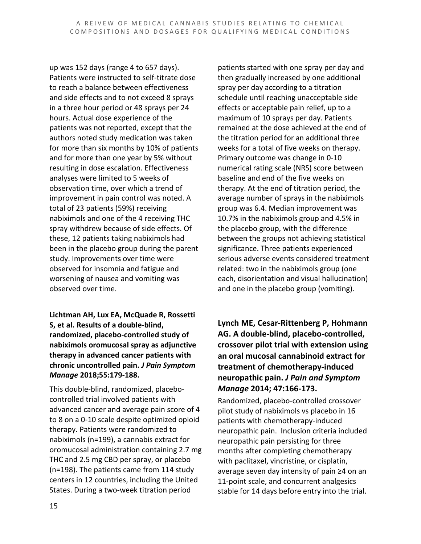up was 152 days (range 4 to 657 days). Patients were instructed to self-titrate dose to reach a balance between effectiveness and side effects and to not exceed 8 sprays in a three hour period or 48 sprays per 24 hours. Actual dose experience of the patients was not reported, except that the authors noted study medication was taken for more than six months by 10% of patients and for more than one year by 5% without resulting in dose escalation. Effectiveness analyses were limited to 5 weeks of observation time, over which a trend of improvement in pain control was noted. A total of 23 patients (59%) receiving nabiximols and one of the 4 receiving THC spray withdrew because of side effects. Of these, 12 patients taking nabiximols had been in the placebo group during the parent study. Improvements over time were observed for insomnia and fatigue and worsening of nausea and vomiting was observed over time.

**Lichtman AH, Lux EA, McQuade R, Rossetti S, et al. Results of a double-blind, randomized, placebo-controlled study of nabiximols oromucosal spray as adjunctive therapy in advanced cancer patients with chronic uncontrolled pain.** *J Pain Symptom Manage* **2018;55:179-188.**

This double-blind, randomized, placebocontrolled trial involved patients with advanced cancer and average pain score of 4 to 8 on a 0-10 scale despite optimized opioid therapy. Patients were randomized to nabiximols (n=199), a cannabis extract for oromucosal administration containing 2.7 mg THC and 2.5 mg CBD per spray, or placebo (n=198). The patients came from 114 study centers in 12 countries, including the United States. During a two-week titration period

patients started with one spray per day and then gradually increased by one additional spray per day according to a titration schedule until reaching unacceptable side effects or acceptable pain relief, up to a maximum of 10 sprays per day. Patients remained at the dose achieved at the end of the titration period for an additional three weeks for a total of five weeks on therapy. Primary outcome was change in 0-10 numerical rating scale (NRS) score between baseline and end of the five weeks on therapy. At the end of titration period, the average number of sprays in the nabiximols group was 6.4. Median improvement was 10.7% in the nabiximols group and 4.5% in the placebo group, with the difference between the groups not achieving statistical significance. Three patients experienced serious adverse events considered treatment related: two in the nabiximols group (one each, disorientation and visual hallucination) and one in the placebo group (vomiting).

**Lynch ME, Cesar-Rittenberg P, Hohmann AG. A double-blind, placebo-controlled, crossover pilot trial with extension using an oral mucosal cannabinoid extract for treatment of chemotherapy-induced neuropathic pain.** *J Pain and Symptom Manage* **2014; 47:166-173.**

Randomized, placebo-controlled crossover pilot study of nabiximols vs placebo in 16 patients with chemotherapy-induced neuropathic pain. Inclusion criteria included neuropathic pain persisting for three months after completing chemotherapy with paclitaxel, vincristine, or cisplatin, average seven day intensity of pain ≥4 on an 11-point scale, and concurrent analgesics stable for 14 days before entry into the trial.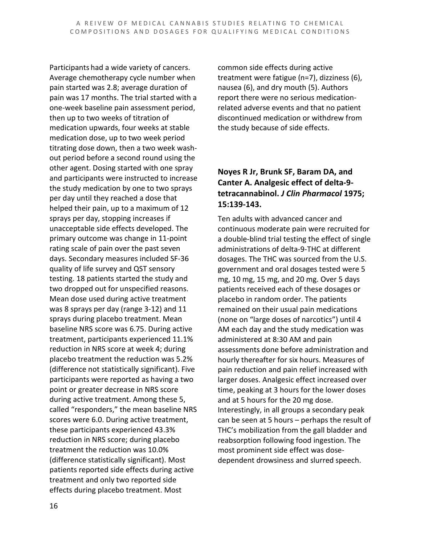Participants had a wide variety of cancers. Average chemotherapy cycle number when pain started was 2.8; average duration of pain was 17 months. The trial started with a one-week baseline pain assessment period, then up to two weeks of titration of medication upwards, four weeks at stable medication dose, up to two week period titrating dose down, then a two week washout period before a second round using the other agent. Dosing started with one spray and participants were instructed to increase the study medication by one to two sprays per day until they reached a dose that helped their pain, up to a maximum of 12 sprays per day, stopping increases if unacceptable side effects developed. The primary outcome was change in 11-point rating scale of pain over the past seven days. Secondary measures included SF-36 quality of life survey and QST sensory testing. 18 patients started the study and two dropped out for unspecified reasons. Mean dose used during active treatment was 8 sprays per day (range 3-12) and 11 sprays during placebo treatment. Mean baseline NRS score was 6.75. During active treatment, participants experienced 11.1% reduction in NRS score at week 4; during placebo treatment the reduction was 5.2% (difference not statistically significant). Five participants were reported as having a two point or greater decrease in NRS score during active treatment. Among these 5, called "responders," the mean baseline NRS scores were 6.0. During active treatment, these participants experienced 43.3% reduction in NRS score; during placebo treatment the reduction was 10.0% (difference statistically significant). Most patients reported side effects during active treatment and only two reported side effects during placebo treatment. Most

common side effects during active treatment were fatigue (n=7), dizziness (6), nausea (6), and dry mouth (5). Authors report there were no serious medicationrelated adverse events and that no patient discontinued medication or withdrew from the study because of side effects.

#### **Noyes R Jr, Brunk SF, Baram DA, and Canter A. Analgesic effect of delta-9 tetracannabinol.** *J Clin Pharmacol* **1975; 15:139-143.**

Ten adults with advanced cancer and continuous moderate pain were recruited for a double-blind trial testing the effect of single administrations of delta-9-THC at different dosages. The THC was sourced from the U.S. government and oral dosages tested were 5 mg, 10 mg, 15 mg, and 20 mg. Over 5 days patients received each of these dosages or placebo in random order. The patients remained on their usual pain medications (none on "large doses of narcotics") until 4 AM each day and the study medication was administered at 8:30 AM and pain assessments done before administration and hourly thereafter for six hours. Measures of pain reduction and pain relief increased with larger doses. Analgesic effect increased over time, peaking at 3 hours for the lower doses and at 5 hours for the 20 mg dose. Interestingly, in all groups a secondary peak can be seen at 5 hours – perhaps the result of THC's mobilization from the gall bladder and reabsorption following food ingestion. The most prominent side effect was dosedependent drowsiness and slurred speech.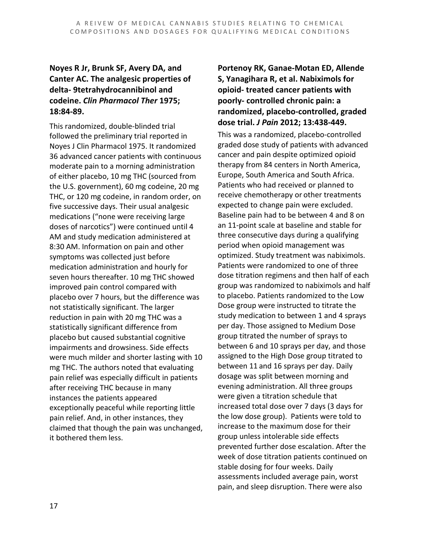#### **Noyes R Jr, Brunk SF, Avery DA, and Canter AC. The analgesic properties of delta- 9tetrahydrocannibinol and codeine.** *Clin Pharmacol Ther* **1975; 18:84-89.**

This randomized, double-blinded trial followed the preliminary trial reported in Noyes J Clin Pharmacol 1975. It randomized 36 advanced cancer patients with continuous moderate pain to a morning administration of either placebo, 10 mg THC (sourced from the U.S. government), 60 mg codeine, 20 mg THC, or 120 mg codeine, in random order, on five successive days. Their usual analgesic medications ("none were receiving large doses of narcotics") were continued until 4 AM and study medication administered at 8:30 AM. Information on pain and other symptoms was collected just before medication administration and hourly for seven hours thereafter. 10 mg THC showed improved pain control compared with placebo over 7 hours, but the difference was not statistically significant. The larger reduction in pain with 20 mg THC was a statistically significant difference from placebo but caused substantial cognitive impairments and drowsiness. Side effects were much milder and shorter lasting with 10 mg THC. The authors noted that evaluating pain relief was especially difficult in patients after receiving THC because in many instances the patients appeared exceptionally peaceful while reporting little pain relief. And, in other instances, they claimed that though the pain was unchanged, it bothered them less.

#### **Portenoy RK, Ganae-Motan ED, Allende S, Yanagihara R, et al. Nabiximols for opioid- treated cancer patients with poorly- controlled chronic pain: a randomized, placebo-controlled, graded dose trial.** *J Pain* **2012; 13:438-449.**

This was a randomized, placebo-controlled graded dose study of patients with advanced cancer and pain despite optimized opioid therapy from 84 centers in North America, Europe, South America and South Africa. Patients who had received or planned to receive chemotherapy or other treatments expected to change pain were excluded. Baseline pain had to be between 4 and 8 on an 11-point scale at baseline and stable for three consecutive days during a qualifying period when opioid management was optimized. Study treatment was nabiximols. Patients were randomized to one of three dose titration regimens and then half of each group was randomized to nabiximols and half to placebo. Patients randomized to the Low Dose group were instructed to titrate the study medication to between 1 and 4 sprays per day. Those assigned to Medium Dose group titrated the number of sprays to between 6 and 10 sprays per day, and those assigned to the High Dose group titrated to between 11 and 16 sprays per day. Daily dosage was split between morning and evening administration. All three groups were given a titration schedule that increased total dose over 7 days (3 days for the low dose group). Patients were told to increase to the maximum dose for their group unless intolerable side effects prevented further dose escalation. After the week of dose titration patients continued on stable dosing for four weeks. Daily assessments included average pain, worst pain, and sleep disruption. There were also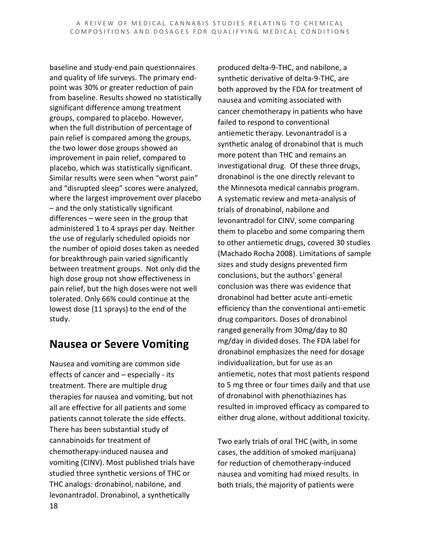baseline and study-end pain questionnaires and quality of life surveys. The primary endpoint was 30% or greater reduction of pain from baseline. Results showed no statistically significant difference among treatment groups, compared to placebo. However, when the full distribution of percentage of pain relief is compared among the groups, the two lower dose groups showed an improvement in pain relief, compared to placebo, which was statistically significant. Similar results were seen when "worst pain" and "disrupted sleep" scores were analyzed, where the largest improvement over placebo – and the only statistically significant differences – were seen in the group that administered 1 to 4 sprays per day. Neither the use of regularly scheduled opioids nor the number of opioid doses taken as needed for breakthrough pain varied significantly between treatment groups. Not only did the high dose group not show effectiveness in pain relief, but the high doses were not well tolerated. Only 66% could continue at the lowest dose (11 sprays) to the end of the study.

### **Nausea or Severe Vomiting**

18 Nausea and vomiting are common side effects of cancer and – especially - its treatment. There are multiple drug therapies for nausea and vomiting, but not all are effective for all patients and some patients cannot tolerate the side effects. There has been substantial study of cannabinoids for treatment of chemotherapy-induced nausea and vomiting (CINV). Most published trials have studied three synthetic versions of THC or THC analogs: dronabinol, nabilone, and levonantradol. Dronabinol, a synthetically

produced delta-9-THC, and nabilone, a synthetic derivative of delta-9-THC, are both approved by the FDA for treatment of nausea and vomiting associated with cancer chemotherapy in patients who have failed to respond to conventional antiemetic therapy. Levonantradol is a synthetic analog of dronabinol that is much more potent than THC and remains an investigational drug. Of these three drugs, dronabinol is the one directly relevant to the Minnesota medical cannabis program. A systematic review and meta-analysis of trials of dronabinol, nabilone and levonantradol for CINV, some comparing them to placebo and some comparing them to other antiemetic drugs, covered 30 studies (Machado Rocha 2008). Limitations of sample sizes and study designs prevented firm conclusions, but the authors' general conclusion was there was evidence that dronabinol had better acute anti-emetic efficiency than the conventional anti-emetic drug comparitors. Doses of dronabinol ranged generally from 30mg/day to 80 mg/day in divided doses. The FDA label for dronabinol emphasizes the need for dosage individualization, but for use as an antiemetic, notes that most patients respond to 5 mg three or four times daily and that use of dronabinol with phenothiazines has resulted in improved efficacy as compared to either drug alone, without additional toxicity.

Two early trials of oral THC (with, in some cases, the addition of smoked marijuana) for reduction of chemotherapy-induced nausea and vomiting had mixed results. In both trials, the majority of patients were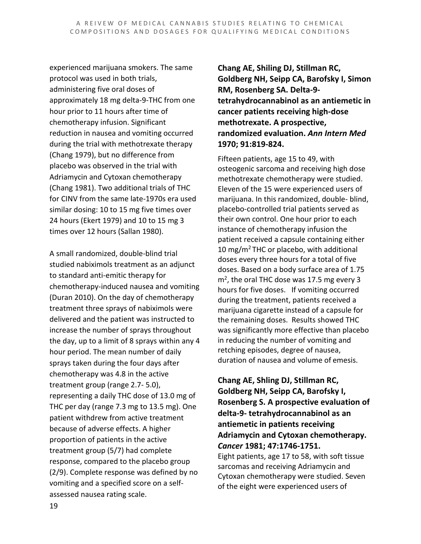experienced marijuana smokers. The same protocol was used in both trials, administering five oral doses of approximately 18 mg delta-9-THC from one hour prior to 11 hours after time of chemotherapy infusion. Significant reduction in nausea and vomiting occurred during the trial with methotrexate therapy (Chang 1979), but no difference from placebo was observed in the trial with Adriamycin and Cytoxan chemotherapy (Chang 1981). Two additional trials of THC for CINV from the same late-1970s era used similar dosing: 10 to 15 mg five times over 24 hours (Ekert 1979) and 10 to 15 mg 3 times over 12 hours (Sallan 1980).

A small randomized, double-blind trial studied nabiximols treatment as an adjunct to standard anti-emitic therapy for chemotherapy-induced nausea and vomiting (Duran 2010). On the day of chemotherapy treatment three sprays of nabiximols were delivered and the patient was instructed to increase the number of sprays throughout the day, up to a limit of 8 sprays within any 4 hour period. The mean number of daily sprays taken during the four days after chemotherapy was 4.8 in the active treatment group (range 2.7- 5.0), representing a daily THC dose of 13.0 mg of THC per day (range 7.3 mg to 13.5 mg). One patient withdrew from active treatment because of adverse effects. A higher proportion of patients in the active treatment group (5/7) had complete response, compared to the placebo group (2/9). Complete response was defined by no vomiting and a specified score on a selfassessed nausea rating scale.

**Chang AE, Shiling DJ, Stillman RC, Goldberg NH, Seipp CA, Barofsky I, Simon RM, Rosenberg SA. Delta-9 tetrahydrocannabinol as an antiemetic in cancer patients receiving high-dose methotrexate. A prospective, randomized evaluation.** *Ann Intern Med* **1970; 91:819-824.**

Fifteen patients, age 15 to 49, with osteogenic sarcoma and receiving high dose methotrexate chemotherapy were studied. Eleven of the 15 were experienced users of marijuana. In this randomized, double- blind, placebo-controlled trial patients served as their own control. One hour prior to each instance of chemotherapy infusion the patient received a capsule containing either 10 mg/m<sup>2</sup> THC or placebo, with additional doses every three hours for a total of five doses. Based on a body surface area of 1.75  $m<sup>2</sup>$ , the oral THC dose was 17.5 mg every 3 hours for five doses. If vomiting occurred during the treatment, patients received a marijuana cigarette instead of a capsule for the remaining doses. Results showed THC was significantly more effective than placebo in reducing the number of vomiting and retching episodes, degree of nausea, duration of nausea and volume of emesis.

**Chang AE, Shling DJ, Stillman RC, Goldberg NH, Seipp CA, Barofsky I, Rosenberg S. A prospective evaluation of delta-9- tetrahydrocannabinol as an antiemetic in patients receiving Adriamycin and Cytoxan chemotherapy.**  *Cancer* **1981; 47:1746-1751.**

Eight patients, age 17 to 58, with soft tissue sarcomas and receiving Adriamycin and Cytoxan chemotherapy were studied. Seven of the eight were experienced users of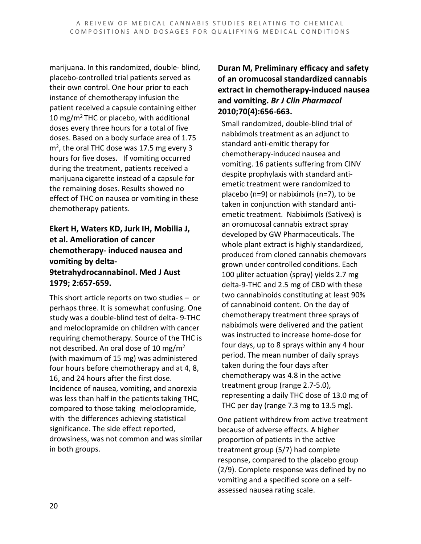marijuana. In this randomized, double- blind, placebo-controlled trial patients served as their own control. One hour prior to each instance of chemotherapy infusion the patient received a capsule containing either 10 mg/m2 THC or placebo, with additional doses every three hours for a total of five doses. Based on a body surface area of 1.75  $m<sup>2</sup>$ , the oral THC dose was 17.5 mg every 3 hours for five doses. If vomiting occurred during the treatment, patients received a marijuana cigarette instead of a capsule for the remaining doses. Results showed no effect of THC on nausea or vomiting in these chemotherapy patients.

#### **Ekert H, Waters KD, Jurk IH, Mobilia J, et al. Amelioration of cancer chemotherapy- induced nausea and vomiting by delta-9tetrahydrocannabinol. Med J Aust 1979; 2:657-659.**

This short article reports on two studies – or perhaps three. It is somewhat confusing. One study was a double-blind test of delta- 9-THC and meloclopramide on children with cancer requiring chemotherapy. Source of the THC is not described. An oral dose of 10 mg/m2 (with maximum of 15 mg) was administered four hours before chemotherapy and at 4, 8, 16, and 24 hours after the first dose. Incidence of nausea, vomiting, and anorexia was less than half in the patients taking THC, compared to those taking meloclopramide, with the differences achieving statistical significance. The side effect reported, drowsiness, was not common and was similar in both groups.

#### **Duran M, Preliminary efficacy and safety of an oromucosal standardized cannabis extract in chemotherapy-induced nausea and vomiting.** *Br J Clin Pharmacol*  **2010;70(4):656-663.**

Small randomized, double-blind trial of nabiximols treatment as an adjunct to standard anti-emitic therapy for chemotherapy-induced nausea and vomiting. 16 patients suffering from CINV despite prophylaxis with standard antiemetic treatment were randomized to placebo (n=9) or nabiximols (n=7), to be taken in conjunction with standard antiemetic treatment. Nabiximols (Sativex) is an oromucosal cannabis extract spray developed by GW Pharmaceuticals. The whole plant extract is highly standardized, produced from cloned cannabis chemovars grown under controlled conditions. Each 100 µliter actuation (spray) yields 2.7 mg delta-9-THC and 2.5 mg of CBD with these two cannabinoids constituting at least 90% of cannabinoid content. On the day of chemotherapy treatment three sprays of nabiximols were delivered and the patient was instructed to increase home-dose for four days, up to 8 sprays within any 4 hour period. The mean number of daily sprays taken during the four days after chemotherapy was 4.8 in the active treatment group (range 2.7-5.0), representing a daily THC dose of 13.0 mg of THC per day (range 7.3 mg to 13.5 mg).

One patient withdrew from active treatment because of adverse effects. A higher proportion of patients in the active treatment group (5/7) had complete response, compared to the placebo group (2/9). Complete response was defined by no vomiting and a specified score on a selfassessed nausea rating scale.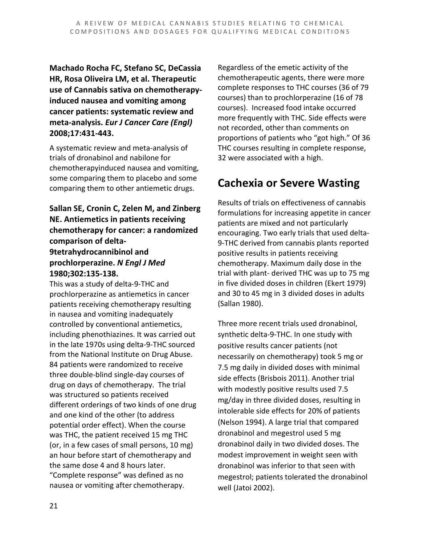**Machado Rocha FC, Stefano SC, DeCassia HR, Rosa Oliveira LM, et al. Therapeutic use of Cannabis sativa on chemotherapyinduced nausea and vomiting among cancer patients: systematic review and meta-analysis.** *Eur J Cancer Care (Engl)* **2008;17:431-443.**

A systematic review and meta-analysis of trials of dronabinol and nabilone for chemotherapyinduced nausea and vomiting, some comparing them to placebo and some comparing them to other antiemetic drugs.

#### **Sallan SE, Cronin C, Zelen M, and Zinberg NE. Antiemetics in patients receiving chemotherapy for cancer: a randomized comparison of delta-9tetrahydrocannibinol and**

### **prochlorperazine.** *N Engl J Med* **1980;302:135-138.**

This was a study of delta-9-THC and prochlorperazine as antiemetics in cancer patients receiving chemotherapy resulting in nausea and vomiting inadequately controlled by conventional antiemetics, including phenothiazines. It was carried out in the late 1970s using delta-9-THC sourced from the National Institute on Drug Abuse. 84 patients were randomized to receive three double-blind single-day courses of drug on days of chemotherapy. The trial was structured so patients received different orderings of two kinds of one drug and one kind of the other (to address potential order effect). When the course was THC, the patient received 15 mg THC (or, in a few cases of small persons, 10 mg) an hour before start of chemotherapy and the same dose 4 and 8 hours later. "Complete response" was defined as no nausea or vomiting after chemotherapy.

Regardless of the emetic activity of the chemotherapeutic agents, there were more complete responses to THC courses (36 of 79 courses) than to prochlorperazine (16 of 78 courses). Increased food intake occurred more frequently with THC. Side effects were not recorded, other than comments on proportions of patients who "got high." Of 36 THC courses resulting in complete response, 32 were associated with a high.

## **Cachexia or Severe Wasting**

Results of trials on effectiveness of cannabis formulations for increasing appetite in cancer patients are mixed and not particularly encouraging. Two early trials that used delta-9-THC derived from cannabis plants reported positive results in patients receiving chemotherapy. Maximum daily dose in the trial with plant- derived THC was up to 75 mg in five divided doses in children (Ekert 1979) and 30 to 45 mg in 3 divided doses in adults (Sallan 1980).

Three more recent trials used dronabinol, synthetic delta-9-THC. In one study with positive results cancer patients (not necessarily on chemotherapy) took 5 mg or 7.5 mg daily in divided doses with minimal side effects (Brisbois 2011). Another trial with modestly positive results used 7.5 mg/day in three divided doses, resulting in intolerable side effects for 20% of patients (Nelson 1994). A large trial that compared dronabinol and megestrol used 5 mg dronabinol daily in two divided doses. The modest improvement in weight seen with dronabinol was inferior to that seen with megestrol; patients tolerated the dronabinol well (Jatoi 2002).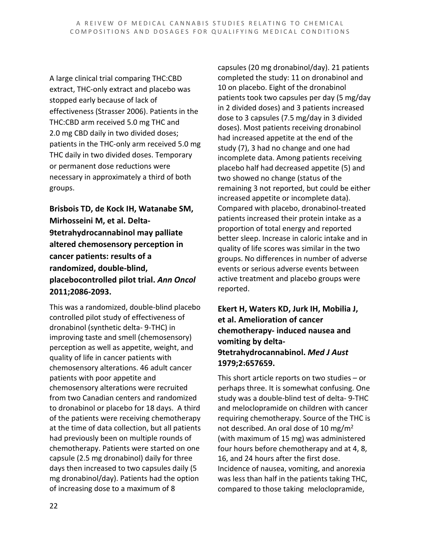A large clinical trial comparing THC:CBD extract, THC-only extract and placebo was stopped early because of lack of effectiveness (Strasser 2006). Patients in the THC:CBD arm received 5.0 mg THC and 2.0 mg CBD daily in two divided doses; patients in the THC-only arm received 5.0 mg THC daily in two divided doses. Temporary or permanent dose reductions were necessary in approximately a third of both groups.

**Brisbois TD, de Kock IH, Watanabe SM, Mirhosseini M, et al. Delta-9tetrahydrocannabinol may palliate altered chemosensory perception in cancer patients: results of a randomized, double-blind, placebocontrolled pilot trial.** *Ann Oncol* **2011;2086-2093.**

This was a randomized, double-blind placebo controlled pilot study of effectiveness of dronabinol (synthetic delta- 9-THC) in improving taste and smell (chemosensory) perception as well as appetite, weight, and quality of life in cancer patients with chemosensory alterations. 46 adult cancer patients with poor appetite and chemosensory alterations were recruited from two Canadian centers and randomized to dronabinol or placebo for 18 days. A third of the patients were receiving chemotherapy at the time of data collection, but all patients had previously been on multiple rounds of chemotherapy. Patients were started on one capsule (2.5 mg dronabinol) daily for three days then increased to two capsules daily (5 mg dronabinol/day). Patients had the option of increasing dose to a maximum of 8

capsules (20 mg dronabinol/day). 21 patients completed the study: 11 on dronabinol and 10 on placebo. Eight of the dronabinol patients took two capsules per day (5 mg/day in 2 divided doses) and 3 patients increased dose to 3 capsules (7.5 mg/day in 3 divided doses). Most patients receiving dronabinol had increased appetite at the end of the study (7), 3 had no change and one had incomplete data. Among patients receiving placebo half had decreased appetite (5) and two showed no change (status of the remaining 3 not reported, but could be either increased appetite or incomplete data). Compared with placebo, dronabinol-treated patients increased their protein intake as a proportion of total energy and reported better sleep. Increase in caloric intake and in quality of life scores was similar in the two groups. No differences in number of adverse events or serious adverse events between active treatment and placebo groups were reported.

#### **Ekert H, Waters KD, Jurk IH, Mobilia J, et al. Amelioration of cancer chemotherapy- induced nausea and vomiting by delta-9tetrahydrocannabinol.** *Med J Aust* **1979;2:657659.**

This short article reports on two studies – or perhaps three. It is somewhat confusing. One study was a double-blind test of delta- 9-THC and meloclopramide on children with cancer requiring chemotherapy. Source of the THC is not described. An oral dose of 10 mg/m<sup>2</sup> (with maximum of 15 mg) was administered four hours before chemotherapy and at 4, 8, 16, and 24 hours after the first dose. Incidence of nausea, vomiting, and anorexia was less than half in the patients taking THC, compared to those taking meloclopramide,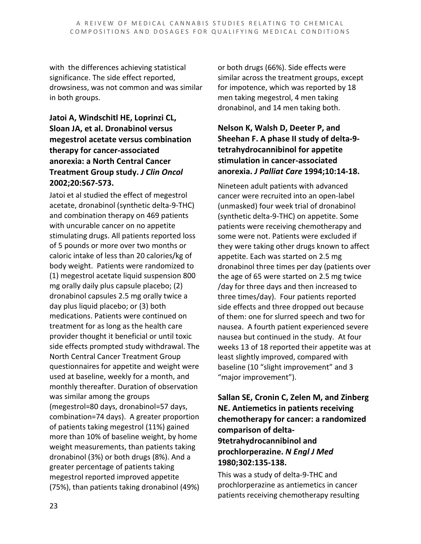with the differences achieving statistical significance. The side effect reported, drowsiness, was not common and was similar in both groups.

#### **Jatoi A, Windschitl HE, Loprinzi CL, Sloan JA, et al. Dronabinol versus megestrol acetate versus combination therapy for cancer-associated anorexia: a North Central Cancer Treatment Group study.** *J Clin Oncol*  **2002;20:567-573.**

Jatoi et al studied the effect of megestrol acetate, dronabinol (synthetic delta-9-THC) and combination therapy on 469 patients with uncurable cancer on no appetite stimulating drugs. All patients reported loss of 5 pounds or more over two months or caloric intake of less than 20 calories/kg of body weight. Patients were randomized to (1) megestrol acetate liquid suspension 800 mg orally daily plus capsule placebo; (2) dronabinol capsules 2.5 mg orally twice a day plus liquid placebo; or (3) both medications. Patients were continued on treatment for as long as the health care provider thought it beneficial or until toxic side effects prompted study withdrawal. The North Central Cancer Treatment Group questionnaires for appetite and weight were used at baseline, weekly for a month, and monthly thereafter. Duration of observation was similar among the groups (megestrol=80 days, dronabinol=57 days, combination=74 days). A greater proportion of patients taking megestrol (11%) gained more than 10% of baseline weight, by home weight measurements, than patients taking dronabinol (3%) or both drugs (8%). And a greater percentage of patients taking megestrol reported improved appetite (75%), than patients taking dronabinol (49%) or both drugs (66%). Side effects were similar across the treatment groups, except for impotence, which was reported by 18 men taking megestrol, 4 men taking dronabinol, and 14 men taking both.

#### **Nelson K, Walsh D, Deeter P, and Sheehan F. A phase II study of delta-9 tetrahydrocannibinol for appetite stimulation in cancer-associated anorexia.** *J Palliat Care* **1994;10:14-18.**

Nineteen adult patients with advanced cancer were recruited into an open-label (unmasked) four week trial of dronabinol (synthetic delta-9-THC) on appetite. Some patients were receiving chemotherapy and some were not. Patients were excluded if they were taking other drugs known to affect appetite. Each was started on 2.5 mg dronabinol three times per day (patients over the age of 65 were started on 2.5 mg twice /day for three days and then increased to three times/day). Four patients reported side effects and three dropped out because of them: one for slurred speech and two for nausea. A fourth patient experienced severe nausea but continued in the study. At four weeks 13 of 18 reported their appetite was at least slightly improved, compared with baseline (10 "slight improvement" and 3 "major improvement").

#### **Sallan SE, Cronin C, Zelen M, and Zinberg NE. Antiemetics in patients receiving chemotherapy for cancer: a randomized comparison of delta-9tetrahydrocannibinol and prochlorperazine.** *N Engl J Med* **1980;302:135-138.**

This was a study of delta-9-THC and prochlorperazine as antiemetics in cancer patients receiving chemotherapy resulting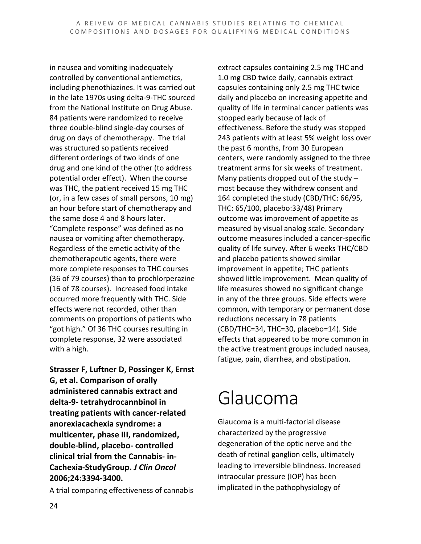in nausea and vomiting inadequately controlled by conventional antiemetics, including phenothiazines. It was carried out in the late 1970s using delta-9-THC sourced from the National Institute on Drug Abuse. 84 patients were randomized to receive three double-blind single-day courses of drug on days of chemotherapy. The trial was structured so patients received different orderings of two kinds of one drug and one kind of the other (to address potential order effect). When the course was THC, the patient received 15 mg THC (or, in a few cases of small persons, 10 mg) an hour before start of chemotherapy and the same dose 4 and 8 hours later. "Complete response" was defined as no nausea or vomiting after chemotherapy. Regardless of the emetic activity of the chemotherapeutic agents, there were more complete responses to THC courses (36 of 79 courses) than to prochlorperazine (16 of 78 courses). Increased food intake occurred more frequently with THC. Side effects were not recorded, other than comments on proportions of patients who "got high." Of 36 THC courses resulting in complete response, 32 were associated with a high.

**Strasser F, Luftner D, Possinger K, Ernst G, et al. Comparison of orally administered cannabis extract and delta-9- tetrahydrocannbinol in treating patients with cancer-related anorexiacachexia syndrome: a multicenter, phase III, randomized, double-blind, placebo- controlled clinical trial from the Cannabis- in-Cachexia-StudyGroup.** *J Clin Oncol* **2006;24:3394-3400.**

A trial comparing effectiveness of cannabis

extract capsules containing 2.5 mg THC and 1.0 mg CBD twice daily, cannabis extract capsules containing only 2.5 mg THC twice daily and placebo on increasing appetite and quality of life in terminal cancer patients was stopped early because of lack of effectiveness. Before the study was stopped 243 patients with at least 5% weight loss over the past 6 months, from 30 European centers, were randomly assigned to the three treatment arms for six weeks of treatment. Many patients dropped out of the study – most because they withdrew consent and 164 completed the study (CBD/THC: 66/95, THC: 65/100, placebo:33/48) Primary outcome was improvement of appetite as measured by visual analog scale. Secondary outcome measures included a cancer-specific quality of life survey. After 6 weeks THC/CBD and placebo patients showed similar improvement in appetite; THC patients showed little improvement. Mean quality of life measures showed no significant change in any of the three groups. Side effects were common, with temporary or permanent dose reductions necessary in 78 patients (CBD/THC=34, THC=30, placebo=14). Side effects that appeared to be more common in the active treatment groups included nausea, fatigue, pain, diarrhea, and obstipation.

## Glaucoma

Glaucoma is a multi-factorial disease characterized by the progressive degeneration of the optic nerve and the death of retinal ganglion cells, ultimately leading to irreversible blindness. Increased intraocular pressure (IOP) has been implicated in the pathophysiology of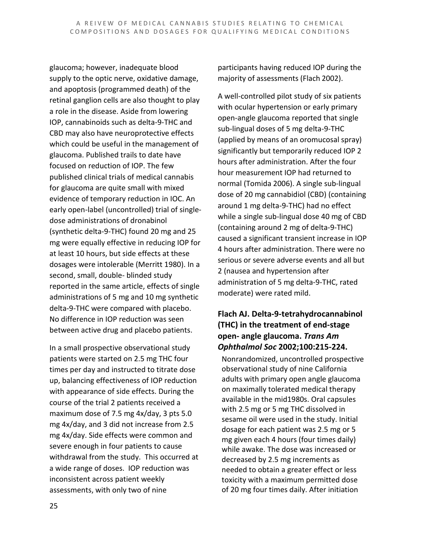glaucoma; however, inadequate blood supply to the optic nerve, oxidative damage, and apoptosis (programmed death) of the retinal ganglion cells are also thought to play a role in the disease. Aside from lowering IOP, cannabinoids such as delta-9-THC and CBD may also have neuroprotective effects which could be useful in the management of glaucoma. Published trails to date have focused on reduction of IOP. The few published clinical trials of medical cannabis for glaucoma are quite small with mixed evidence of temporary reduction in IOC. An early open-label (uncontrolled) trial of singledose administrations of dronabinol (synthetic delta-9-THC) found 20 mg and 25 mg were equally effective in reducing IOP for at least 10 hours, but side effects at these dosages were intolerable (Merritt 1980). In a second, small, double- blinded study reported in the same article, effects of single administrations of 5 mg and 10 mg synthetic delta-9-THC were compared with placebo. No difference in IOP reduction was seen between active drug and placebo patients.

In a small prospective observational study patients were started on 2.5 mg THC four times per day and instructed to titrate dose up, balancing effectiveness of IOP reduction with appearance of side effects. During the course of the trial 2 patients received a maximum dose of 7.5 mg 4x/day, 3 pts 5.0 mg 4x/day, and 3 did not increase from 2.5 mg 4x/day. Side effects were common and severe enough in four patients to cause withdrawal from the study. This occurred at a wide range of doses. IOP reduction was inconsistent across patient weekly assessments, with only two of nine

participants having reduced IOP during the majority of assessments (Flach 2002).

A well-controlled pilot study of six patients with ocular hypertension or early primary open-angle glaucoma reported that single sub-lingual doses of 5 mg delta-9-THC (applied by means of an oromucosal spray) significantly but temporarily reduced IOP 2 hours after administration. After the four hour measurement IOP had returned to normal (Tomida 2006). A single sub-lingual dose of 20 mg cannabidiol (CBD) (containing around 1 mg delta-9-THC) had no effect while a single sub-lingual dose 40 mg of CBD (containing around 2 mg of delta-9-THC) caused a significant transient increase in IOP 4 hours after administration. There were no serious or severe adverse events and all but 2 (nausea and hypertension after administration of 5 mg delta-9-THC, rated moderate) were rated mild.

#### **Flach AJ. Delta-9-tetrahydrocannabinol (THC) in the treatment of end-stage open- angle glaucoma.** *Trans Am Ophthalmol Soc* **2002;100:215-224.**

Nonrandomized, uncontrolled prospective observational study of nine California adults with primary open angle glaucoma on maximally tolerated medical therapy available in the mid1980s. Oral capsules with 2.5 mg or 5 mg THC dissolved in sesame oil were used in the study. Initial dosage for each patient was 2.5 mg or 5 mg given each 4 hours (four times daily) while awake. The dose was increased or decreased by 2.5 mg increments as needed to obtain a greater effect or less toxicity with a maximum permitted dose of 20 mg four times daily. After initiation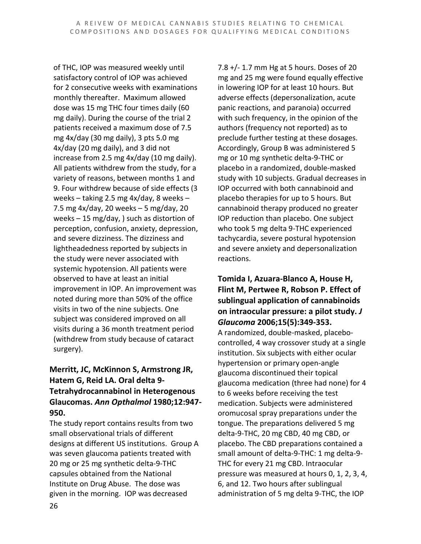of THC, IOP was measured weekly until satisfactory control of IOP was achieved for 2 consecutive weeks with examinations monthly thereafter. Maximum allowed dose was 15 mg THC four times daily (60 mg daily). During the course of the trial 2 patients received a maximum dose of 7.5 mg 4x/day (30 mg daily), 3 pts 5.0 mg 4x/day (20 mg daily), and 3 did not increase from 2.5 mg 4x/day (10 mg daily). All patients withdrew from the study, for a variety of reasons, between months 1 and 9. Four withdrew because of side effects (3 weeks – taking 2.5 mg 4x/day, 8 weeks – 7.5 mg 4x/day, 20 weeks – 5 mg/day, 20 weeks – 15 mg/day, ) such as distortion of perception, confusion, anxiety, depression, and severe dizziness. The dizziness and lightheadedness reported by subjects in the study were never associated with systemic hypotension. All patients were observed to have at least an initial improvement in IOP. An improvement was noted during more than 50% of the office visits in two of the nine subjects. One subject was considered improved on all visits during a 36 month treatment period (withdrew from study because of cataract surgery).

#### **Merritt, JC, McKinnon S, Armstrong JR, Hatem G, Reid LA. Oral delta 9- Tetrahydrocannabinol in Heterogenous Glaucomas.** *Ann Opthalmol* **1980;12:947- 950.**

The study report contains results from two small observational trials of different designs at different US institutions. Group A was seven glaucoma patients treated with 20 mg or 25 mg synthetic delta-9-THC capsules obtained from the National Institute on Drug Abuse. The dose was given in the morning. IOP was decreased

7.8 +/- 1.7 mm Hg at 5 hours. Doses of 20 mg and 25 mg were found equally effective in lowering IOP for at least 10 hours. But adverse effects (depersonalization, acute panic reactions, and paranoia) occurred with such frequency, in the opinion of the authors (frequency not reported) as to preclude further testing at these dosages. Accordingly, Group B was administered 5 mg or 10 mg synthetic delta-9-THC or placebo in a randomized, double-masked study with 10 subjects. Gradual decreases in IOP occurred with both cannabinoid and placebo therapies for up to 5 hours. But cannabinoid therapy produced no greater IOP reduction than placebo. One subject who took 5 mg delta 9-THC experienced tachycardia, severe postural hypotension and severe anxiety and depersonalization reactions.

#### **Tomida I, Azuara-Blanco A, House H, Flint M, Pertwee R, Robson P. Effect of sublingual application of cannabinoids on intraocular pressure: a pilot study.** *J Glaucoma* **2006;15(5):349-353.**

A randomized, double-masked, placebocontrolled, 4 way crossover study at a single institution. Six subjects with either ocular hypertension or primary open-angle glaucoma discontinued their topical glaucoma medication (three had none) for 4 to 6 weeks before receiving the test medication. Subjects were administered oromucosal spray preparations under the tongue. The preparations delivered 5 mg delta-9-THC, 20 mg CBD, 40 mg CBD, or placebo. The CBD preparations contained a small amount of delta-9-THC: 1 mg delta-9- THC for every 21 mg CBD. Intraocular pressure was measured at hours 0, 1, 2, 3, 4, 6, and 12. Two hours after sublingual administration of 5 mg delta 9-THC, the IOP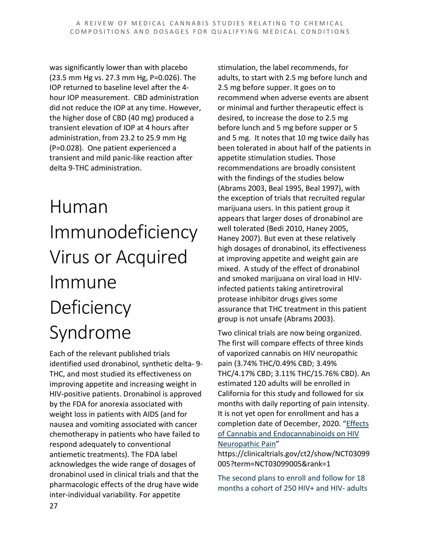was significantly lower than with placebo (23.5 mm Hg vs. 27.3 mm Hg, P=0.026). The IOP returned to baseline level after the 4 hour IOP measurement. CBD administration did not reduce the IOP at any time. However, the higher dose of CBD (40 mg) produced a transient elevation of IOP at 4 hours after administration, from 23.2 to 25.9 mm Hg (P=0.028). One patient experienced a transient and mild panic-like reaction after delta 9-THC administration.

# Human Immunodeficiency Virus or Acquired Immune **Deficiency** Syndrome

Each of the relevant published trials identified used dronabinol, synthetic delta- 9- THC, and most studied its effectiveness on improving appetite and increasing weight in HIV-positive patients. Dronabinol is approved by the FDA for anorexia associated with weight loss in patients with AIDS (and for nausea and vomiting associated with cancer chemotherapy in patients who have failed to respond adequately to conventional antiemetic treatments). The FDA label acknowledges the wide range of dosages of dronabinol used in clinical trials and that the pharmacologic effects of the drug have wide inter-individual variability. For appetite

stimulation, the label recommends, for adults, to start with 2.5 mg before lunch and 2.5 mg before supper. It goes on to recommend when adverse events are absent or minimal and further therapeutic effect is desired, to increase the dose to 2.5 mg before lunch and 5 mg before supper or 5 and 5 mg. It notes that 10 mg twice daily has been tolerated in about half of the patients in appetite stimulation studies. Those recommendations are broadly consistent with the findings of the studies below (Abrams 2003, Beal 1995, Beal 1997), with the exception of trials that recruited regular marijuana users. In this patient group it appears that larger doses of dronabinol are well tolerated (Bedi 2010, Haney 2005, Haney 2007). But even at these relatively high dosages of dronabinol, its effectiveness at improving appetite and weight gain are mixed. A study of the effect of dronabinol and smoked marijuana on viral load in HIVinfected patients taking antiretroviral protease inhibitor drugs gives some assurance that THC treatment in this patient group is not unsafe (Abrams 2003).

Two clinical trials are now being organized. The first will compare effects of three kinds of vaporized cannabis on HIV neuropathic pain (3.74% THC/0.49% CBD; 3.49% THC/4.17% CBD; 3.11% THC/15.76% CBD). An estimated 120 adults will be enrolled in California for this study and followed for six months with daily reporting of pain intensity. It is not yet open for enrollment and has a completion date of December, 2020. ["Effects](https://clinicaltrials.gov/ct2/show/NCT03099005?term=NCT03099005&rank=1)  [of Cannabis and Endocannabinoids on HIV](https://clinicaltrials.gov/ct2/show/NCT03099005?term=NCT03099005&rank=1)  [Neuropathic Pain"](https://clinicaltrials.gov/ct2/show/NCT03099005?term=NCT03099005&rank=1)

https://clinicaltrials.gov/ct2/show/NCT03099 005?term=NCT03099005&rank=1

The second plans to enroll and follow for 18 months a cohort of 250 HIV+ and HIV- adults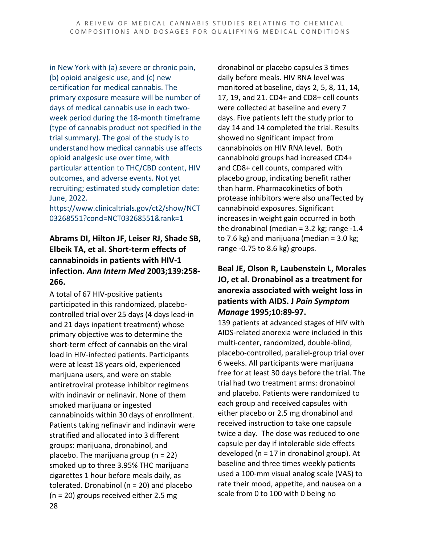in New York with (a) severe or chronic pain, (b) opioid analgesic use, and (c) new certification for medical cannabis. The primary exposure measure will be number of days of medical cannabis use in each twoweek period during the 18-month timeframe (type of cannabis product not specified in the trial summary). The goal of the study is to understand how medical cannabis use affects opioid analgesic use over time, with particular attention to THC/CBD content, HIV outcomes, and adverse events. Not yet recruiting; estimated study completion date: June, 2022.

https://www.clinicaltrials.gov/ct2/show/NCT 03268551?cond=NCT03268551&rank=1

#### **Abrams DI, Hilton JF, Leiser RJ, Shade SB, Elbeik TA, et al. Short-term effects of cannabinoids in patients with HIV-1 infection.** *Ann Intern Med* **2003;139:258- 266.**

28 A total of 67 HIV-positive patients participated in this randomized, placebocontrolled trial over 25 days (4 days lead-in and 21 days inpatient treatment) whose primary objective was to determine the short-term effect of cannabis on the viral load in HIV-infected patients. Participants were at least 18 years old, experienced marijuana users, and were on stable antiretroviral protease inhibitor regimens with indinavir or nelinavir. None of them smoked marijuana or ingested cannabinoids within 30 days of enrollment. Patients taking nefinavir and indinavir were stratified and allocated into 3 different groups: marijuana, dronabinol, and placebo. The marijuana group ( $n = 22$ ) smoked up to three 3.95% THC marijuana cigarettes 1 hour before meals daily, as tolerated. Dronabinol ( $n = 20$ ) and placebo (n = 20) groups received either 2.5 mg

dronabinol or placebo capsules 3 times daily before meals. HIV RNA level was monitored at baseline, days 2, 5, 8, 11, 14, 17, 19, and 21. CD4+ and CD8+ cell counts were collected at baseline and every 7 days. Five patients left the study prior to day 14 and 14 completed the trial. Results showed no significant impact from cannabinoids on HIV RNA level. Both cannabinoid groups had increased CD4+ and CD8+ cell counts, compared with placebo group, indicating benefit rather than harm. Pharmacokinetics of both protease inhibitors were also unaffected by cannabinoid exposures. Significant increases in weight gain occurred in both the dronabinol (median = 3.2 kg; range -1.4 to 7.6 kg) and marijuana (median =  $3.0$  kg; range -0.75 to 8.6 kg) groups.

#### **Beal JE, Olson R, Laubenstein L, Morales JO, et al. Dronabinol as a treatment for anorexia associated with weight loss in patients with AIDS. J** *Pain Symptom Manage* **1995;10:89-97.**

139 patients at advanced stages of HIV with AIDS-related anorexia were included in this multi-center, randomized, double-blind, placebo-controlled, parallel-group trial over 6 weeks. All participants were marijuana free for at least 30 days before the trial. The trial had two treatment arms: dronabinol and placebo. Patients were randomized to each group and received capsules with either placebo or 2.5 mg dronabinol and received instruction to take one capsule twice a day. The dose was reduced to one capsule per day if intolerable side effects developed (n = 17 in dronabinol group). At baseline and three times weekly patients used a 100-mm visual analog scale (VAS) to rate their mood, appetite, and nausea on a scale from 0 to 100 with 0 being no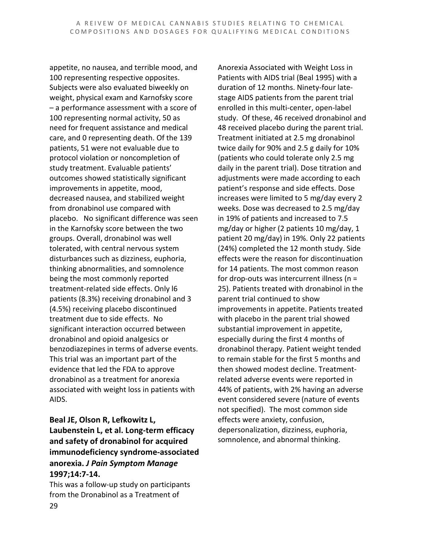appetite, no nausea, and terrible mood, and 100 representing respective opposites. Subjects were also evaluated biweekly on weight, physical exam and Karnofsky score – a performance assessment with a score of 100 representing normal activity, 50 as need for frequent assistance and medical care, and 0 representing death. Of the 139 patients, 51 were not evaluable due to protocol violation or noncompletion of study treatment. Evaluable patients' outcomes showed statistically significant improvements in appetite, mood, decreased nausea, and stabilized weight from dronabinol use compared with placebo. No significant difference was seen in the Karnofsky score between the two groups. Overall, dronabinol was well tolerated, with central nervous system disturbances such as dizziness, euphoria, thinking abnormalities, and somnolence being the most commonly reported treatment-related side effects. Only l6 patients (8.3%) receiving dronabinol and 3 (4.5%) receiving placebo discontinued treatment due to side effects. No significant interaction occurred between dronabinol and opioid analgesics or benzodiazepines in terms of adverse events. This trial was an important part of the evidence that led the FDA to approve dronabinol as a treatment for anorexia associated with weight loss in patients with AIDS.

#### **Beal JE, Olson R, Lefkowitz L, Laubenstein L, et al. Long-term efficacy and safety of dronabinol for acquired immunodeficiency syndrome-associated anorexia.** *J Pain Symptom Manage*  **1997;14:7-14.**

29 This was a follow-up study on participants from the Dronabinol as a Treatment of

Anorexia Associated with Weight Loss in Patients with AIDS trial (Beal 1995) with a duration of 12 months. Ninety-four latestage AIDS patients from the parent trial enrolled in this multi-center, open-label study. Of these, 46 received dronabinol and 48 received placebo during the parent trial. Treatment initiated at 2.5 mg dronabinol twice daily for 90% and 2.5 g daily for 10% (patients who could tolerate only 2.5 mg daily in the parent trial). Dose titration and adjustments were made according to each patient's response and side effects. Dose increases were limited to 5 mg/day every 2 weeks. Dose was decreased to 2.5 mg/day in 19% of patients and increased to 7.5 mg/day or higher (2 patients 10 mg/day, 1 patient 20 mg/day) in 19%. Only 22 patients (24%) completed the 12 month study. Side effects were the reason for discontinuation for 14 patients. The most common reason for drop-outs was intercurrent illness (n = 25). Patients treated with dronabinol in the parent trial continued to show improvements in appetite. Patients treated with placebo in the parent trial showed substantial improvement in appetite, especially during the first 4 months of dronabinol therapy. Patient weight tended to remain stable for the first 5 months and then showed modest decline. Treatmentrelated adverse events were reported in 44% of patients, with 2% having an adverse event considered severe (nature of events not specified). The most common side effects were anxiety, confusion, depersonalization, dizziness, euphoria, somnolence, and abnormal thinking.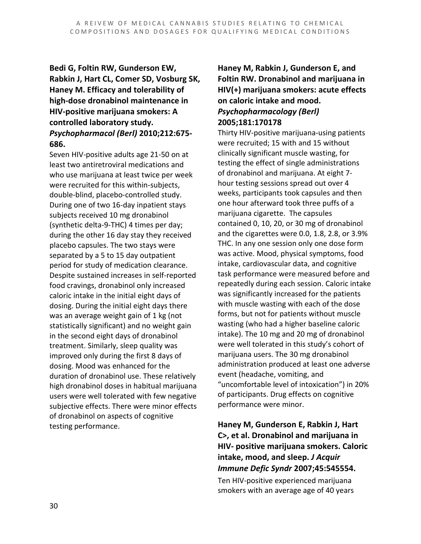#### **Bedi G, Foltin RW, Gunderson EW, Rabkin J, Hart CL, Comer SD, Vosburg SK, Haney M. Efficacy and tolerability of high-dose dronabinol maintenance in HIV-positive marijuana smokers: A controlled laboratory study.**  *Psychopharmacol (Berl)* **2010;212:675- 686.**

Seven HIV-positive adults age 21-50 on at least two antiretroviral medications and who use marijuana at least twice per week were recruited for this within-subjects, double-blind, placebo-controlled study. During one of two 16-day inpatient stays subjects received 10 mg dronabinol (synthetic delta-9-THC) 4 times per day; during the other 16 day stay they received placebo capsules. The two stays were separated by a 5 to 15 day outpatient period for study of medication clearance. Despite sustained increases in self-reported food cravings, dronabinol only increased caloric intake in the initial eight days of dosing. During the initial eight days there was an average weight gain of 1 kg (not statistically significant) and no weight gain in the second eight days of dronabinol treatment. Similarly, sleep quality was improved only during the first 8 days of dosing. Mood was enhanced for the duration of dronabinol use. These relatively high dronabinol doses in habitual marijuana users were well tolerated with few negative subjective effects. There were minor effects of dronabinol on aspects of cognitive testing performance.

#### **Haney M, Rabkin J, Gunderson E, and Foltin RW. Dronabinol and marijuana in HIV(+) marijuana smokers: acute effects on caloric intake and mood.** *Psychopharmacology (Berl)* **2005;181:170178**

Thirty HIV-positive marijuana-using patients were recruited; 15 with and 15 without clinically significant muscle wasting, for testing the effect of single administrations of dronabinol and marijuana. At eight 7 hour testing sessions spread out over 4 weeks, participants took capsules and then one hour afterward took three puffs of a marijuana cigarette. The capsules contained 0, 10, 20, or 30 mg of dronabinol and the cigarettes were 0.0, 1.8, 2.8, or 3.9% THC. In any one session only one dose form was active. Mood, physical symptoms, food intake, cardiovascular data, and cognitive task performance were measured before and repeatedly during each session. Caloric intake was significantly increased for the patients with muscle wasting with each of the dose forms, but not for patients without muscle wasting (who had a higher baseline caloric intake). The 10 mg and 20 mg of dronabinol were well tolerated in this study's cohort of marijuana users. The 30 mg dronabinol administration produced at least one adverse event (headache, vomiting, and "uncomfortable level of intoxication") in 20% of participants. Drug effects on cognitive performance were minor.

#### **Haney M, Gunderson E, Rabkin J, Hart C>, et al. Dronabinol and marijuana in HIV- positive marijuana smokers. Caloric intake, mood, and sleep.** *J Acquir Immune Defic Syndr* **2007;45:545554.**

Ten HIV-positive experienced marijuana smokers with an average age of 40 years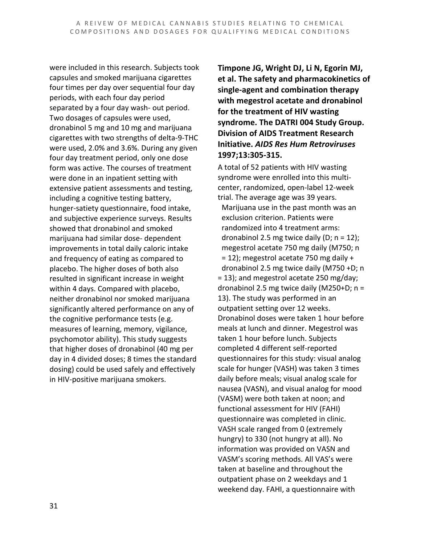were included in this research. Subjects took capsules and smoked marijuana cigarettes four times per day over sequential four day periods, with each four day period separated by a four day wash- out period. Two dosages of capsules were used, dronabinol 5 mg and 10 mg and marijuana cigarettes with two strengths of delta-9-THC were used, 2.0% and 3.6%. During any given four day treatment period, only one dose form was active. The courses of treatment were done in an inpatient setting with extensive patient assessments and testing, including a cognitive testing battery, hunger-satiety questionnaire, food intake, and subjective experience surveys. Results showed that dronabinol and smoked marijuana had similar dose- dependent improvements in total daily caloric intake and frequency of eating as compared to placebo. The higher doses of both also resulted in significant increase in weight within 4 days. Compared with placebo, neither dronabinol nor smoked marijuana significantly altered performance on any of the cognitive performance tests (e.g. measures of learning, memory, vigilance, psychomotor ability). This study suggests that higher doses of dronabinol (40 mg per day in 4 divided doses; 8 times the standard dosing) could be used safely and effectively in HIV-positive marijuana smokers.

**Timpone JG, Wright DJ, Li N, Egorin MJ, et al. The safety and pharmacokinetics of single-agent and combination therapy with megestrol acetate and dronabinol for the treatment of HIV wasting syndrome. The DATRI 004 Study Group. Division of AIDS Treatment Research Initiative.** *AIDS Res Hum Retroviruses*  **1997;13:305-315.**

A total of 52 patients with HIV wasting syndrome were enrolled into this multicenter, randomized, open-label 12-week trial. The average age was 39 years. Marijuana use in the past month was an exclusion criterion. Patients were randomized into 4 treatment arms: dronabinol 2.5 mg twice daily (D;  $n = 12$ ); megestrol acetate 750 mg daily (M750; n  $= 12$ ); megestrol acetate 750 mg daily + dronabinol 2.5 mg twice daily (M750 +D; n = 13); and megestrol acetate 250 mg/day; dronabinol 2.5 mg twice daily (M250+D; n = 13). The study was performed in an outpatient setting over 12 weeks. Dronabinol doses were taken 1 hour before meals at lunch and dinner. Megestrol was taken 1 hour before lunch. Subjects completed 4 different self-reported questionnaires for this study: visual analog scale for hunger (VASH) was taken 3 times daily before meals; visual analog scale for nausea (VASN), and visual analog for mood (VASM) were both taken at noon; and functional assessment for HIV (FAHI) questionnaire was completed in clinic. VASH scale ranged from 0 (extremely hungry) to 330 (not hungry at all). No information was provided on VASN and VASM's scoring methods. All VAS's were taken at baseline and throughout the outpatient phase on 2 weekdays and 1 weekend day. FAHI, a questionnaire with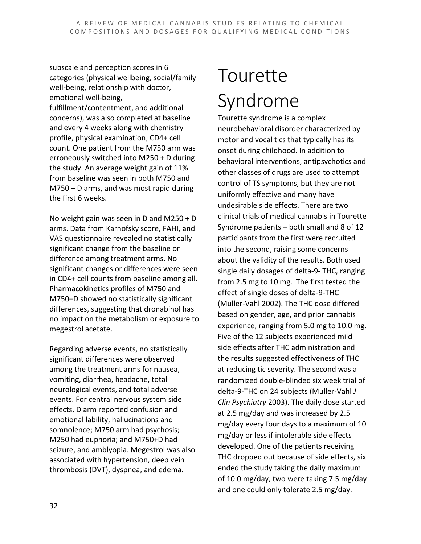subscale and perception scores in 6 categories (physical wellbeing, social/family well-being, relationship with doctor, emotional well-being, fulfillment/contentment, and additional concerns), was also completed at baseline and every 4 weeks along with chemistry profile, physical examination, CD4+ cell count. One patient from the M750 arm was erroneously switched into M250 + D during the study. An average weight gain of 11% from baseline was seen in both M750 and M750 + D arms, and was most rapid during the first 6 weeks.

No weight gain was seen in D and M250 + D arms. Data from Karnofsky score, FAHI, and VAS questionnaire revealed no statistically significant change from the baseline or difference among treatment arms. No significant changes or differences were seen in CD4+ cell counts from baseline among all. Pharmacokinetics profiles of M750 and M750+D showed no statistically significant differences, suggesting that dronabinol has no impact on the metabolism or exposure to megestrol acetate.

Regarding adverse events, no statistically significant differences were observed among the treatment arms for nausea, vomiting, diarrhea, headache, total neurological events, and total adverse events. For central nervous system side effects, D arm reported confusion and emotional lability, hallucinations and somnolence; M750 arm had psychosis; M250 had euphoria; and M750+D had seizure, and amblyopia. Megestrol was also associated with hypertension, deep vein thrombosis (DVT), dyspnea, and edema.

# Tourette Syndrome

Tourette syndrome is a complex neurobehavioral disorder characterized by motor and vocal tics that typically has its onset during childhood. In addition to behavioral interventions, antipsychotics and other classes of drugs are used to attempt control of TS symptoms, but they are not uniformly effective and many have undesirable side effects. There are two clinical trials of medical cannabis in Tourette Syndrome patients – both small and 8 of 12 participants from the first were recruited into the second, raising some concerns about the validity of the results. Both used single daily dosages of delta-9- THC, ranging from 2.5 mg to 10 mg. The first tested the effect of single doses of delta-9-THC (Muller-Vahl 2002). The THC dose differed based on gender, age, and prior cannabis experience, ranging from 5.0 mg to 10.0 mg. Five of the 12 subjects experienced mild side effects after THC administration and the results suggested effectiveness of THC at reducing tic severity. The second was a randomized double-blinded six week trial of delta-9-THC on 24 subjects (Muller-Vahl *J Clin Psychiatry* 2003). The daily dose started at 2.5 mg/day and was increased by 2.5 mg/day every four days to a maximum of 10 mg/day or less if intolerable side effects developed. One of the patients receiving THC dropped out because of side effects, six ended the study taking the daily maximum of 10.0 mg/day, two were taking 7.5 mg/day and one could only tolerate 2.5 mg/day.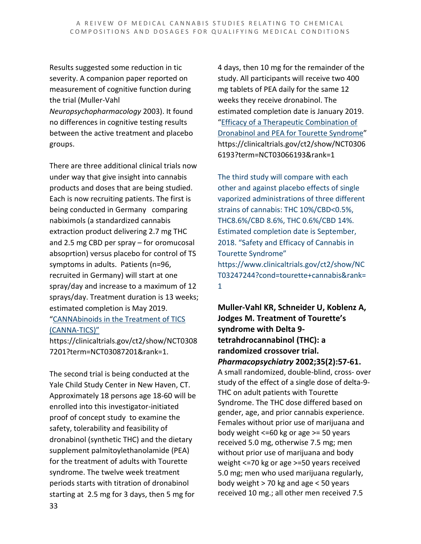Results suggested some reduction in tic severity. A companion paper reported on measurement of cognitive function during the trial (Muller-Vahl

*Neuropsychopharmacology* 2003). It found no differences in cognitive testing results between the active treatment and placebo groups.

There are three additional clinical trials now under way that give insight into cannabis products and doses that are being studied. Each is now recruiting patients. The first is being conducted in Germany comparing nabiximols (a standardized cannabis extraction product delivering 2.7 mg THC and 2.5 mg CBD per spray – for oromucosal absoprtion) versus placebo for control of TS symptoms in adults. Patients (n=96, recruited in Germany) will start at one spray/day and increase to a maximum of 12 sprays/day. Treatment duration is 13 weeks; estimated completion is May 2019. ["CANNAbinoids in the Treatment of TICS](https://clinicaltrials.gov/ct2/show/NCT03087201?term=NCT03087201&rank=1)  [\(CANNA-TICS\)"](https://clinicaltrials.gov/ct2/show/NCT03087201?term=NCT03087201&rank=1)

https://clinicaltrials.gov/ct2/show/NCT0308 7201?term=NCT03087201&rank=1.

The second trial is being conducted at the Yale Child Study Center in New Haven, CT. Approximately 18 persons age 18-60 will be enrolled into this investigator-initiated proof of concept study to examine the safety, tolerability and feasibility of dronabinol (synthetic THC) and the dietary supplement palmitoylethanolamide (PEA) for the treatment of adults with Tourette syndrome. The twelve week treatment periods starts with titration of dronabinol starting at 2.5 mg for 3 days, then 5 mg for

4 days, then 10 mg for the remainder of the study. All participants will receive two 400 mg tablets of PEA daily for the same 12 weeks they receive dronabinol. The estimated completion date is January 2019. ["Efficacy of a Therapeutic Combination of](https://clinicaltrials.gov/ct2/show/NCT03066193?term=NCT03066193&rank=1)  [Dronabinol and PEA for Tourette Syndrome"](https://clinicaltrials.gov/ct2/show/NCT03066193?term=NCT03066193&rank=1) https://clinicaltrials.gov/ct2/show/NCT0306 6193?term=NCT03066193&rank=1

The third study will compare with each other and against placebo effects of single vaporized administrations of three different strains of cannabis: THC 10%/CBD<0.5%, THC8.6%/CBD 8.6%, THC 0.6%/CBD 14%. Estimated completion date is September, 2018. "Safety and Efficacy of Cannabis in Tourette Syndrome" https://www.clinicaltrials.gov/ct2/show/NC T03247244?cond=tourette+cannabis&rank= 1

**Muller-Vahl KR, Schneider U, Koblenz A, Jodges M. Treatment of Tourette's syndrome with Delta 9 tetrahdrocannabinol (THC): a randomized crossover trial.**  *Pharmacopsychiatry* **2002;35(2):57-61.** A small randomized, double-blind, cross- over study of the effect of a single dose of delta-9- THC on adult patients with Tourette Syndrome. The THC dose differed based on gender, age, and prior cannabis experience. Females without prior use of marijuana and

body weight <=60 kg or age >= 50 years received 5.0 mg, otherwise 7.5 mg; men without prior use of marijuana and body weight <=70 kg or age >=50 years received 5.0 mg; men who used marijuana regularly, body weight > 70 kg and age < 50 years received 10 mg.; all other men received 7.5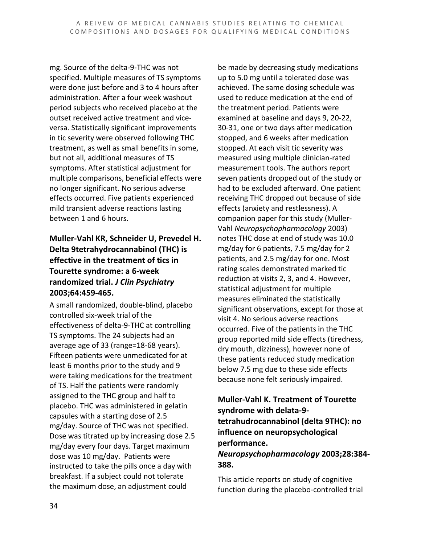mg. Source of the delta-9-THC was not specified. Multiple measures of TS symptoms were done just before and 3 to 4 hours after administration. After a four week washout period subjects who received placebo at the outset received active treatment and viceversa. Statistically significant improvements in tic severity were observed following THC treatment, as well as small benefits in some, but not all, additional measures of TS symptoms. After statistical adjustment for multiple comparisons, beneficial effects were no longer significant. No serious adverse effects occurred. Five patients experienced mild transient adverse reactions lasting between 1 and 6 hours.

#### **Muller-Vahl KR, Schneider U, Prevedel H. Delta 9tetrahydrocannabinol (THC) is effective in the treatment of tics in Tourette syndrome: a 6-week randomized trial.** *J Clin Psychiatry* **2003;64:459-465.**

A small randomized, double-blind, placebo controlled six-week trial of the effectiveness of delta-9-THC at controlling TS symptoms. The 24 subjects had an average age of 33 (range=18-68 years). Fifteen patients were unmedicated for at least 6 months prior to the study and 9 were taking medications for the treatment of TS. Half the patients were randomly assigned to the THC group and half to placebo. THC was administered in gelatin capsules with a starting dose of 2.5 mg/day. Source of THC was not specified. Dose was titrated up by increasing dose 2.5 mg/day every four days. Target maximum dose was 10 mg/day. Patients were instructed to take the pills once a day with breakfast. If a subject could not tolerate the maximum dose, an adjustment could

be made by decreasing study medications up to 5.0 mg until a tolerated dose was achieved. The same dosing schedule was used to reduce medication at the end of the treatment period. Patients were examined at baseline and days 9, 20-22, 30-31, one or two days after medication stopped, and 6 weeks after medication stopped. At each visit tic severity was measured using multiple clinician-rated measurement tools. The authors report seven patients dropped out of the study or had to be excluded afterward. One patient receiving THC dropped out because of side effects (anxiety and restlessness). A companion paper for this study (Muller-Vahl *Neuropsychopharmacology* 2003) notes THC dose at end of study was 10.0 mg/day for 6 patients, 7.5 mg/day for 2 patients, and 2.5 mg/day for one. Most rating scales demonstrated marked tic reduction at visits 2, 3, and 4. However, statistical adjustment for multiple measures eliminated the statistically significant observations, except for those at visit 4. No serious adverse reactions occurred. Five of the patients in the THC group reported mild side effects (tiredness, dry mouth, dizziness), however none of these patients reduced study medication below 7.5 mg due to these side effects because none felt seriously impaired.

#### **Muller-Vahl K. Treatment of Tourette syndrome with delata-9 tetrahudrocannabinol (delta 9THC): no influence on neuropsychological performance.**

#### *Neuropsychopharmacology* **2003;28:384- 388.**

This article reports on study of cognitive function during the placebo-controlled trial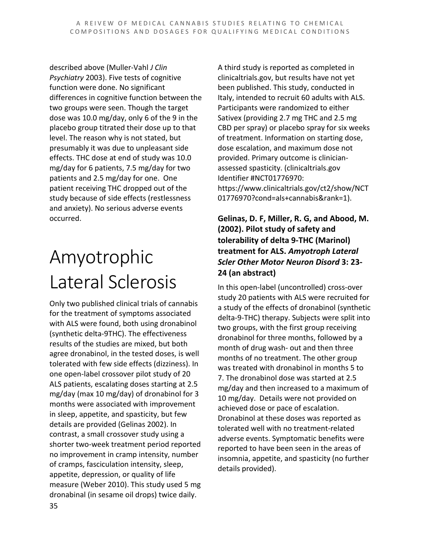described above (Muller-Vahl *J Clin Psychiatry* 2003). Five tests of cognitive function were done. No significant differences in cognitive function between the two groups were seen. Though the target dose was 10.0 mg/day, only 6 of the 9 in the placebo group titrated their dose up to that level. The reason why is not stated, but presumably it was due to unpleasant side effects. THC dose at end of study was 10.0 mg/day for 6 patients, 7.5 mg/day for two patients and 2.5 mg/day for one. One patient receiving THC dropped out of the study because of side effects (restlessness and anxiety). No serious adverse events occurred.

# Amyotrophic Lateral Sclerosis

Only two published clinical trials of cannabis for the treatment of symptoms associated with ALS were found, both using dronabinol (synthetic delta-9THC). The effectiveness results of the studies are mixed, but both agree dronabinol, in the tested doses, is well tolerated with few side effects (dizziness). In one open-label crossover pilot study of 20 ALS patients, escalating doses starting at 2.5 mg/day (max 10 mg/day) of dronabinol for 3 months were associated with improvement in sleep, appetite, and spasticity, but few details are provided (Gelinas 2002). In contrast, a small crossover study using a shorter two-week treatment period reported no improvement in cramp intensity, number of cramps, fasciculation intensity, sleep, appetite, depression, or quality of life measure (Weber 2010). This study used 5 mg dronabinal (in sesame oil drops) twice daily.

A third study is reported as completed in clinicaltrials.gov, but results have not yet been published. This study, conducted in Italy, intended to recruit 60 adults with ALS. Participants were randomized to either Sativex (providing 2.7 mg THC and 2.5 mg CBD per spray) or placebo spray for six weeks of treatment. Information on starting dose, dose escalation, and maximum dose not provided. Primary outcome is clinicianassessed spasticity. (clinicaltrials.gov Identifier #NCT01776970: https://www.clinicaltrials.gov/ct2/show/NCT 01776970?cond=als+cannabis&rank=1).

#### **Gelinas, D. F, Miller, R. G, and Abood, M. (2002). Pilot study of safety and tolerability of delta 9-THC (Marinol) treatment for ALS.** *Amyotroph Lateral Scler Other Motor Neuron Disord* **3: 23- 24 (an abstract)**

In this open-label (uncontrolled) cross-over study 20 patients with ALS were recruited for a study of the effects of dronabinol (synthetic delta-9-THC) therapy. Subjects were split into two groups, with the first group receiving dronabinol for three months, followed by a month of drug wash- out and then three months of no treatment. The other group was treated with dronabinol in months 5 to 7. The dronabinol dose was started at 2.5 mg/day and then increased to a maximum of 10 mg/day. Details were not provided on achieved dose or pace of escalation. Dronabinol at these doses was reported as tolerated well with no treatment-related adverse events. Symptomatic benefits were reported to have been seen in the areas of insomnia, appetite, and spasticity (no further details provided).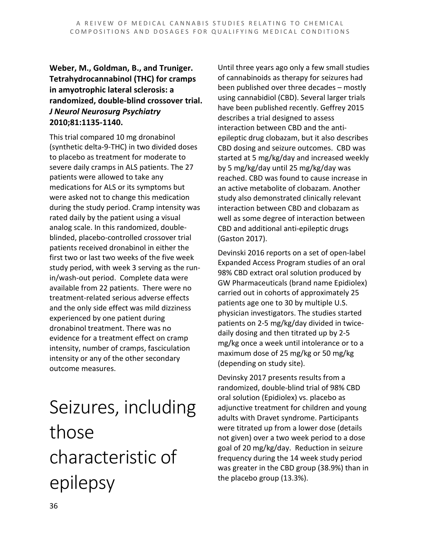#### **Weber, M., Goldman, B., and Truniger. Tetrahydrocannabinol (THC) for cramps in amyotrophic lateral sclerosis: a randomized, double-blind crossover trial.**  *J Neurol Neurosurg Psychiatry* **2010;81:1135-1140.**

This trial compared 10 mg dronabinol (synthetic delta-9-THC) in two divided doses to placebo as treatment for moderate to severe daily cramps in ALS patients. The 27 patients were allowed to take any medications for ALS or its symptoms but were asked not to change this medication during the study period. Cramp intensity was rated daily by the patient using a visual analog scale. In this randomized, doubleblinded, placebo-controlled crossover trial patients received dronabinol in either the first two or last two weeks of the five week study period, with week 3 serving as the runin/wash-out period. Complete data were available from 22 patients. There were no treatment-related serious adverse effects and the only side effect was mild dizziness experienced by one patient during dronabinol treatment. There was no evidence for a treatment effect on cramp intensity, number of cramps, fasciculation intensity or any of the other secondary outcome measures.

Seizures, including those characteristic of epilepsy

Until three years ago only a few small studies of cannabinoids as therapy for seizures had been published over three decades – mostly using cannabidiol (CBD). Several larger trials have been published recently. Geffrey 2015 describes a trial designed to assess interaction between CBD and the antiepileptic drug clobazam, but it also describes CBD dosing and seizure outcomes. CBD was started at 5 mg/kg/day and increased weekly by 5 mg/kg/day until 25 mg/kg/day was reached. CBD was found to cause increase in an active metabolite of clobazam. Another study also demonstrated clinically relevant interaction between CBD and clobazam as well as some degree of interaction between CBD and additional anti-epileptic drugs (Gaston 2017).

Devinski 2016 reports on a set of open-label Expanded Access Program studies of an oral 98% CBD extract oral solution produced by GW Pharmaceuticals (brand name Epidiolex) carried out in cohorts of approximately 25 patients age one to 30 by multiple U.S. physician investigators. The studies started patients on 2-5 mg/kg/day divided in twicedaily dosing and then titrated up by 2-5 mg/kg once a week until intolerance or to a maximum dose of 25 mg/kg or 50 mg/kg (depending on study site).

Devinsky 2017 presents results from a randomized, double-blind trial of 98% CBD oral solution (Epidiolex) vs. placebo as adjunctive treatment for children and young adults with Dravet syndrome. Participants were titrated up from a lower dose (details not given) over a two week period to a dose goal of 20 mg/kg/day. Reduction in seizure frequency during the 14 week study period was greater in the CBD group (38.9%) than in the placebo group (13.3%).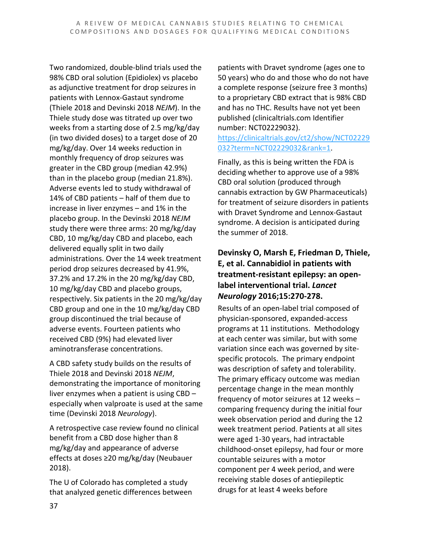Two randomized, double-blind trials used the 98% CBD oral solution (Epidiolex) vs placebo as adjunctive treatment for drop seizures in patients with Lennox-Gastaut syndrome (Thiele 2018 and Devinski 2018 *NEJM*). In the Thiele study dose was titrated up over two weeks from a starting dose of 2.5 mg/kg/day (in two divided doses) to a target dose of 20 mg/kg/day. Over 14 weeks reduction in monthly frequency of drop seizures was greater in the CBD group (median 42.9%) than in the placebo group (median 21.8%). Adverse events led to study withdrawal of 14% of CBD patients – half of them due to increase in liver enzymes – and 1% in the placebo group. In the Devinski 2018 *NEJM* study there were three arms: 20 mg/kg/day CBD, 10 mg/kg/day CBD and placebo, each delivered equally split in two daily administrations. Over the 14 week treatment period drop seizures decreased by 41.9%, 37.2% and 17.2% in the 20 mg/kg/day CBD, 10 mg/kg/day CBD and placebo groups, respectively. Six patients in the 20 mg/kg/day CBD group and one in the 10 mg/kg/day CBD group discontinued the trial because of adverse events. Fourteen patients who received CBD (9%) had elevated liver aminotransferase concentrations.

A CBD safety study builds on the results of Thiele 2018 and Devinski 2018 *NEJM*, demonstrating the importance of monitoring liver enzymes when a patient is using CBD – especially when valproate is used at the same time (Devinski 2018 *Neurology*).

A retrospective case review found no clinical benefit from a CBD dose higher than 8 mg/kg/day and appearance of adverse effects at doses ≥20 mg/kg/day (Neubauer 2018).

The U of Colorado has completed a study that analyzed genetic differences between patients with Dravet syndrome (ages one to 50 years) who do and those who do not have a complete response (seizure free 3 months) to a proprietary CBD extract that is 98% CBD and has no THC. Results have not yet been published (clinicaltrials.com Identifier number: NCT02229032).

[https://clinicaltrials.gov/ct2/show/NCT02229](https://clinicaltrials.gov/ct2/show/NCT02229032?term=NCT02229032&rank=1) [032?term=NCT02229032&rank=1.](https://clinicaltrials.gov/ct2/show/NCT02229032?term=NCT02229032&rank=1)

Finally, as this is being written the FDA is deciding whether to approve use of a 98% CBD oral solution (produced through cannabis extraction by GW Pharmaceuticals) for treatment of seizure disorders in patients with Dravet Syndrome and Lennox-Gastaut syndrome. A decision is anticipated during the summer of 2018.

#### **Devinsky O, Marsh E, Friedman D, Thiele, E, et al. Cannabidiol in patients with treatment-resistant epilepsy: an openlabel interventional trial.** *Lancet Neurology* **2016;15:270-278.**

Results of an open-label trial composed of physician-sponsored, expanded-access programs at 11 institutions. Methodology at each center was similar, but with some variation since each was governed by sitespecific protocols. The primary endpoint was description of safety and tolerability. The primary efficacy outcome was median percentage change in the mean monthly frequency of motor seizures at 12 weeks – comparing frequency during the initial four week observation period and during the 12 week treatment period. Patients at all sites were aged 1-30 years, had intractable childhood-onset epilepsy, had four or more countable seizures with a motor component per 4 week period, and were receiving stable doses of antiepileptic drugs for at least 4 weeks before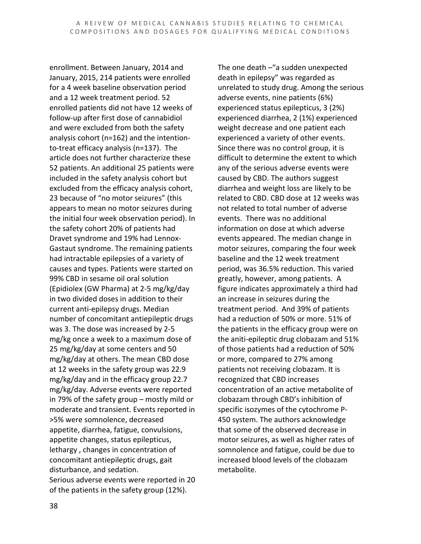enrollment. Between January, 2014 and January, 2015, 214 patients were enrolled for a 4 week baseline observation period and a 12 week treatment period. 52 enrolled patients did not have 12 weeks of follow-up after first dose of cannabidiol and were excluded from both the safety analysis cohort (n=162) and the intentionto-treat efficacy analysis (n=137). The article does not further characterize these 52 patients. An additional 25 patients were included in the safety analysis cohort but excluded from the efficacy analysis cohort, 23 because of "no motor seizures" (this appears to mean no motor seizures during the initial four week observation period). In the safety cohort 20% of patients had Dravet syndrome and 19% had Lennox-Gastaut syndrome. The remaining patients had intractable epilepsies of a variety of causes and types. Patients were started on 99% CBD in sesame oil oral solution (Epidiolex (GW Pharma) at 2-5 mg/kg/day in two divided doses in addition to their current anti-epilepsy drugs. Median number of concomitant antiepileptic drugs was 3. The dose was increased by 2-5 mg/kg once a week to a maximum dose of 25 mg/kg/day at some centers and 50 mg/kg/day at others. The mean CBD dose at 12 weeks in the safety group was 22.9 mg/kg/day and in the efficacy group 22.7 mg/kg/day. Adverse events were reported in 79% of the safety group – mostly mild or moderate and transient. Events reported in >5% were somnolence, decreased appetite, diarrhea, fatigue, convulsions, appetite changes, status epilepticus, lethargy , changes in concentration of concomitant antiepileptic drugs, gait disturbance, and sedation. Serious adverse events were reported in 20 of the patients in the safety group (12%).

The one death –"a sudden unexpected death in epilepsy" was regarded as unrelated to study drug. Among the serious adverse events, nine patients (6%) experienced status epilepticus, 3 (2%) experienced diarrhea, 2 (1%) experienced weight decrease and one patient each experienced a variety of other events. Since there was no control group, it is difficult to determine the extent to which any of the serious adverse events were caused by CBD. The authors suggest diarrhea and weight loss are likely to be related to CBD. CBD dose at 12 weeks was not related to total number of adverse events. There was no additional information on dose at which adverse events appeared. The median change in motor seizures, comparing the four week baseline and the 12 week treatment period, was 36.5% reduction. This varied greatly, however, among patients. A figure indicates approximately a third had an increase in seizures during the treatment period. And 39% of patients had a reduction of 50% or more. 51% of the patients in the efficacy group were on the aniti-epileptic drug clobazam and 51% of those patients had a reduction of 50% or more, compared to 27% among patients not receiving clobazam. It is recognized that CBD increases concentration of an active metabolite of clobazam through CBD's inhibition of specific isozymes of the cytochrome P-450 system. The authors acknowledge that some of the observed decrease in motor seizures, as well as higher rates of somnolence and fatigue, could be due to increased blood levels of the clobazam metabolite.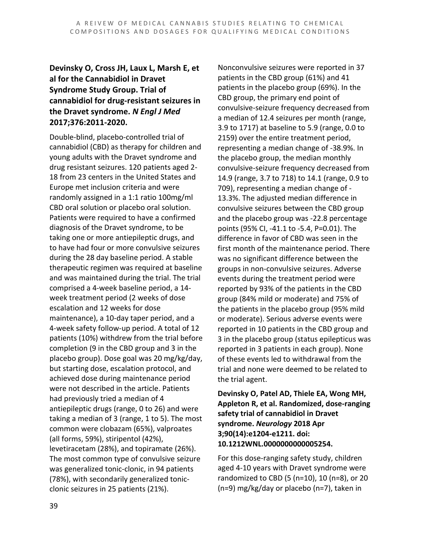#### **Devinsky O, Cross JH, Laux L, Marsh E, et al for the Cannabidiol in Dravet Syndrome Study Group. Trial of cannabidiol for drug-resistant seizures in the Dravet syndrome.** *N Engl J Med* **2017;376:2011-2020.**

Double-blind, placebo-controlled trial of cannabidiol (CBD) as therapy for children and young adults with the Dravet syndrome and drug resistant seizures. 120 patients aged 2- 18 from 23 centers in the United States and Europe met inclusion criteria and were randomly assigned in a 1:1 ratio 100mg/ml CBD oral solution or placebo oral solution. Patients were required to have a confirmed diagnosis of the Dravet syndrome, to be taking one or more antiepileptic drugs, and to have had four or more convulsive seizures during the 28 day baseline period. A stable therapeutic regimen was required at baseline and was maintained during the trial. The trial comprised a 4-week baseline period, a 14 week treatment period (2 weeks of dose escalation and 12 weeks for dose maintenance), a 10-day taper period, and a 4-week safety follow-up period. A total of 12 patients (10%) withdrew from the trial before completion (9 in the CBD group and 3 in the placebo group). Dose goal was 20 mg/kg/day, but starting dose, escalation protocol, and achieved dose during maintenance period were not described in the article. Patients had previously tried a median of 4 antiepileptic drugs (range, 0 to 26) and were taking a median of 3 (range, 1 to 5). The most common were clobazam (65%), valproates (all forms, 59%), stiripentol (42%), levetiracetam (28%), and topiramate (26%). The most common type of convulsive seizure was generalized tonic-clonic, in 94 patients (78%), with secondarily generalized tonicclonic seizures in 25 patients (21%).

Nonconvulsive seizures were reported in 37 patients in the CBD group (61%) and 41 patients in the placebo group (69%). In the CBD group, the primary end point of convulsive-seizure frequency decreased from a median of 12.4 seizures per month (range, 3.9 to 1717) at baseline to 5.9 (range, 0.0 to 2159) over the entire treatment period, representing a median change of -38.9%. In the placebo group, the median monthly convulsive-seizure frequency decreased from 14.9 (range, 3.7 to 718) to 14.1 (range, 0.9 to 709), representing a median change of - 13.3%. The adjusted median difference in convulsive seizures between the CBD group and the placebo group was -22.8 percentage points (95% CI, -41.1 to -5.4, P=0.01). The difference in favor of CBD was seen in the first month of the maintenance period. There was no significant difference between the groups in non-convulsive seizures. Adverse events during the treatment period were reported by 93% of the patients in the CBD group (84% mild or moderate) and 75% of the patients in the placebo group (95% mild or moderate). Serious adverse events were reported in 10 patients in the CBD group and 3 in the placebo group (status epilepticus was reported in 3 patients in each group). None of these events led to withdrawal from the trial and none were deemed to be related to the trial agent.

**Devinsky O, Patel AD, Thiele EA, Wong MH, Appleton R, et al. Randomized, dose-ranging safety trial of cannabidiol in Dravet syndrome.** *Neurology* **2018 Apr 3;90(14):e1204-e1211. doi: 10.1212WNL.0000000000005254.**

For this dose-ranging safety study, children aged 4-10 years with Dravet syndrome were randomized to CBD (5 (n=10), 10 (n=8), or 20 (n=9) mg/kg/day or placebo (n=7), taken in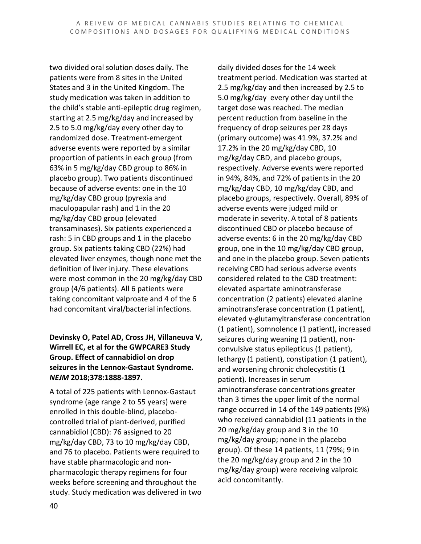two divided oral solution doses daily. The patients were from 8 sites in the United States and 3 in the United Kingdom. The study medication was taken in addition to the child's stable anti-epileptic drug regimen, starting at 2.5 mg/kg/day and increased by 2.5 to 5.0 mg/kg/day every other day to randomized dose. Treatment-emergent adverse events were reported by a similar proportion of patients in each group (from 63% in 5 mg/kg/day CBD group to 86% in placebo group). Two patients discontinued because of adverse events: one in the 10 mg/kg/day CBD group (pyrexia and maculopapular rash) and 1 in the 20 mg/kg/day CBD group (elevated transaminases). Six patients experienced a rash: 5 in CBD groups and 1 in the placebo group. Six patients taking CBD (22%) had elevated liver enzymes, though none met the definition of liver injury. These elevations were most common in the 20 mg/kg/day CBD group (4/6 patients). All 6 patients were taking concomitant valproate and 4 of the 6 had concomitant viral/bacterial infections.

#### **Devinsky O, Patel AD, Cross JH, Villaneuva V, Wirrell EC, et al for the GWPCARE3 Study Group. Effect of cannabidiol on drop seizures in the Lennox-Gastaut Syndrome.**  *NEJM* **2018;378:1888-1897.**

A total of 225 patients with Lennox-Gastaut syndrome (age range 2 to 55 years) were enrolled in this double-blind, placebocontrolled trial of plant-derived, purified cannabidiol (CBD): 76 assigned to 20 mg/kg/day CBD, 73 to 10 mg/kg/day CBD, and 76 to placebo. Patients were required to have stable pharmacologic and nonpharmacologic therapy regimens for four weeks before screening and throughout the study. Study medication was delivered in two daily divided doses for the 14 week treatment period. Medication was started at 2.5 mg/kg/day and then increased by 2.5 to 5.0 mg/kg/day every other day until the target dose was reached. The median percent reduction from baseline in the frequency of drop seizures per 28 days (primary outcome) was 41.9%, 37.2% and 17.2% in the 20 mg/kg/day CBD, 10 mg/kg/day CBD, and placebo groups, respectively. Adverse events were reported in 94%, 84%, and 72% of patients in the 20 mg/kg/day CBD, 10 mg/kg/day CBD, and placebo groups, respectively. Overall, 89% of adverse events were judged mild or moderate in severity. A total of 8 patients discontinued CBD or placebo because of adverse events: 6 in the 20 mg/kg/day CBD group, one in the 10 mg/kg/day CBD group, and one in the placebo group. Seven patients receiving CBD had serious adverse events considered related to the CBD treatment: elevated aspartate aminotransferase concentration (2 patients) elevated alanine aminotransferase concentration (1 patient), elevated γ-glutamyltransferase concentration (1 patient), somnolence (1 patient), increased seizures during weaning (1 patient), nonconvulsive status epilepticus (1 patient), lethargy (1 patient), constipation (1 patient), and worsening chronic cholecystitis (1 patient). Increases in serum aminotransferase concentrations greater than 3 times the upper limit of the normal range occurred in 14 of the 149 patients (9%) who received cannabidiol (11 patients in the 20 mg/kg/day group and 3 in the 10 mg/kg/day group; none in the placebo group). Of these 14 patients, 11 (79%; 9 in the 20 mg/kg/day group and 2 in the 10 mg/kg/day group) were receiving valproic acid concomitantly.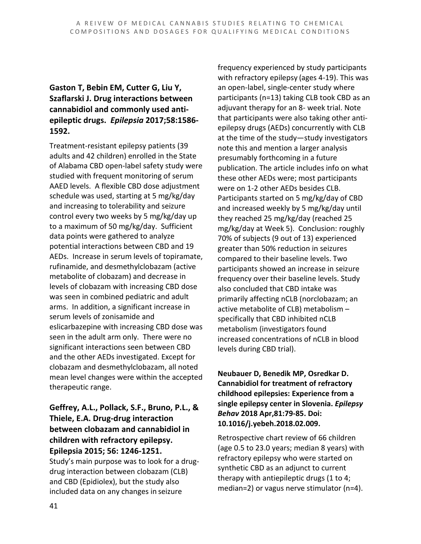#### **Gaston T, Bebin EM, Cutter G, Liu Y, Szaflarski J. Drug interactions between cannabidiol and commonly used antiepileptic drugs.** *Epilepsia* **2017;58:1586- 1592.**

Treatment-resistant epilepsy patients (39 adults and 42 children) enrolled in the State of Alabama CBD open-label safety study were studied with frequent monitoring of serum AAED levels. A flexible CBD dose adjustment schedule was used, starting at 5 mg/kg/day and increasing to tolerability and seizure control every two weeks by 5 mg/kg/day up to a maximum of 50 mg/kg/day. Sufficient data points were gathered to analyze potential interactions between CBD and 19 AEDs. Increase in serum levels of topiramate, rufinamide, and desmethylclobazam (active metabolite of clobazam) and decrease in levels of clobazam with increasing CBD dose was seen in combined pediatric and adult arms. In addition, a significant increase in serum levels of zonisamide and eslicarbazepine with increasing CBD dose was seen in the adult arm only. There were no significant interactions seen between CBD and the other AEDs investigated. Except for clobazam and desmethylclobazam, all noted mean level changes were within the accepted therapeutic range.

**Geffrey, A.L., Pollack, S.F., Bruno, P.L., & Thiele, E.A. Drug-drug interaction between clobazam and cannabidiol in children with refractory epilepsy. Epilepsia 2015; 56: 1246-1251.** Study's main purpose was to look for a drug-

drug interaction between clobazam (CLB) and CBD (Epidiolex), but the study also included data on any changes in seizure

frequency experienced by study participants with refractory epilepsy (ages 4-19). This was an open-label, single-center study where participants (n=13) taking CLB took CBD as an adjuvant therapy for an 8- week trial. Note that participants were also taking other antiepilepsy drugs (AEDs) concurrently with CLB at the time of the study—study investigators note this and mention a larger analysis presumably forthcoming in a future publication. The article includes info on what these other AEDs were; most participants were on 1-2 other AEDs besides CLB. Participants started on 5 mg/kg/day of CBD and increased weekly by 5 mg/kg/day until they reached 25 mg/kg/day (reached 25 mg/kg/day at Week 5). Conclusion: roughly 70% of subjects (9 out of 13) experienced greater than 50% reduction in seizures compared to their baseline levels. Two participants showed an increase in seizure frequency over their baseline levels. Study also concluded that CBD intake was primarily affecting nCLB (norclobazam; an active metabolite of CLB) metabolism – specifically that CBD inhibited nCLB metabolism (investigators found increased concentrations of nCLB in blood levels during CBD trial).

**Neubauer D, Benedik MP, Osredkar D. Cannabidiol for treatment of refractory childhood epilepsies: Experience from a single epilepsy center in Slovenia.** *Epilepsy Behav* **2018 Apr,81:79-85. Doi: 10.1016/j.yebeh.2018.02.009.**

Retrospective chart review of 66 children (age 0.5 to 23.0 years; median 8 years) with refractory epilepsy who were started on synthetic CBD as an adjunct to current therapy with antiepileptic drugs (1 to 4; median=2) or vagus nerve stimulator (n=4).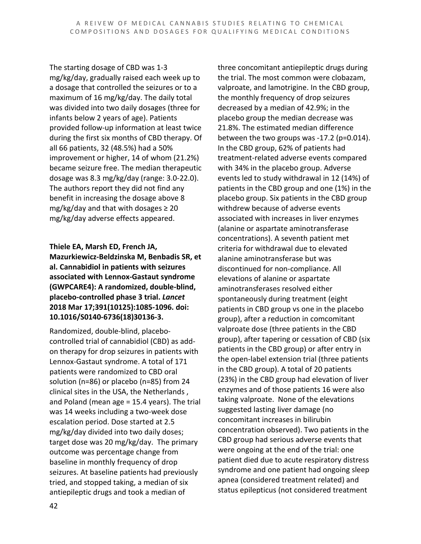The starting dosage of CBD was 1-3 mg/kg/day, gradually raised each week up to a dosage that controlled the seizures or to a maximum of 16 mg/kg/day. The daily total was divided into two daily dosages (three for infants below 2 years of age). Patients provided follow-up information at least twice during the first six months of CBD therapy. Of all 66 patients, 32 (48.5%) had a 50% improvement or higher, 14 of whom (21.2%) became seizure free. The median therapeutic dosage was 8.3 mg/kg/day (range: 3.0-22.0). The authors report they did not find any benefit in increasing the dosage above 8 mg/kg/day and that with dosages  $\geq 20$ mg/kg/day adverse effects appeared.

**Thiele EA, Marsh ED, French JA, Mazurkiewicz-Beldzinska M, Benbadis SR, et al. Cannabidiol in patients with seizures associated with Lennox-Gastaut syndrome (GWPCARE4): A randomized, double-blind, placebo-controlled phase 3 trial.** *Lancet* **2018 Mar 17;391(10125):1085-1096. doi: 10.1016/S0140-6736(18)30136-3.**

Randomized, double-blind, placebocontrolled trial of cannabidiol (CBD) as addon therapy for drop seizures in patients with Lennox-Gastaut syndrome. A total of 171 patients were randomized to CBD oral solution (n=86) or placebo (n=85) from 24 clinical sites in the USA, the Netherlands , and Poland (mean age = 15.4 years). The trial was 14 weeks including a two-week dose escalation period. Dose started at 2.5 mg/kg/day divided into two daily doses; target dose was 20 mg/kg/day. The primary outcome was percentage change from baseline in monthly frequency of drop seizures. At baseline patients had previously tried, and stopped taking, a median of six antiepileptic drugs and took a median of

three concomitant antiepileptic drugs during the trial. The most common were clobazam, valproate, and lamotrigine. In the CBD group, the monthly frequency of drop seizures decreased by a median of 42.9%; in the placebo group the median decrease was 21.8%. The estimated median difference between the two groups was -17.2 (p=0.014). In the CBD group, 62% of patients had treatment-related adverse events compared with 34% in the placebo group. Adverse events led to study withdrawal in 12 (14%) of patients in the CBD group and one (1%) in the placebo group. Six patients in the CBD group withdrew because of adverse events associated with increases in liver enzymes (alanine or aspartate aminotransferase concentrations). A seventh patient met criteria for withdrawal due to elevated alanine aminotransferase but was discontinued for non-compliance. All elevations of alanine or aspartate aminotransferases resolved either spontaneously during treatment (eight patients in CBD group vs one in the placebo group), after a reduction in comcomitant valproate dose (three patients in the CBD group), after tapering or cessation of CBD (six patients in the CBD group) or after entry in the open-label extension trial (three patients in the CBD group). A total of 20 patients (23%) in the CBD group had elevation of liver enzymes and of those patients 16 were also taking valproate. None of the elevations suggested lasting liver damage (no concomitant increases in bilirubin concentration observed). Two patients in the CBD group had serious adverse events that were ongoing at the end of the trial: one patient died due to acute respiratory distress syndrome and one patient had ongoing sleep apnea (considered treatment related) and status epilepticus (not considered treatment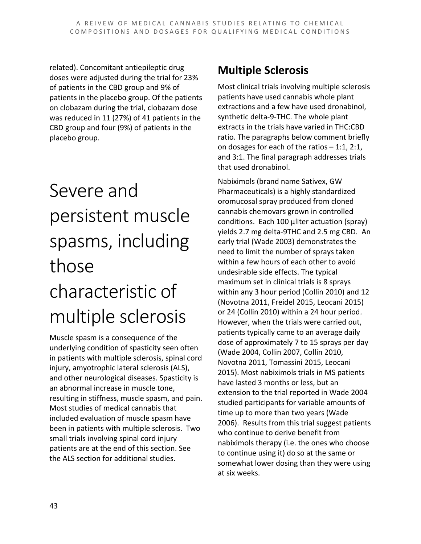related). Concomitant antiepileptic drug doses were adjusted during the trial for 23% of patients in the CBD group and 9% of patients in the placebo group. Of the patients on clobazam during the trial, clobazam dose was reduced in 11 (27%) of 41 patients in the CBD group and four (9%) of patients in the placebo group.

# Severe and persistent muscle spasms, including those characteristic of multiple sclerosis

Muscle spasm is a consequence of the underlying condition of spasticity seen often in patients with multiple sclerosis, spinal cord injury, amyotrophic lateral sclerosis (ALS), and other neurological diseases. Spasticity is an abnormal increase in muscle tone, resulting in stiffness, muscle spasm, and pain. Most studies of medical cannabis that included evaluation of muscle spasm have been in patients with multiple sclerosis. Two small trials involving spinal cord injury patients are at the end of this section. See the ALS section for additional studies.

### **Multiple Sclerosis**

Most clinical trials involving multiple sclerosis patients have used cannabis whole plant extractions and a few have used dronabinol, synthetic delta-9-THC. The whole plant extracts in the trials have varied in THC:CBD ratio. The paragraphs below comment briefly on dosages for each of the ratios – 1:1, 2:1, and 3:1. The final paragraph addresses trials that used dronabinol.

Nabiximols (brand name Sativex, GW Pharmaceuticals) is a highly standardized oromucosal spray produced from cloned cannabis chemovars grown in controlled conditions. Each 100 µliter actuation (spray) yields 2.7 mg delta-9THC and 2.5 mg CBD. An early trial (Wade 2003) demonstrates the need to limit the number of sprays taken within a few hours of each other to avoid undesirable side effects. The typical maximum set in clinical trials is 8 sprays within any 3 hour period (Collin 2010) and 12 (Novotna 2011, Freidel 2015, Leocani 2015) or 24 (Collin 2010) within a 24 hour period. However, when the trials were carried out, patients typically came to an average daily dose of approximately 7 to 15 sprays per day (Wade 2004, Collin 2007, Collin 2010, Novotna 2011, Tomassini 2015, Leocani 2015). Most nabiximols trials in MS patients have lasted 3 months or less, but an extension to the trial reported in Wade 2004 studied participants for variable amounts of time up to more than two years (Wade 2006). Results from this trial suggest patients who continue to derive benefit from nabiximols therapy (i.e. the ones who choose to continue using it) do so at the same or somewhat lower dosing than they were using at six weeks.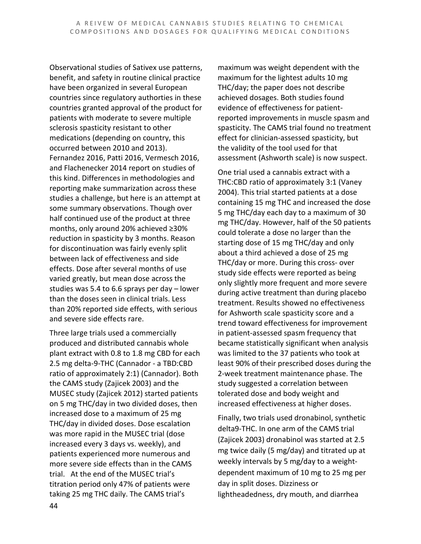Observational studies of Sativex use patterns, benefit, and safety in routine clinical practice have been organized in several European countries since regulatory authorties in these countries granted approval of the product for patients with moderate to severe multiple sclerosis spasticity resistant to other medications (depending on country, this occurred between 2010 and 2013). Fernandez 2016, Patti 2016, Vermesch 2016, and Flachenecker 2014 report on studies of this kind. Differences in methodologies and reporting make summarization across these studies a challenge, but here is an attempt at some summary observations. Though over half continued use of the product at three months, only around 20% achieved ≥30% reduction in spasticity by 3 months. Reason for discontinuation was fairly evenly split between lack of effectiveness and side effects. Dose after several months of use varied greatly, but mean dose across the studies was 5.4 to 6.6 sprays per day – lower than the doses seen in clinical trials. Less than 20% reported side effects, with serious and severe side effects rare.

Three large trials used a commercially produced and distributed cannabis whole plant extract with 0.8 to 1.8 mg CBD for each 2.5 mg delta-9-THC (Cannador - a TBD:CBD ratio of approximately 2:1) (Cannador). Both the CAMS study (Zajicek 2003) and the MUSEC study (Zajicek 2012) started patients on 5 mg THC/day in two divided doses, then increased dose to a maximum of 25 mg THC/day in divided doses. Dose escalation was more rapid in the MUSEC trial (dose increased every 3 days vs. weekly), and patients experienced more numerous and more severe side effects than in the CAMS trial. At the end of the MUSEC trial's titration period only 47% of patients were taking 25 mg THC daily. The CAMS trial's

maximum was weight dependent with the maximum for the lightest adults 10 mg THC/day; the paper does not describe achieved dosages. Both studies found evidence of effectiveness for patientreported improvements in muscle spasm and spasticity. The CAMS trial found no treatment effect for clinician-assessed spasticity, but the validity of the tool used for that assessment (Ashworth scale) is now suspect.

One trial used a cannabis extract with a THC:CBD ratio of approximately 3:1 (Vaney 2004). This trial started patients at a dose containing 15 mg THC and increased the dose 5 mg THC/day each day to a maximum of 30 mg THC/day. However, half of the 50 patients could tolerate a dose no larger than the starting dose of 15 mg THC/day and only about a third achieved a dose of 25 mg THC/day or more. During this cross- over study side effects were reported as being only slightly more frequent and more severe during active treatment than during placebo treatment. Results showed no effectiveness for Ashworth scale spasticity score and a trend toward effectiveness for improvement in patient-assessed spasm frequency that became statistically significant when analysis was limited to the 37 patients who took at least 90% of their prescribed doses during the 2-week treatment maintenance phase. The study suggested a correlation between tolerated dose and body weight and increased effectiveness at higher doses.

Finally, two trials used dronabinol, synthetic delta9-THC. In one arm of the CAMS trial (Zajicek 2003) dronabinol was started at 2.5 mg twice daily (5 mg/day) and titrated up at weekly intervals by 5 mg/day to a weightdependent maximum of 10 mg to 25 mg per day in split doses. Dizziness or lightheadedness, dry mouth, and diarrhea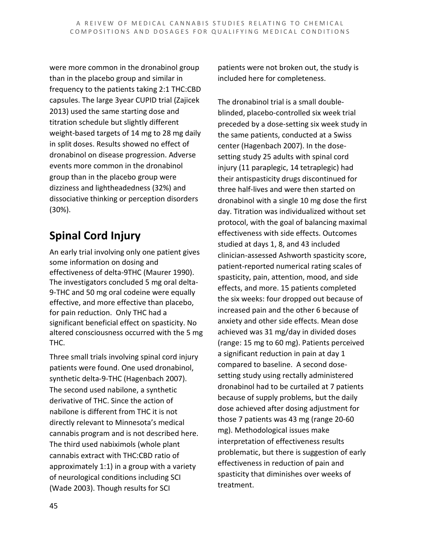were more common in the dronabinol group than in the placebo group and similar in frequency to the patients taking 2:1 THC:CBD capsules. The large 3year CUPID trial (Zajicek 2013) used the same starting dose and titration schedule but slightly different weight-based targets of 14 mg to 28 mg daily in split doses. Results showed no effect of dronabinol on disease progression. Adverse events more common in the dronabinol group than in the placebo group were dizziness and lightheadedness (32%) and dissociative thinking or perception disorders (30%).

### **Spinal Cord Injury**

An early trial involving only one patient gives some information on dosing and effectiveness of delta-9THC (Maurer 1990). The investigators concluded 5 mg oral delta-9-THC and 50 mg oral codeine were equally effective, and more effective than placebo, for pain reduction. Only THC had a significant beneficial effect on spasticity. No altered consciousness occurred with the 5 mg THC.

Three small trials involving spinal cord injury patients were found. One used dronabinol, synthetic delta-9-THC (Hagenbach 2007). The second used nabilone, a synthetic derivative of THC. Since the action of nabilone is different from THC it is not directly relevant to Minnesota's medical cannabis program and is not described here. The third used nabiximols (whole plant cannabis extract with THC:CBD ratio of approximately 1:1) in a group with a variety of neurological conditions including SCI (Wade 2003). Though results for SCI

patients were not broken out, the study is included here for completeness.

The dronabinol trial is a small doubleblinded, placebo-controlled six week trial preceded by a dose-setting six week study in the same patients, conducted at a Swiss center (Hagenbach 2007). In the dosesetting study 25 adults with spinal cord injury (11 paraplegic, 14 tetraplegic) had their antispasticity drugs discontinued for three half-lives and were then started on dronabinol with a single 10 mg dose the first day. Titration was individualized without set protocol, with the goal of balancing maximal effectiveness with side effects. Outcomes studied at days 1, 8, and 43 included clinician-assessed Ashworth spasticity score, patient-reported numerical rating scales of spasticity, pain, attention, mood, and side effects, and more. 15 patients completed the six weeks: four dropped out because of increased pain and the other 6 because of anxiety and other side effects. Mean dose achieved was 31 mg/day in divided doses (range: 15 mg to 60 mg). Patients perceived a significant reduction in pain at day 1 compared to baseline. A second dosesetting study using rectally administered dronabinol had to be curtailed at 7 patients because of supply problems, but the daily dose achieved after dosing adjustment for those 7 patients was 43 mg (range 20-60 mg). Methodological issues make interpretation of effectiveness results problematic, but there is suggestion of early effectiveness in reduction of pain and spasticity that diminishes over weeks of treatment.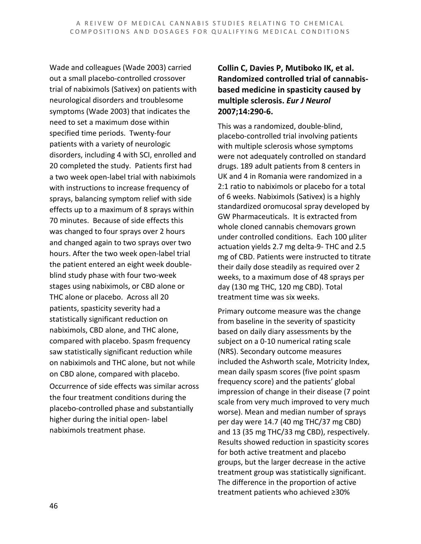Wade and colleagues (Wade 2003) carried out a small placebo-controlled crossover trial of nabiximols (Sativex) on patients with neurological disorders and troublesome symptoms (Wade 2003) that indicates the need to set a maximum dose within specified time periods. Twenty-four patients with a variety of neurologic disorders, including 4 with SCI, enrolled and 20 completed the study. Patients first had a two week open-label trial with nabiximols with instructions to increase frequency of sprays, balancing symptom relief with side effects up to a maximum of 8 sprays within 70 minutes. Because of side effects this was changed to four sprays over 2 hours and changed again to two sprays over two hours. After the two week open-label trial the patient entered an eight week doubleblind study phase with four two-week stages using nabiximols, or CBD alone or THC alone or placebo. Across all 20 patients, spasticity severity had a statistically significant reduction on nabiximols, CBD alone, and THC alone, compared with placebo. Spasm frequency saw statistically significant reduction while on nabiximols and THC alone, but not while on CBD alone, compared with placebo. Occurrence of side effects was similar across the four treatment conditions during the placebo-controlled phase and substantially higher during the initial open- label nabiximols treatment phase.

#### **Collin C, Davies P, Mutiboko IK, et al. Randomized controlled trial of cannabisbased medicine in spasticity caused by multiple sclerosis.** *Eur J Neurol* **2007;14:290-6.**

This was a randomized, double-blind, placebo-controlled trial involving patients with multiple sclerosis whose symptoms were not adequately controlled on standard drugs. 189 adult patients from 8 centers in UK and 4 in Romania were randomized in a 2:1 ratio to nabiximols or placebo for a total of 6 weeks. Nabiximols (Sativex) is a highly standardized oromucosal spray developed by GW Pharmaceuticals. It is extracted from whole cloned cannabis chemovars grown under controlled conditions. Each 100 µliter actuation yields 2.7 mg delta-9- THC and 2.5 mg of CBD. Patients were instructed to titrate their daily dose steadily as required over 2 weeks, to a maximum dose of 48 sprays per day (130 mg THC, 120 mg CBD). Total treatment time was six weeks.

Primary outcome measure was the change from baseline in the severity of spasticity based on daily diary assessments by the subject on a 0-10 numerical rating scale (NRS). Secondary outcome measures included the Ashworth scale, Motricity Index, mean daily spasm scores (five point spasm frequency score) and the patients' global impression of change in their disease (7 point scale from very much improved to very much worse). Mean and median number of sprays per day were 14.7 (40 mg THC/37 mg CBD) and 13 (35 mg THC/33 mg CBD), respectively. Results showed reduction in spasticity scores for both active treatment and placebo groups, but the larger decrease in the active treatment group was statistically significant. The difference in the proportion of active treatment patients who achieved ≥30%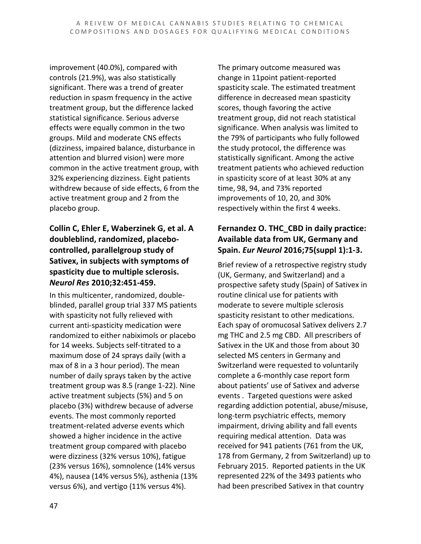improvement (40.0%), compared with controls (21.9%), was also statistically significant. There was a trend of greater reduction in spasm frequency in the active treatment group, but the difference lacked statistical significance. Serious adverse effects were equally common in the two groups. Mild and moderate CNS effects (dizziness, impaired balance, disturbance in attention and blurred vision) were more common in the active treatment group, with 32% experiencing dizziness. Eight patients withdrew because of side effects, 6 from the active treatment group and 2 from the placebo group.

#### **Collin C, Ehler E, Waberzinek G, et al. A doubleblind, randomized, placebocontrolled, parallelgroup study of Sativex, in subjects with symptoms of spasticity due to multiple sclerosis.**  *Neurol Res* **2010;32:451-459.**

In this multicenter, randomized, doubleblinded, parallel group trial 337 MS patients with spasticity not fully relieved with current anti-spasticity medication were randomized to either nabiximols or placebo for 14 weeks. Subjects self-titrated to a maximum dose of 24 sprays daily (with a max of 8 in a 3 hour period). The mean number of daily sprays taken by the active treatment group was 8.5 (range 1-22). Nine active treatment subjects (5%) and 5 on placebo (3%) withdrew because of adverse events. The most commonly reported treatment-related adverse events which showed a higher incidence in the active treatment group compared with placebo were dizziness (32% versus 10%), fatigue (23% versus 16%), somnolence (14% versus 4%), nausea (14% versus 5%), asthenia (13% versus 6%), and vertigo (11% versus 4%).

The primary outcome measured was change in 11point patient-reported spasticity scale. The estimated treatment difference in decreased mean spasticity scores, though favoring the active treatment group, did not reach statistical significance. When analysis was limited to the 79% of participants who fully followed the study protocol, the difference was statistically significant. Among the active treatment patients who achieved reduction in spasticity score of at least 30% at any time, 98, 94, and 73% reported improvements of 10, 20, and 30% respectively within the first 4 weeks.

#### **Fernandez O. THC\_CBD in daily practice: Available data from UK, Germany and Spain.** *Eur Neurol* **2016;75(suppl 1):1-3.**

Brief review of a retrospective registry study (UK, Germany, and Switzerland) and a prospective safety study (Spain) of Sativex in routine clinical use for patients with moderate to severe multiple sclerosis spasticity resistant to other medications. Each spay of oromucosal Sativex delivers 2.7 mg THC and 2.5 mg CBD. All prescribers of Sativex in the UK and those from about 30 selected MS centers in Germany and Switzerland were requested to voluntarily complete a 6-monthly case report form about patients' use of Sativex and adverse events . Targeted questions were asked regarding addiction potential, abuse/misuse, long-term psychiatric effects, memory impairment, driving ability and fall events requiring medical attention. Data was received for 941 patients (761 from the UK, 178 from Germany, 2 from Switzerland) up to February 2015. Reported patients in the UK represented 22% of the 3493 patients who had been prescribed Sativex in that country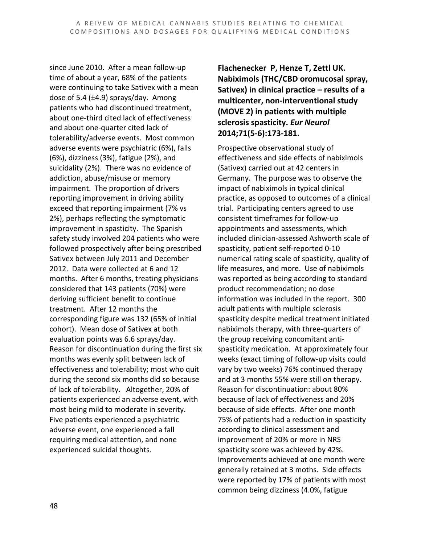since June 2010. After a mean follow-up time of about a year, 68% of the patients were continuing to take Sativex with a mean dose of 5.4 ( $\pm$ 4.9) sprays/day. Among patients who had discontinued treatment, about one-third cited lack of effectiveness and about one-quarter cited lack of tolerability/adverse events. Most common adverse events were psychiatric (6%), falls (6%), dizziness (3%), fatigue (2%), and suicidality (2%). There was no evidence of addiction, abuse/misuse or memory impairment. The proportion of drivers reporting improvement in driving ability exceed that reporting impairment (7% vs 2%), perhaps reflecting the symptomatic improvement in spasticity. The Spanish safety study involved 204 patients who were followed prospectively after being prescribed Sativex between July 2011 and December 2012. Data were collected at 6 and 12 months. After 6 months, treating physicians considered that 143 patients (70%) were deriving sufficient benefit to continue treatment. After 12 months the corresponding figure was 132 (65% of initial cohort). Mean dose of Sativex at both evaluation points was 6.6 sprays/day. Reason for discontinuation during the first six months was evenly split between lack of effectiveness and tolerability; most who quit during the second six months did so because of lack of tolerability. Altogether, 20% of patients experienced an adverse event, with most being mild to moderate in severity. Five patients experienced a psychiatric adverse event, one experienced a fall requiring medical attention, and none experienced suicidal thoughts.

**Flachenecker P, Henze T, Zettl UK. Nabiximols (THC/CBD oromucosal spray, Sativex) in clinical practice – results of a multicenter, non-interventional study (MOVE 2) in patients with multiple sclerosis spasticity.** *Eur Neurol* **2014;71(5-6):173-181.**

Prospective observational study of effectiveness and side effects of nabiximols (Sativex) carried out at 42 centers in Germany. The purpose was to observe the impact of nabiximols in typical clinical practice, as opposed to outcomes of a clinical trial. Participating centers agreed to use consistent timeframes for follow-up appointments and assessments, which included clinician-assessed Ashworth scale of spasticity, patient self-reported 0-10 numerical rating scale of spasticity, quality of life measures, and more. Use of nabiximols was reported as being according to standard product recommendation; no dose information was included in the report. 300 adult patients with multiple sclerosis spasticity despite medical treatment initiated nabiximols therapy, with three-quarters of the group receiving concomitant antispasticity medication. At approximately four weeks (exact timing of follow-up visits could vary by two weeks) 76% continued therapy and at 3 months 55% were still on therapy. Reason for discontinuation: about 80% because of lack of effectiveness and 20% because of side effects. After one month 75% of patients had a reduction in spasticity according to clinical assessment and improvement of 20% or more in NRS spasticity score was achieved by 42%. Improvements achieved at one month were generally retained at 3 moths. Side effects were reported by 17% of patients with most common being dizziness (4.0%, fatigue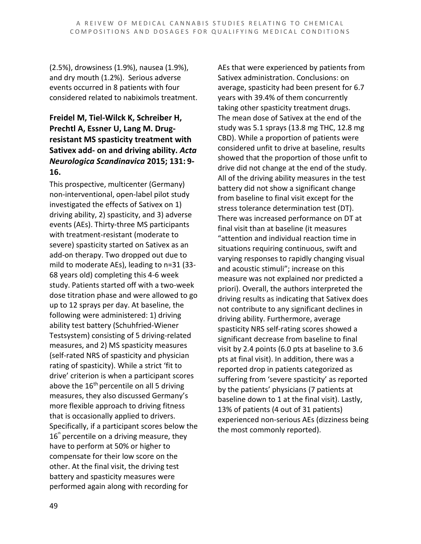(2.5%), drowsiness (1.9%), nausea (1.9%), and dry mouth (1.2%). Serious adverse events occurred in 8 patients with four considered related to nabiximols treatment.

#### **Freidel M, Tiel-Wilck K, Schreiber H, Prechtl A, Essner U, Lang M. Drugresistant MS spasticity treatment with Sativex add- on and driving ability.** *Acta Neurologica Scandinavica* **2015; 131: 9- 16.**

This prospective, multicenter (Germany) non-interventional, open-label pilot study investigated the effects of Sativex on 1) driving ability, 2) spasticity, and 3) adverse events (AEs). Thirty-three MS participants with treatment-resistant (moderate to severe) spasticity started on Sativex as an add-on therapy. Two dropped out due to mild to moderate AEs), leading to n=31 (33- 68 years old) completing this 4-6 week study. Patients started off with a two-week dose titration phase and were allowed to go up to 12 sprays per day. At baseline, the following were administered: 1) driving ability test battery (Schuhfried-Wiener Testsystem) consisting of 5 driving-related measures, and 2) MS spasticity measures (self-rated NRS of spasticity and physician rating of spasticity). While a strict 'fit to drive' criterion is when a participant scores above the  $16<sup>th</sup>$  percentile on all 5 driving measures, they also discussed Germany's more flexible approach to driving fitness that is occasionally applied to drivers. Specifically, if a participant scores below the  $16<sup>th</sup>$  percentile on a driving measure, they have to perform at 50% or higher to compensate for their low score on the other. At the final visit, the driving test battery and spasticity measures were performed again along with recording for

AEs that were experienced by patients from Sativex administration. Conclusions: on average, spasticity had been present for 6.7 years with 39.4% of them concurrently taking other spasticity treatment drugs. The mean dose of Sativex at the end of the study was 5.1 sprays (13.8 mg THC, 12.8 mg CBD). While a proportion of patients were considered unfit to drive at baseline, results showed that the proportion of those unfit to drive did not change at the end of the study. All of the driving ability measures in the test battery did not show a significant change from baseline to final visit except for the stress tolerance determination test (DT). There was increased performance on DT at final visit than at baseline (it measures "attention and individual reaction time in situations requiring continuous, swift and varying responses to rapidly changing visual and acoustic stimuli"; increase on this measure was not explained nor predicted a priori). Overall, the authors interpreted the driving results as indicating that Sativex does not contribute to any significant declines in driving ability. Furthermore, average spasticity NRS self-rating scores showed a significant decrease from baseline to final visit by 2.4 points (6.0 pts at baseline to 3.6 pts at final visit). In addition, there was a reported drop in patients categorized as suffering from 'severe spasticity' as reported by the patients' physicians (7 patients at baseline down to 1 at the final visit). Lastly, 13% of patients (4 out of 31 patients) experienced non-serious AEs (dizziness being the most commonly reported).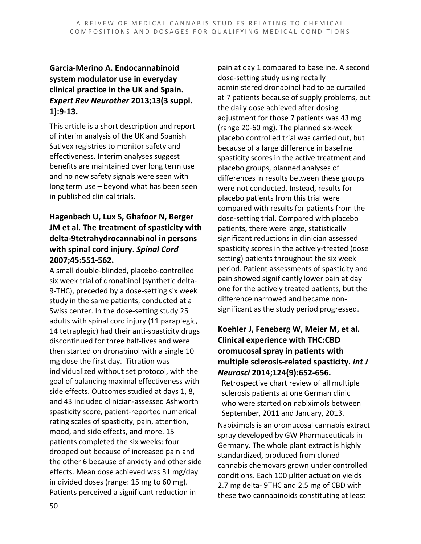#### **Garcia-Merino A. Endocannabinoid system modulator use in everyday clinical practice in the UK and Spain.**  *Expert Rev Neurother* **2013;13(3 suppl. 1):9-13.**

This article is a short description and report of interim analysis of the UK and Spanish Sativex registries to monitor safety and effectiveness. Interim analyses suggest benefits are maintained over long term use and no new safety signals were seen with long term use – beyond what has been seen in published clinical trials.

#### **Hagenbach U, Lux S, Ghafoor N, Berger JM et al. The treatment of spasticity with delta-9tetrahydrocannabinol in persons with spinal cord injury.** *Spinal Cord* **2007;45:551-562.**

A small double-blinded, placebo-controlled six week trial of dronabinol (synthetic delta-9-THC), preceded by a dose-setting six week study in the same patients, conducted at a Swiss center. In the dose-setting study 25 adults with spinal cord injury (11 paraplegic, 14 tetraplegic) had their anti-spasticity drugs discontinued for three half-lives and were then started on dronabinol with a single 10 mg dose the first day. Titration was individualized without set protocol, with the goal of balancing maximal effectiveness with side effects. Outcomes studied at days 1, 8, and 43 included clinician-assessed Ashworth spasticity score, patient-reported numerical rating scales of spasticity, pain, attention, mood, and side effects, and more. 15 patients completed the six weeks: four dropped out because of increased pain and the other 6 because of anxiety and other side effects. Mean dose achieved was 31 mg/day in divided doses (range: 15 mg to 60 mg). Patients perceived a significant reduction in

pain at day 1 compared to baseline. A second dose-setting study using rectally administered dronabinol had to be curtailed at 7 patients because of supply problems, but the daily dose achieved after dosing adjustment for those 7 patients was 43 mg (range 20-60 mg). The planned six-week placebo controlled trial was carried out, but because of a large difference in baseline spasticity scores in the active treatment and placebo groups, planned analyses of differences in results between these groups were not conducted. Instead, results for placebo patients from this trial were compared with results for patients from the dose-setting trial. Compared with placebo patients, there were large, statistically significant reductions in clinician assessed spasticity scores in the actively-treated (dose setting) patients throughout the six week period. Patient assessments of spasticity and pain showed significantly lower pain at day one for the actively treated patients, but the difference narrowed and became nonsignificant as the study period progressed.

#### **Koehler J, Feneberg W, Meier M, et al. Clinical experience with THC:CBD oromucosal spray in patients with multiple sclerosis-related spasticity.** *Int J Neurosci* **2014;124(9):652-656.**

Retrospective chart review of all multiple sclerosis patients at one German clinic who were started on nabiximols between September, 2011 and January, 2013.

Nabiximols is an oromucosal cannabis extract spray developed by GW Pharmaceuticals in Germany. The whole plant extract is highly standardized, produced from cloned cannabis chemovars grown under controlled conditions. Each 100 µliter actuation yields 2.7 mg delta- 9THC and 2.5 mg of CBD with these two cannabinoids constituting at least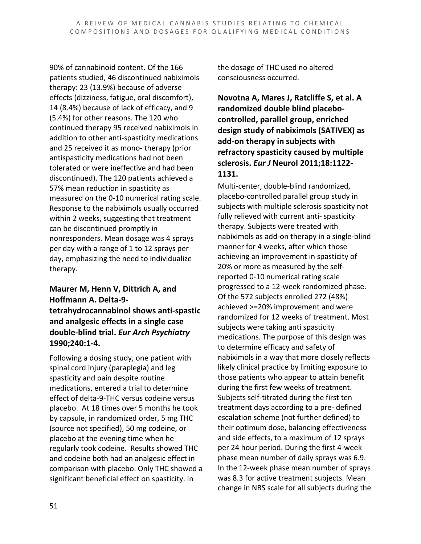90% of cannabinoid content. Of the 166 patients studied, 46 discontinued nabiximols therapy: 23 (13.9%) because of adverse effects (dizziness, fatigue, oral discomfort), 14 (8.4%) because of lack of efficacy, and 9 (5.4%) for other reasons. The 120 who continued therapy 95 received nabiximols in addition to other anti-spasticity medications and 25 received it as mono- therapy (prior antispasticity medications had not been tolerated or were ineffective and had been discontinued). The 120 patients achieved a 57% mean reduction in spasticity as measured on the 0-10 numerical rating scale. Response to the nabiximols usually occurred within 2 weeks, suggesting that treatment can be discontinued promptly in nonresponders. Mean dosage was 4 sprays per day with a range of 1 to 12 sprays per day, emphasizing the need to individualize therapy.

#### **Maurer M, Henn V, Dittrich A, and Hoffmann A. Delta-9 tetrahydrocannabinol shows anti-spastic and analgesic effects in a single case double-blind trial.** *Eur Arch Psychiatry*  **1990;240:1-4.**

Following a dosing study, one patient with spinal cord injury (paraplegia) and leg spasticity and pain despite routine medications, entered a trial to determine effect of delta-9-THC versus codeine versus placebo. At 18 times over 5 months he took by capsule, in randomized order, 5 mg THC (source not specified), 50 mg codeine, or placebo at the evening time when he regularly took codeine. Results showed THC and codeine both had an analgesic effect in comparison with placebo. Only THC showed a significant beneficial effect on spasticity. In

the dosage of THC used no altered consciousness occurred.

**Novotna A, Mares J, Ratcliffe S, et al. A randomized double blind placebocontrolled, parallel group, enriched design study of nabiximols (SATIVEX) as add-on therapy in subjects with refractory spasticity caused by multiple sclerosis.** *Eur J* **Neurol 2011;18:1122- 1131.**

Multi-center, double-blind randomized, placebo-controlled parallel group study in subjects with multiple sclerosis spasticity not fully relieved with current anti- spasticity therapy. Subjects were treated with nabiximols as add-on therapy in a single-blind manner for 4 weeks, after which those achieving an improvement in spasticity of 20% or more as measured by the selfreported 0-10 numerical rating scale progressed to a 12-week randomized phase. Of the 572 subjects enrolled 272 (48%) achieved >=20% improvement and were randomized for 12 weeks of treatment. Most subjects were taking anti spasticity medications. The purpose of this design was to determine efficacy and safety of nabiximols in a way that more closely reflects likely clinical practice by limiting exposure to those patients who appear to attain benefit during the first few weeks of treatment. Subjects self-titrated during the first ten treatment days according to a pre- defined escalation scheme (not further defined) to their optimum dose, balancing effectiveness and side effects, to a maximum of 12 sprays per 24 hour period. During the first 4-week phase mean number of daily sprays was 6.9. In the 12-week phase mean number of sprays was 8.3 for active treatment subjects. Mean change in NRS scale for all subjects during the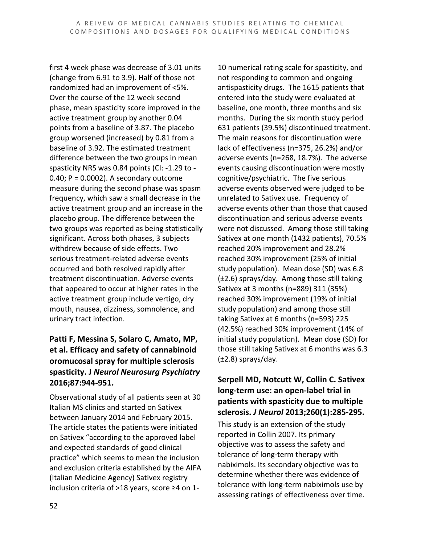first 4 week phase was decrease of 3.01 units (change from 6.91 to 3.9). Half of those not randomized had an improvement of <5%. Over the course of the 12 week second phase, mean spasticity score improved in the active treatment group by another 0.04 points from a baseline of 3.87. The placebo group worsened (increased) by 0.81 from a baseline of 3.92. The estimated treatment difference between the two groups in mean spasticity NRS was 0.84 points (CI: -1.29 to -  $0.40; P = 0.0002$ ). A secondary outcome measure during the second phase was spasm frequency, which saw a small decrease in the active treatment group and an increase in the placebo group. The difference between the two groups was reported as being statistically significant. Across both phases, 3 subjects withdrew because of side effects. Two serious treatment-related adverse events occurred and both resolved rapidly after treatment discontinuation. Adverse events that appeared to occur at higher rates in the active treatment group include vertigo, dry mouth, nausea, dizziness, somnolence, and urinary tract infection.

#### **Patti F, Messina S, Solaro C, Amato, MP, et al. Efficacy and safety of cannabinoid oromucosal spray for multiple sclerosis spasticity. J** *Neurol Neurosurg Psychiatry* **2016;87:944-951.**

Observational study of all patients seen at 30 Italian MS clinics and started on Sativex between January 2014 and February 2015. The article states the patients were initiated on Sativex "according to the approved label and expected standards of good clinical practice" which seems to mean the inclusion and exclusion criteria established by the AIFA (Italian Medicine Agency) Sativex registry inclusion criteria of >18 years, score ≥4 on 1-

10 numerical rating scale for spasticity, and not responding to common and ongoing antispasticity drugs. The 1615 patients that entered into the study were evaluated at baseline, one month, three months and six months. During the six month study period 631 patients (39.5%) discontinued treatment. The main reasons for discontinuation were lack of effectiveness (n=375, 26.2%) and/or adverse events (n=268, 18.7%). The adverse events causing discontinuation were mostly cognitive/psychiatric. The five serious adverse events observed were judged to be unrelated to Sativex use. Frequency of adverse events other than those that caused discontinuation and serious adverse events were not discussed. Among those still taking Sativex at one month (1432 patients), 70.5% reached 20% improvement and 28.2% reached 30% improvement (25% of initial study population). Mean dose (SD) was 6.8 (±2.6) sprays/day. Among those still taking Sativex at 3 months (n=889) 311 (35%) reached 30% improvement (19% of initial study population) and among those still taking Sativex at 6 months (n=593) 225 (42.5%) reached 30% improvement (14% of initial study population). Mean dose (SD) for those still taking Sativex at 6 months was 6.3  $(\pm 2.8)$  sprays/day.

#### **Serpell MD, Notcutt W, Collin C. Sativex long-term use: an open-label trial in patients with spasticity due to multiple sclerosis.** *J Neurol* **2013;260(1):285-295.**

This study is an extension of the study reported in Collin 2007. Its primary objective was to assess the safety and tolerance of long-term therapy with nabiximols. Its secondary objective was to determine whether there was evidence of tolerance with long-term nabiximols use by assessing ratings of effectiveness over time.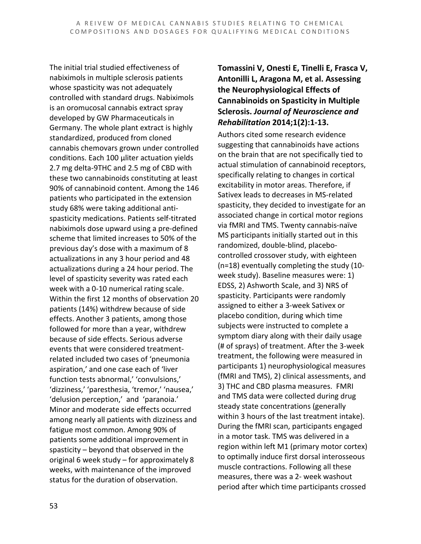The initial trial studied effectiveness of nabiximols in multiple sclerosis patients whose spasticity was not adequately controlled with standard drugs. Nabiximols is an oromucosal cannabis extract spray developed by GW Pharmaceuticals in Germany. The whole plant extract is highly standardized, produced from cloned cannabis chemovars grown under controlled conditions. Each 100 µliter actuation yields 2.7 mg delta-9THC and 2.5 mg of CBD with these two cannabinoids constituting at least 90% of cannabinoid content. Among the 146 patients who participated in the extension study 68% were taking additional antispasticity medications. Patients self-titrated nabiximols dose upward using a pre-defined scheme that limited increases to 50% of the previous day's dose with a maximum of 8 actualizations in any 3 hour period and 48 actualizations during a 24 hour period. The level of spasticity severity was rated each week with a 0-10 numerical rating scale. Within the first 12 months of observation 20 patients (14%) withdrew because of side effects. Another 3 patients, among those followed for more than a year, withdrew because of side effects. Serious adverse events that were considered treatmentrelated included two cases of 'pneumonia aspiration,' and one case each of 'liver function tests abnormal,' 'convulsions,' 'dizziness,' 'paresthesia, 'tremor,' 'nausea,' 'delusion perception,' and 'paranoia.' Minor and moderate side effects occurred among nearly all patients with dizziness and fatigue most common. Among 90% of patients some additional improvement in spasticity – beyond that observed in the original 6 week study – for approximately 8 weeks, with maintenance of the improved status for the duration of observation.

#### **Tomassini V, Onesti E, Tinelli E, Frasca V, Antonilli L, Aragona M, et al. Assessing the Neurophysiological Effects of Cannabinoids on Spasticity in Multiple Sclerosis.** *Journal of Neuroscience and Rehabilitation* **2014;1(2):1-13.**

Authors cited some research evidence suggesting that cannabinoids have actions on the brain that are not specifically tied to actual stimulation of cannabinoid receptors, specifically relating to changes in cortical excitability in motor areas. Therefore, if Sativex leads to decreases in MS-related spasticity, they decided to investigate for an associated change in cortical motor regions via fMRI and TMS. Twenty cannabis-naïve MS participants initially started out in this randomized, double-blind, placebocontrolled crossover study, with eighteen (n=18) eventually completing the study (10 week study). Baseline measures were: 1) EDSS, 2) Ashworth Scale, and 3) NRS of spasticity. Participants were randomly assigned to either a 3-week Sativex or placebo condition, during which time subjects were instructed to complete a symptom diary along with their daily usage (# of sprays) of treatment. After the 3-week treatment, the following were measured in participants 1) neurophysiological measures (fMRI and TMS), 2) clinical assessments, and 3) THC and CBD plasma measures. FMRI and TMS data were collected during drug steady state concentrations (generally within 3 hours of the last treatment intake). During the fMRI scan, participants engaged in a motor task. TMS was delivered in a region within left M1 (primary motor cortex) to optimally induce first dorsal interosseous muscle contractions. Following all these measures, there was a 2- week washout period after which time participants crossed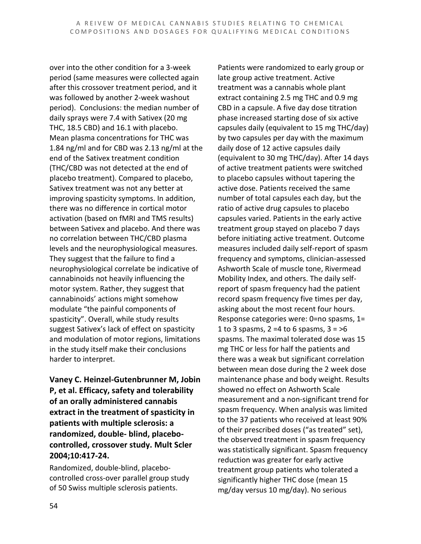over into the other condition for a 3-week period (same measures were collected again after this crossover treatment period, and it was followed by another 2-week washout period). Conclusions: the median number of daily sprays were 7.4 with Sativex (20 mg THC, 18.5 CBD) and 16.1 with placebo. Mean plasma concentrations for THC was 1.84 ng/ml and for CBD was 2.13 ng/ml at the end of the Sativex treatment condition (THC/CBD was not detected at the end of placebo treatment). Compared to placebo, Sativex treatment was not any better at improving spasticity symptoms. In addition, there was no difference in cortical motor activation (based on fMRI and TMS results) between Sativex and placebo. And there was no correlation between THC/CBD plasma levels and the neurophysiological measures. They suggest that the failure to find a neurophysiological correlate be indicative of cannabinoids not heavily influencing the motor system. Rather, they suggest that cannabinoids' actions might somehow modulate "the painful components of spasticity". Overall, while study results suggest Sativex's lack of effect on spasticity and modulation of motor regions, limitations in the study itself make their conclusions harder to interpret.

**Vaney C. Heinzel-Gutenbrunner M, Jobin P, et al. Efficacy, safety and tolerability of an orally administered cannabis extract in the treatment of spasticity in patients with multiple sclerosis: a randomized, double- blind, placebocontrolled, crossover study. Mult Scler 2004;10:417-24.**

Randomized, double-blind, placebocontrolled cross-over parallel group study of 50 Swiss multiple sclerosis patients.

Patients were randomized to early group or late group active treatment. Active treatment was a cannabis whole plant extract containing 2.5 mg THC and 0.9 mg CBD in a capsule. A five day dose titration phase increased starting dose of six active capsules daily (equivalent to 15 mg THC/day) by two capsules per day with the maximum daily dose of 12 active capsules daily (equivalent to 30 mg THC/day). After 14 days of active treatment patients were switched to placebo capsules without tapering the active dose. Patients received the same number of total capsules each day, but the ratio of active drug capsules to placebo capsules varied. Patients in the early active treatment group stayed on placebo 7 days before initiating active treatment. Outcome measures included daily self-report of spasm frequency and symptoms, clinician-assessed Ashworth Scale of muscle tone, Rivermead Mobility Index, and others. The daily selfreport of spasm frequency had the patient record spasm frequency five times per day, asking about the most recent four hours. Response categories were: 0=no spasms, 1= 1 to 3 spasms,  $2 = 4$  to 6 spasms,  $3 = 56$ spasms. The maximal tolerated dose was 15 mg THC or less for half the patients and there was a weak but significant correlation between mean dose during the 2 week dose maintenance phase and body weight. Results showed no effect on Ashworth Scale measurement and a non-significant trend for spasm frequency. When analysis was limited to the 37 patients who received at least 90% of their prescribed doses ("as treated" set), the observed treatment in spasm frequency was statistically significant. Spasm frequency reduction was greater for early active treatment group patients who tolerated a significantly higher THC dose (mean 15 mg/day versus 10 mg/day). No serious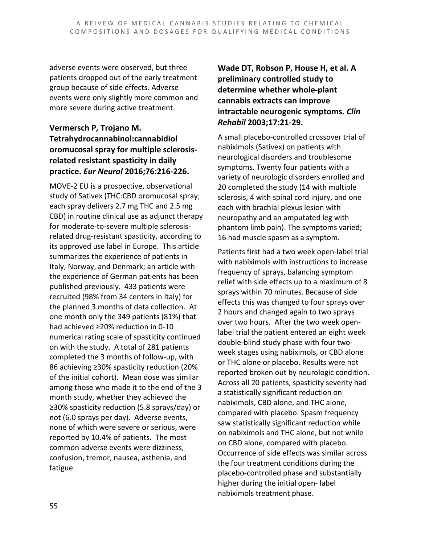adverse events were observed, but three patients dropped out of the early treatment group because of side effects. Adverse events were only slightly more common and more severe during active treatment.

#### **Vermersch P, Trojano M. Tetrahydrocannabinol:cannabidiol oromucosal spray for multiple sclerosisrelated resistant spasticity in daily practice.** *Eur Neurol* **2016;76:216-226.**

MOVE-2 EU is a prospective, observational study of Sativex (THC:CBD oromucosal spray; each spray delivers 2.7 mg THC and 2.5 mg CBD) in routine clinical use as adjunct therapy for moderate-to-severe multiple sclerosisrelated drug-resistant spasticity, according to its approved use label in Europe. This article summarizes the experience of patients in Italy, Norway, and Denmark; an article with the experience of German patients has been published previously. 433 patients were recruited (98% from 34 centers in Italy) for the planned 3 months of data collection. At one month only the 349 patients (81%) that had achieved ≥20% reduction in 0-10 numerical rating scale of spasticity continued on with the study. A total of 281 patients completed the 3 months of follow-up, with 86 achieving ≥30% spasticity reduction (20% of the initial cohort). Mean dose was similar among those who made it to the end of the 3 month study, whether they achieved the ≥30% spasticity reduction (5.8 sprays/day) or not (6.0 sprays per day). Adverse events, none of which were severe or serious, were reported by 10.4% of patients. The most common adverse events were dizziness, confusion, tremor, nausea, asthenia, and fatigue.

**Wade DT, Robson P, House H, et al. A preliminary controlled study to determine whether whole-plant cannabis extracts can improve intractable neurogenic symptoms.** *Clin Rehabil* **2003;17:21-29.**

A small placebo-controlled crossover trial of nabiximols (Sativex) on patients with neurological disorders and troublesome symptoms. Twenty four patients with a variety of neurologic disorders enrolled and 20 completed the study (14 with multiple sclerosis, 4 with spinal cord injury, and one each with brachial plexus lesion with neuropathy and an amputated leg with phantom limb pain). The symptoms varied; 16 had muscle spasm as a symptom.

Patients first had a two week open-label trial with nabiximols with instructions to increase frequency of sprays, balancing symptom relief with side effects up to a maximum of 8 sprays within 70 minutes. Because of side effects this was changed to four sprays over 2 hours and changed again to two sprays over two hours. After the two week openlabel trial the patient entered an eight week double-blind study phase with four twoweek stages using nabiximols, or CBD alone or THC alone or placebo. Results were not reported broken out by neurologic condition. Across all 20 patients, spasticity severity had a statistically significant reduction on nabiximols, CBD alone, and THC alone, compared with placebo. Spasm frequency saw statistically significant reduction while on nabiximols and THC alone, but not while on CBD alone, compared with placebo. Occurrence of side effects was similar across the four treatment conditions during the placebo-controlled phase and substantially higher during the initial open- label nabiximols treatment phase.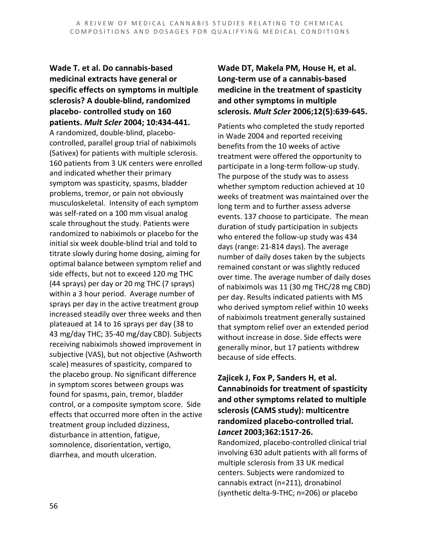**Wade T. et al. Do cannabis-based medicinal extracts have general or specific effects on symptoms in multiple sclerosis? A double-blind, randomized placebo- controlled study on 160 patients.** *Mult Scler* **2004; 10:434-441.** A randomized, double-blind, placebocontrolled, parallel group trial of nabiximols (Sativex) for patients with multiple sclerosis. 160 patients from 3 UK centers were enrolled and indicated whether their primary symptom was spasticity, spasms, bladder problems, tremor, or pain not obviously musculoskeletal. Intensity of each symptom was self-rated on a 100 mm visual analog scale throughout the study. Patients were randomized to nabiximols or placebo for the initial six week double-blind trial and told to titrate slowly during home dosing, aiming for optimal balance between symptom relief and side effects, but not to exceed 120 mg THC (44 sprays) per day or 20 mg THC (7 sprays) within a 3 hour period. Average number of sprays per day in the active treatment group increased steadily over three weeks and then plateaued at 14 to 16 sprays per day (38 to 43 mg/day THC; 35-40 mg/day CBD). Subjects receiving nabiximols showed improvement in subjective (VAS), but not objective (Ashworth scale) measures of spasticity, compared to the placebo group. No significant difference in symptom scores between groups was found for spasms, pain, tremor, bladder control, or a composite symptom score. Side effects that occurred more often in the active treatment group included dizziness, disturbance in attention, fatigue, somnolence, disorientation, vertigo, diarrhea, and mouth ulceration.

**Wade DT, Makela PM, House H, et al. Long-term use of a cannabis-based medicine in the treatment of spasticity and other symptoms in multiple sclerosis.** *Mult Scler* **2006;12(5):639-645.**

Patients who completed the study reported in Wade 2004 and reported receiving benefits from the 10 weeks of active treatment were offered the opportunity to participate in a long-term follow-up study. The purpose of the study was to assess whether symptom reduction achieved at 10 weeks of treatment was maintained over the long term and to further assess adverse events. 137 choose to participate. The mean duration of study participation in subjects who entered the follow-up study was 434 days (range: 21-814 days). The average number of daily doses taken by the subjects remained constant or was slightly reduced over time. The average number of daily doses of nabiximols was 11 (30 mg THC/28 mg CBD) per day. Results indicated patients with MS who derived symptom relief within 10 weeks of nabiximols treatment generally sustained that symptom relief over an extended period without increase in dose. Side effects were generally minor, but 17 patients withdrew because of side effects.

#### **Zajicek J, Fox P, Sanders H, et al. Cannabinoids for treatment of spasticity and other symptoms related to multiple sclerosis (CAMS study): multicentre randomized placebo-controlled trial.** *Lancet* **2003;362:1517-26.**

Randomized, placebo-controlled clinical trial involving 630 adult patients with all forms of multiple sclerosis from 33 UK medical centers. Subjects were randomized to cannabis extract (n=211), dronabinol (synthetic delta-9-THC; n=206) or placebo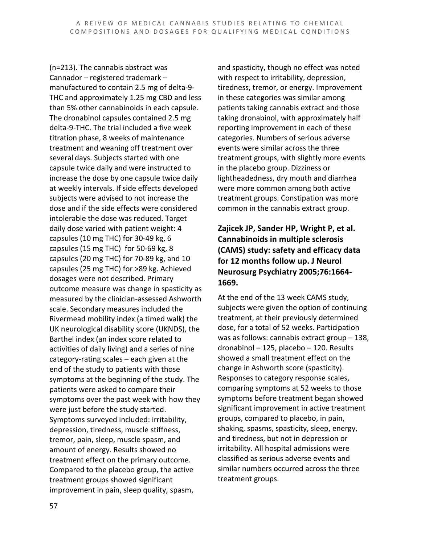(n=213). The cannabis abstract was Cannador – registered trademark – manufactured to contain 2.5 mg of delta-9- THC and approximately 1.25 mg CBD and less than 5% other cannabinoids in each capsule. The dronabinol capsules contained 2.5 mg delta-9-THC. The trial included a five week titration phase, 8 weeks of maintenance treatment and weaning off treatment over several days. Subjects started with one capsule twice daily and were instructed to increase the dose by one capsule twice daily at weekly intervals. If side effects developed subjects were advised to not increase the dose and if the side effects were considered intolerable the dose was reduced. Target daily dose varied with patient weight: 4 capsules (10 mg THC) for 30-49 kg, 6 capsules (15 mg THC) for 50-69 kg, 8 capsules (20 mg THC) for 70-89 kg, and 10 capsules (25 mg THC) for >89 kg. Achieved dosages were not described. Primary outcome measure was change in spasticity as measured by the clinician-assessed Ashworth scale. Secondary measures included the Rivermead mobility index (a timed walk) the UK neurological disability score (UKNDS), the Barthel index (an index score related to activities of daily living) and a series of nine category-rating scales – each given at the end of the study to patients with those symptoms at the beginning of the study. The patients were asked to compare their symptoms over the past week with how they were just before the study started. Symptoms surveyed included: irritability, depression, tiredness, muscle stiffness, tremor, pain, sleep, muscle spasm, and amount of energy. Results showed no treatment effect on the primary outcome. Compared to the placebo group, the active treatment groups showed significant improvement in pain, sleep quality, spasm,

and spasticity, though no effect was noted with respect to irritability, depression, tiredness, tremor, or energy. Improvement in these categories was similar among patients taking cannabis extract and those taking dronabinol, with approximately half reporting improvement in each of these categories. Numbers of serious adverse events were similar across the three treatment groups, with slightly more events in the placebo group. Dizziness or lightheadedness, dry mouth and diarrhea were more common among both active treatment groups. Constipation was more common in the cannabis extract group.

#### **Zajicek JP, Sander HP, Wright P, et al. Cannabinoids in multiple sclerosis (CAMS) study: safety and efficacy data for 12 months follow up. J Neurol Neurosurg Psychiatry 2005;76:1664- 1669.**

At the end of the 13 week CAMS study, subjects were given the option of continuing treatment, at their previously determined dose, for a total of 52 weeks. Participation was as follows: cannabis extract group – 138, dronabinol – 125, placebo – 120. Results showed a small treatment effect on the change in Ashworth score (spasticity). Responses to category response scales, comparing symptoms at 52 weeks to those symptoms before treatment began showed significant improvement in active treatment groups, compared to placebo, in pain, shaking, spasms, spasticity, sleep, energy, and tiredness, but not in depression or irritability. All hospital admissions were classified as serious adverse events and similar numbers occurred across the three treatment groups.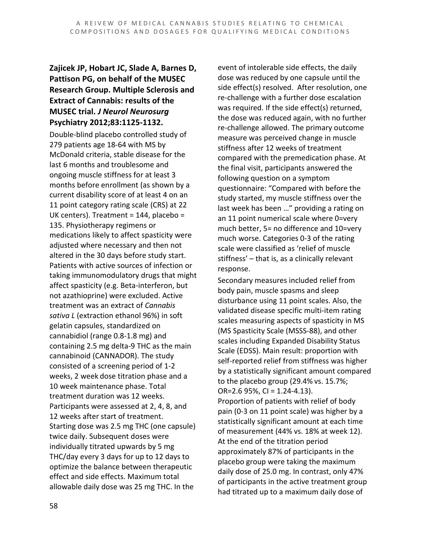#### **Zajicek JP, Hobart JC, Slade A, Barnes D, Pattison PG, on behalf of the MUSEC Research Group. Multiple Sclerosis and Extract of Cannabis: results of the MUSEC trial.** *J Neurol Neurosurg*  **Psychiatry 2012;83:1125-1132.**

Double-blind placebo controlled study of 279 patients age 18-64 with MS by McDonald criteria, stable disease for the last 6 months and troublesome and ongoing muscle stiffness for at least 3 months before enrollment (as shown by a current disability score of at least 4 on an 11 point category rating scale (CRS) at 22 UK centers). Treatment = 144, placebo = 135. Physiotherapy regimens or medications likely to affect spasticity were adjusted where necessary and then not altered in the 30 days before study start. Patients with active sources of infection or taking immunomodulatory drugs that might affect spasticity (e.g. Beta-interferon, but not azathioprine) were excluded. Active treatment was an extract of *Cannabis sativa L* (extraction ethanol 96%) in soft gelatin capsules, standardized on cannabidiol (range 0.8-1.8 mg) and containing 2.5 mg delta-9 THC as the main cannabinoid (CANNADOR). The study consisted of a screening period of 1-2 weeks, 2 week dose titration phase and a 10 week maintenance phase. Total treatment duration was 12 weeks. Participants were assessed at 2, 4, 8, and 12 weeks after start of treatment. Starting dose was 2.5 mg THC (one capsule) twice daily. Subsequent doses were individually titrated upwards by 5 mg THC/day every 3 days for up to 12 days to optimize the balance between therapeutic effect and side effects. Maximum total allowable daily dose was 25 mg THC. In the

event of intolerable side effects, the daily dose was reduced by one capsule until the side effect(s) resolved. After resolution, one re-challenge with a further dose escalation was required. If the side effect(s) returned, the dose was reduced again, with no further re-challenge allowed. The primary outcome measure was perceived change in muscle stiffness after 12 weeks of treatment compared with the premedication phase. At the final visit, participants answered the following question on a symptom questionnaire: "Compared with before the study started, my muscle stiffness over the last week has been …" providing a rating on an 11 point numerical scale where 0=very much better, 5= no difference and 10=very much worse. Categories 0-3 of the rating scale were classified as 'relief of muscle stiffness' – that is, as a clinically relevant response.

Secondary measures included relief from body pain, muscle spasms and sleep disturbance using 11 point scales. Also, the validated disease specific multi-item rating scales measuring aspects of spasticity in MS (MS Spasticity Scale (MSSS-88), and other scales including Expanded Disability Status Scale (EDSS). Main result: proportion with self-reported relief from stiffness was higher by a statistically significant amount compared to the placebo group (29.4% vs. 15.7%; OR= $2.6$  95%, CI =  $1.24 - 4.13$ ).

Proportion of patients with relief of body pain (0-3 on 11 point scale) was higher by a statistically significant amount at each time of measurement (44% vs. 18% at week 12). At the end of the titration period approximately 87% of participants in the placebo group were taking the maximum daily dose of 25.0 mg. In contrast, only 47% of participants in the active treatment group had titrated up to a maximum daily dose of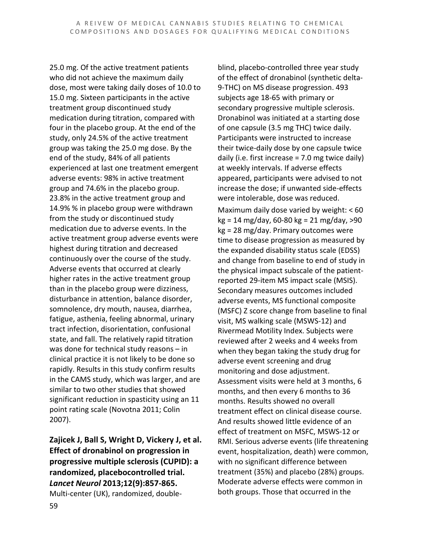25.0 mg. Of the active treatment patients who did not achieve the maximum daily dose, most were taking daily doses of 10.0 to 15.0 mg. Sixteen participants in the active treatment group discontinued study medication during titration, compared with four in the placebo group. At the end of the study, only 24.5% of the active treatment group was taking the 25.0 mg dose. By the end of the study, 84% of all patients experienced at last one treatment emergent adverse events: 98% in active treatment group and 74.6% in the placebo group. 23.8% in the active treatment group and 14.9% % in placebo group were withdrawn from the study or discontinued study medication due to adverse events. In the active treatment group adverse events were highest during titration and decreased continuously over the course of the study. Adverse events that occurred at clearly higher rates in the active treatment group than in the placebo group were dizziness, disturbance in attention, balance disorder, somnolence, dry mouth, nausea, diarrhea, fatigue, asthenia, feeling abnormal, urinary tract infection, disorientation, confusional state, and fall. The relatively rapid titration was done for technical study reasons – in clinical practice it is not likely to be done so rapidly. Results in this study confirm results in the CAMS study, which was larger, and are similar to two other studies that showed significant reduction in spasticity using an 11 point rating scale (Novotna 2011; Colin 2007).

**Zajicek J, Ball S, Wright D, Vickery J, et al. Effect of dronabinol on progression in progressive multiple sclerosis (CUPID): a randomized, placebocontrolled trial.** *Lancet Neurol* **2013;12(9):857-865.** Multi-center (UK), randomized, doubleblind, placebo-controlled three year study of the effect of dronabinol (synthetic delta-9-THC) on MS disease progression. 493 subjects age 18-65 with primary or secondary progressive multiple sclerosis. Dronabinol was initiated at a starting dose of one capsule (3.5 mg THC) twice daily. Participants were instructed to increase their twice-daily dose by one capsule twice daily (i.e. first increase = 7.0 mg twice daily) at weekly intervals. If adverse effects appeared, participants were advised to not increase the dose; if unwanted side-effects were intolerable, dose was reduced.

Maximum daily dose varied by weight: < 60 kg = 14 mg/day, 60-80 kg = 21 mg/day, >90 kg = 28 mg/day. Primary outcomes were time to disease progression as measured by the expanded disability status scale (EDSS) and change from baseline to end of study in the physical impact subscale of the patientreported 29-item MS impact scale (MSIS). Secondary measures outcomes included adverse events, MS functional composite (MSFC) Z score change from baseline to final visit, MS walking scale (MSWS-12) and Rivermead Motility Index. Subjects were reviewed after 2 weeks and 4 weeks from when they began taking the study drug for adverse event screening and drug monitoring and dose adjustment. Assessment visits were held at 3 months, 6 months, and then every 6 months to 36 months. Results showed no overall treatment effect on clinical disease course. And results showed little evidence of an effect of treatment on MSFC, MSWS-12 or RMI. Serious adverse events (life threatening event, hospitalization, death) were common, with no significant difference between treatment (35%) and placebo (28%) groups. Moderate adverse effects were common in both groups. Those that occurred in the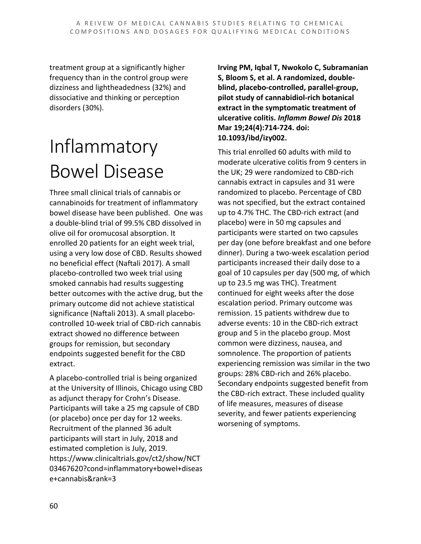treatment group at a significantly higher frequency than in the control group were dizziness and lightheadedness (32%) and dissociative and thinking or perception disorders (30%).

# Inflammatory Bowel Disease

Three small clinical trials of cannabis or cannabinoids for treatment of inflammatory bowel disease have been published. One was a double-blind trial of 99.5% CBD dissolved in olive oil for oromucosal absorption. It enrolled 20 patients for an eight week trial, using a very low dose of CBD. Results showed no beneficial effect (Naftali 2017). A small placebo-controlled two week trial using smoked cannabis had results suggesting better outcomes with the active drug, but the primary outcome did not achieve statistical significance (Naftali 2013). A small placebocontrolled 10-week trial of CBD-rich cannabis extract showed no difference between groups for remission, but secondary endpoints suggested benefit for the CBD extract.

A placebo-controlled trial is being organized at the University of Illinois, Chicago using CBD as adjunct therapy for Crohn's Disease. Participants will take a 25 mg capsule of CBD (or placebo) once per day for 12 weeks. Recruitment of the planned 36 adult participants will start in July, 2018 and estimated completion is July, 2019. https://www.clinicaltrials.gov/ct2/show/NCT 03467620?cond=inflammatory+bowel+diseas e+cannabis&rank=3

**Irving PM, Iqbal T, Nwokolo C, Subramanian S, Bloom S, et al. A randomized, doubleblind, placebo-controlled, parallel-group, pilot study of cannabidiol-rich botanical extract in the symptomatic treatment of ulcerative colitis.** *Inflamm Bowel Dis* **2018 Mar 19;24(4):714-724. doi: 10.1093/ibd/izy002.**

This trial enrolled 60 adults with mild to moderate ulcerative colitis from 9 centers in the UK; 29 were randomized to CBD-rich cannabis extract in capsules and 31 were randomized to placebo. Percentage of CBD was not specified, but the extract contained up to 4.7% THC. The CBD-rich extract (and placebo) were in 50 mg capsules and participants were started on two capsules per day (one before breakfast and one before dinner). During a two-week escalation period participants increased their daily dose to a goal of 10 capsules per day (500 mg, of which up to 23.5 mg was THC). Treatment continued for eight weeks after the dose escalation period. Primary outcome was remission. 15 patients withdrew due to adverse events: 10 in the CBD-rich extract group and 5 in the placebo group. Most common were dizziness, nausea, and somnolence. The proportion of patients experiencing remission was similar in the two groups: 28% CBD-rich and 26% placebo. Secondary endpoints suggested benefit from the CBD-rich extract. These included quality of life measures, measures of disease severity, and fewer patients experiencing worsening of symptoms.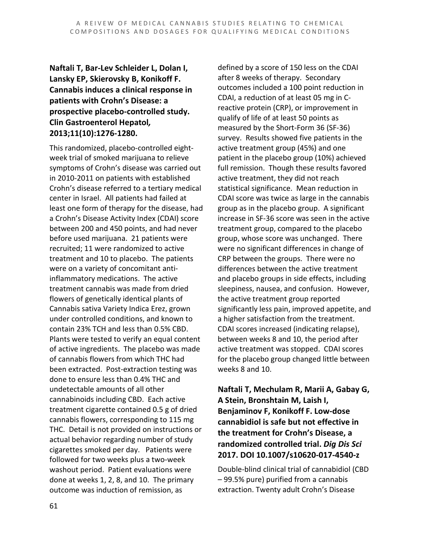#### **Naftali T, Bar-Lev Schleider L, Dolan I, Lansky EP, Skierovsky B, Konikoff F. Cannabis induces a clinical response in patients with Crohn's Disease: a prospective placebo-controlled study. Clin Gastroenterol Hepatol***,* **2013;11(10):1276-1280.**

This randomized, placebo-controlled eightweek trial of smoked marijuana to relieve symptoms of Crohn's disease was carried out in 2010-2011 on patients with established Crohn's disease referred to a tertiary medical center in Israel. All patients had failed at least one form of therapy for the disease, had a Crohn's Disease Activity Index (CDAI) score between 200 and 450 points, and had never before used marijuana. 21 patients were recruited; 11 were randomized to active treatment and 10 to placebo. The patients were on a variety of concomitant antiinflammatory medications. The active treatment cannabis was made from dried flowers of genetically identical plants of Cannabis sativa Variety Indica Erez, grown under controlled conditions, and known to contain 23% TCH and less than 0.5% CBD. Plants were tested to verify an equal content of active ingredients. The placebo was made of cannabis flowers from which THC had been extracted. Post-extraction testing was done to ensure less than 0.4% THC and undetectable amounts of all other cannabinoids including CBD. Each active treatment cigarette contained 0.5 g of dried cannabis flowers, corresponding to 115 mg THC. Detail is not provided on instructions or actual behavior regarding number of study cigarettes smoked per day. Patients were followed for two weeks plus a two-week washout period. Patient evaluations were done at weeks 1, 2, 8, and 10. The primary outcome was induction of remission, as

defined by a score of 150 less on the CDAI after 8 weeks of therapy. Secondary outcomes included a 100 point reduction in CDAI, a reduction of at least 05 mg in Creactive protein (CRP), or improvement in qualify of life of at least 50 points as measured by the Short-Form 36 (SF-36) survey. Results showed five patients in the active treatment group (45%) and one patient in the placebo group (10%) achieved full remission. Though these results favored active treatment, they did not reach statistical significance. Mean reduction in CDAI score was twice as large in the cannabis group as in the placebo group. A significant increase in SF-36 score was seen in the active treatment group, compared to the placebo group, whose score was unchanged. There were no significant differences in change of CRP between the groups. There were no differences between the active treatment and placebo groups in side effects, including sleepiness, nausea, and confusion. However, the active treatment group reported significantly less pain, improved appetite, and a higher satisfaction from the treatment. CDAI scores increased (indicating relapse), between weeks 8 and 10, the period after active treatment was stopped. CDAI scores for the placebo group changed little between weeks 8 and 10.

**Naftali T, Mechulam R, Marii A, Gabay G, A Stein, Bronshtain M, Laish I, Benjaminov F, Konikoff F. Low-dose cannabidiol is safe but not effective in the treatment for Crohn's Disease, a randomized controlled trial.** *Dig Dis Sci* **2017. DOI 10.1007/s10620-017-4540-z**

Double-blind clinical trial of cannabidiol (CBD – 99.5% pure) purified from a cannabis extraction. Twenty adult Crohn's Disease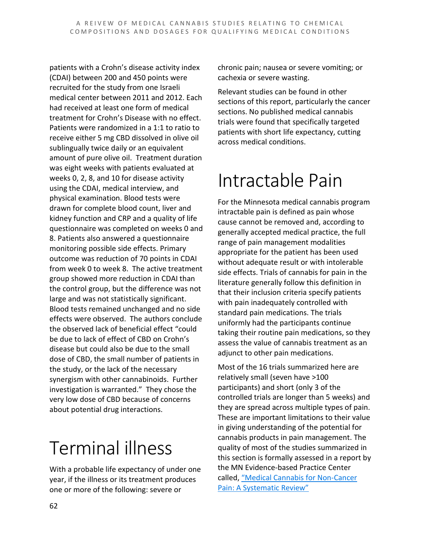patients with a Crohn's disease activity index (CDAI) between 200 and 450 points were recruited for the study from one Israeli medical center between 2011 and 2012. Each had received at least one form of medical treatment for Crohn's Disease with no effect. Patients were randomized in a 1:1 to ratio to receive either 5 mg CBD dissolved in olive oil sublingually twice daily or an equivalent amount of pure olive oil. Treatment duration was eight weeks with patients evaluated at weeks 0, 2, 8, and 10 for disease activity using the CDAI, medical interview, and physical examination. Blood tests were drawn for complete blood count, liver and kidney function and CRP and a quality of life questionnaire was completed on weeks 0 and 8. Patients also answered a questionnaire monitoring possible side effects. Primary outcome was reduction of 70 points in CDAI from week 0 to week 8. The active treatment group showed more reduction in CDAI than the control group, but the difference was not large and was not statistically significant. Blood tests remained unchanged and no side effects were observed. The authors conclude the observed lack of beneficial effect "could be due to lack of effect of CBD on Crohn's disease but could also be due to the small dose of CBD, the small number of patients in the study, or the lack of the necessary synergism with other cannabinoids. Further investigation is warranted." They chose the very low dose of CBD because of concerns about potential drug interactions.

## Terminal illness

With a probable life expectancy of under one year, if the illness or its treatment produces one or more of the following: severe or

chronic pain; nausea or severe vomiting; or cachexia or severe wasting.

Relevant studies can be found in other sections of this report, particularly the cancer sections. No published medical cannabis trials were found that specifically targeted patients with short life expectancy, cutting across medical conditions.

## Intractable Pain

For the Minnesota medical cannabis program intractable pain is defined as pain whose cause cannot be removed and, according to generally accepted medical practice, the full range of pain management modalities appropriate for the patient has been used without adequate result or with intolerable side effects. Trials of cannabis for pain in the literature generally follow this definition in that their inclusion criteria specify patients with pain inadequately controlled with standard pain medications. The trials uniformly had the participants continue taking their routine pain medications, so they assess the value of cannabis treatment as an adjunct to other pain medications.

Most of the 16 trials summarized here are relatively small (seven have >100 participants) and short (only 3 of the controlled trials are longer than 5 weeks) and they are spread across multiple types of pain. These are important limitations to their value in giving understanding of the potential for cannabis products in pain management. The quality of most of the studies summarized in this section is formally assessed in a report by the MN Evidence-based Practice Center called, "Medical Cannabis for Non-Cancer Pain: A Systematic Review"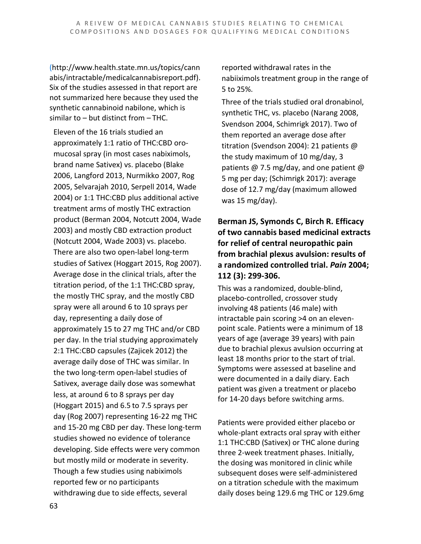(http://www.health.state.mn.us/topics/cann abis/intractable/medicalcannabisreport.pdf). Six of the studies assessed in that report are not summarized here because they used the synthetic cannabinoid nabilone, which is similar to – but distinct from – THC.

Eleven of the 16 trials studied an approximately 1:1 ratio of THC:CBD oromucosal spray (in most cases nabiximols, brand name Sativex) vs. placebo (Blake 2006, Langford 2013, Nurmikko 2007, Rog 2005, Selvarajah 2010, Serpell 2014, Wade 2004) or 1:1 THC:CBD plus additional active treatment arms of mostly THC extraction product (Berman 2004, Notcutt 2004, Wade 2003) and mostly CBD extraction product (Notcutt 2004, Wade 2003) vs. placebo. There are also two open-label long-term studies of Sativex (Hoggart 2015, Rog 2007). Average dose in the clinical trials, after the titration period, of the 1:1 THC:CBD spray, the mostly THC spray, and the mostly CBD spray were all around 6 to 10 sprays per day, representing a daily dose of approximately 15 to 27 mg THC and/or CBD per day. In the trial studying approximately 2:1 THC:CBD capsules (Zajicek 2012) the average daily dose of THC was similar. In the two long-term open-label studies of Sativex, average daily dose was somewhat less, at around 6 to 8 sprays per day (Hoggart 2015) and 6.5 to 7.5 sprays per day (Rog 2007) representing 16-22 mg THC and 15-20 mg CBD per day. These long-term studies showed no evidence of tolerance developing. Side effects were very common but mostly mild or moderate in severity. Though a few studies using nabiximols reported few or no participants withdrawing due to side effects, several

reported withdrawal rates in the nabiiximols treatment group in the range of 5 to 25%.

Three of the trials studied oral dronabinol, synthetic THC, vs. placebo (Narang 2008, Svendson 2004, Schimrigk 2017). Two of them reported an average dose after titration (Svendson 2004): 21 patients @ the study maximum of 10 mg/day, 3 patients @ 7.5 mg/day, and one patient @ 5 mg per day; (Schimrigk 2017): average dose of 12.7 mg/day (maximum allowed was 15 mg/day).

#### **Berman JS, Symonds C, Birch R. Efficacy of two cannabis based medicinal extracts for relief of central neuropathic pain from brachial plexus avulsion: results of a randomized controlled trial.** *Pain* **2004; 112 (3): 299-306.**

This was a randomized, double-blind, placebo-controlled, crossover study involving 48 patients (46 male) with intractable pain scoring >4 on an elevenpoint scale. Patients were a minimum of 18 years of age (average 39 years) with pain due to brachial plexus avulsion occurring at least 18 months prior to the start of trial. Symptoms were assessed at baseline and were documented in a daily diary. Each patient was given a treatment or placebo for 14-20 days before switching arms.

Patients were provided either placebo or whole-plant extracts oral spray with either 1:1 THC:CBD (Sativex) or THC alone during three 2-week treatment phases. Initially, the dosing was monitored in clinic while subsequent doses were self-administered on a titration schedule with the maximum daily doses being 129.6 mg THC or 129.6mg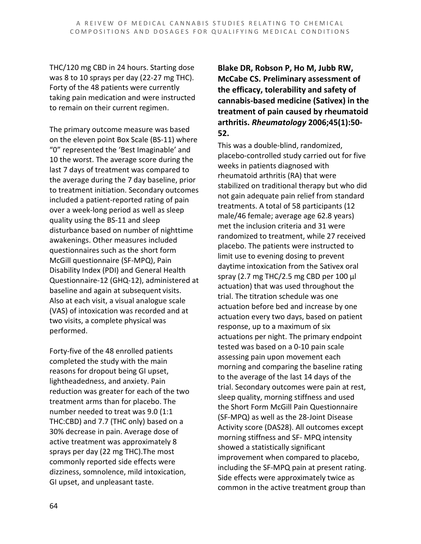THC/120 mg CBD in 24 hours. Starting dose was 8 to 10 sprays per day (22-27 mg THC). Forty of the 48 patients were currently taking pain medication and were instructed to remain on their current regimen.

The primary outcome measure was based on the eleven point Box Scale (BS-11) where "0" represented the 'Best Imaginable' and 10 the worst. The average score during the last 7 days of treatment was compared to the average during the 7 day baseline, prior to treatment initiation. Secondary outcomes included a patient-reported rating of pain over a week-long period as well as sleep quality using the BS-11 and sleep disturbance based on number of nighttime awakenings. Other measures included questionnaires such as the short form McGill questionnaire (SF-MPQ), Pain Disability Index (PDI) and General Health Questionnaire-12 (GHQ-12), administered at baseline and again at subsequent visits. Also at each visit, a visual analogue scale (VAS) of intoxication was recorded and at two visits, a complete physical was performed.

Forty-five of the 48 enrolled patients completed the study with the main reasons for dropout being GI upset, lightheadedness, and anxiety. Pain reduction was greater for each of the two treatment arms than for placebo. The number needed to treat was 9.0 (1:1 THC:CBD) and 7.7 (THC only) based on a 30% decrease in pain. Average dose of active treatment was approximately 8 sprays per day (22 mg THC).The most commonly reported side effects were dizziness, somnolence, mild intoxication, GI upset, and unpleasant taste.

**Blake DR, Robson P, Ho M, Jubb RW, McCabe CS. Preliminary assessment of the efficacy, tolerability and safety of cannabis-based medicine (Sativex) in the treatment of pain caused by rheumatoid arthritis.** *Rheumatology* **2006;45(1):50- 52.**

This was a double-blind, randomized, placebo-controlled study carried out for five weeks in patients diagnosed with rheumatoid arthritis (RA) that were stabilized on traditional therapy but who did not gain adequate pain relief from standard treatments. A total of 58 participants (12 male/46 female; average age 62.8 years) met the inclusion criteria and 31 were randomized to treatment, while 27 received placebo. The patients were instructed to limit use to evening dosing to prevent daytime intoxication from the Sativex oral spray (2.7 mg THC/2.5 mg CBD per 100 μl actuation) that was used throughout the trial. The titration schedule was one actuation before bed and increase by one actuation every two days, based on patient response, up to a maximum of six actuations per night. The primary endpoint tested was based on a 0-10 pain scale assessing pain upon movement each morning and comparing the baseline rating to the average of the last 14 days of the trial. Secondary outcomes were pain at rest, sleep quality, morning stiffness and used the Short Form McGill Pain Questionnaire (SF-MPQ) as well as the 28-Joint Disease Activity score (DAS28). All outcomes except morning stiffness and SF- MPQ intensity showed a statistically significant improvement when compared to placebo, including the SF-MPQ pain at present rating. Side effects were approximately twice as common in the active treatment group than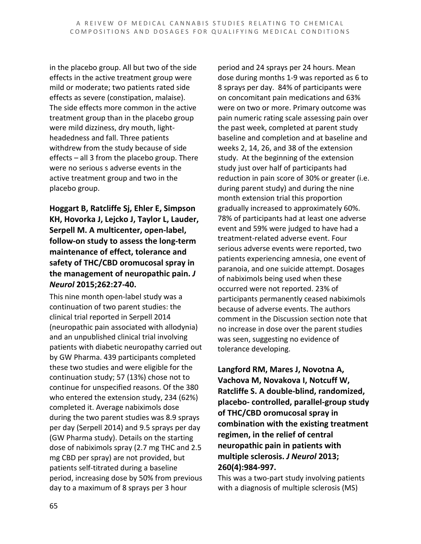in the placebo group. All but two of the side effects in the active treatment group were mild or moderate; two patients rated side effects as severe (constipation, malaise). The side effects more common in the active treatment group than in the placebo group were mild dizziness, dry mouth, lightheadedness and fall. Three patients withdrew from the study because of side effects – all 3 from the placebo group. There were no serious s adverse events in the active treatment group and two in the placebo group.

**Hoggart B, Ratcliffe Sj, Ehler E, Simpson KH, Hovorka J, Lejcko J, Taylor L, Lauder, Serpell M. A multicenter, open-label, follow-on study to assess the long-term maintenance of effect, tolerance and safety of THC/CBD oromucosal spray in the management of neuropathic pain.** *J Neurol* **2015;262:27-40.**

This nine month open-label study was a continuation of two parent studies: the clinical trial reported in Serpell 2014 (neuropathic pain associated with allodynia) and an unpublished clinical trial involving patients with diabetic neuropathy carried out by GW Pharma. 439 participants completed these two studies and were eligible for the continuation study; 57 (13%) chose not to continue for unspecified reasons. Of the 380 who entered the extension study, 234 (62%) completed it. Average nabiximols dose during the two parent studies was 8.9 sprays per day (Serpell 2014) and 9.5 sprays per day (GW Pharma study). Details on the starting dose of nabiximols spray (2.7 mg THC and 2.5 mg CBD per spray) are not provided, but patients self-titrated during a baseline period, increasing dose by 50% from previous day to a maximum of 8 sprays per 3 hour

period and 24 sprays per 24 hours. Mean dose during months 1-9 was reported as 6 to 8 sprays per day. 84% of participants were on concomitant pain medications and 63% were on two or more. Primary outcome was pain numeric rating scale assessing pain over the past week, completed at parent study baseline and completion and at baseline and weeks 2, 14, 26, and 38 of the extension study. At the beginning of the extension study just over half of participants had reduction in pain score of 30% or greater (i.e. during parent study) and during the nine month extension trial this proportion gradually increased to approximately 60%. 78% of participants had at least one adverse event and 59% were judged to have had a treatment-related adverse event. Four serious adverse events were reported, two patients experiencing amnesia, one event of paranoia, and one suicide attempt. Dosages of nabiximols being used when these occurred were not reported. 23% of participants permanently ceased nabiximols because of adverse events. The authors comment in the Discussion section note that no increase in dose over the parent studies was seen, suggesting no evidence of tolerance developing.

**Langford RM, Mares J, Novotna A, Vachova M, Novakova I, Notcuff W, Ratcliffe S. A double-blind, randomized, placebo- controlled, parallel-group study of THC/CBD oromucosal spray in combination with the existing treatment regimen, in the relief of central neuropathic pain in patients with multiple sclerosis.** *J Neurol* **2013; 260(4):984-997.**

This was a two-part study involving patients with a diagnosis of multiple sclerosis (MS)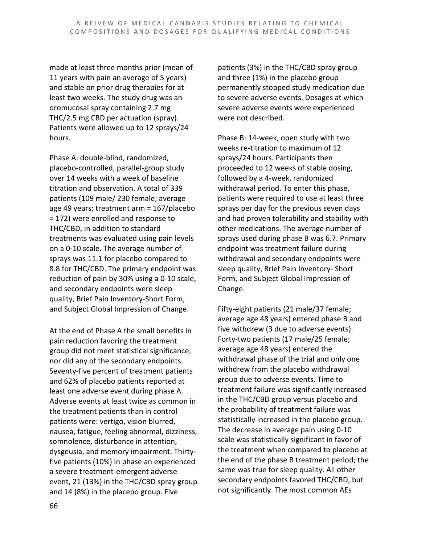made at least three months prior (mean of 11 years with pain an average of 5 years) and stable on prior drug therapies for at least two weeks. The study drug was an oromucosal spray containing 2.7 mg THC/2.5 mg CBD per actuation (spray). Patients were allowed up to 12 sprays/24 hours.

Phase A: double-blind, randomized, placebo-controlled, parallel-group study over 14 weeks with a week of baseline titration and observation. A total of 339 patients (109 male/ 230 female; average age 49 years; treatment arm = 167/placebo = 172) were enrolled and response to THC/CBD, in addition to standard treatments was evaluated using pain levels on a 0-10 scale. The average number of sprays was 11.1 for placebo compared to 8.8 for THC/CBD. The primary endpoint was reduction of pain by 30% using a 0-10 scale, and secondary endpoints were sleep quality, Brief Pain Inventory-Short Form, and Subject Global Impression of Change.

At the end of Phase A the small benefits in pain reduction favoring the treatment group did not meet statistical significance, nor did any of the secondary endpoints. Seventy-five percent of treatment patients and 62% of placebo patients reported at least one adverse event during phase A. Adverse events at least twice as common in the treatment patients than in control patients were: vertigo, vision blurred, nausea, fatigue, feeling abnormal, dizziness, somnolence, disturbance in attention, dysgeusia, and memory impairment. Thirtyfive patients (10%) in phase an experienced a severe treatment-emergent adverse event, 21 (13%) in the THC/CBD spray group and 14 (8%) in the placebo group. Five

patients (3%) in the THC/CBD spray group and three (1%) in the placebo group permanently stopped study medication due to severe adverse events. Dosages at which severe adverse events were experienced were not described.

Phase B: 14-week, open study with two weeks re-titration to maximum of 12 sprays/24 hours. Participants then proceeded to 12 weeks of stable dosing, followed by a 4-week, randomized withdrawal period. To enter this phase, patients were required to use at least three sprays per day for the previous seven days and had proven tolerability and stability with other medications. The average number of sprays used during phase B was 6.7. Primary endpoint was treatment failure during withdrawal and secondary endpoints were sleep quality, Brief Pain Inventory- Short Form, and Subject Global Impression of Change.

Fifty-eight patients (21 male/37 female; average age 48 years) entered phase B and five withdrew (3 due to adverse events). Forty-two patients (17 male/25 female; average age 48 years) entered the withdrawal phase of the trial and only one withdrew from the placebo withdrawal group due to adverse events. Time to treatment failure was significantly increased in the THC/CBD group versus placebo and the probability of treatment failure was statistically increased in the placebo group. The decrease in average pain using 0-10 scale was statistically significant in favor of the treatment when compared to placebo at the end of the phase B treatment period; the same was true for sleep quality. All other secondary endpoints favored THC/CBD, but not significantly. The most common AEs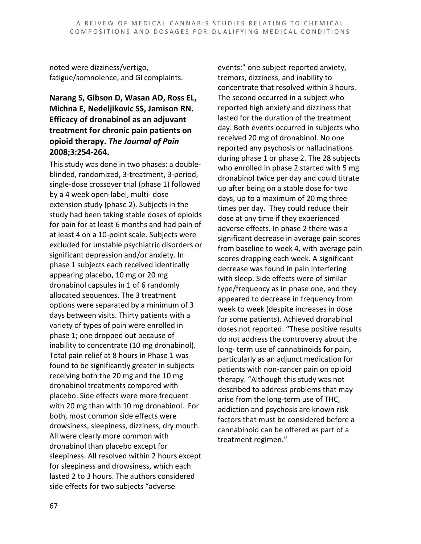noted were dizziness/vertigo, fatigue/somnolence, and GI complaints.

#### **Narang S, Gibson D, Wasan AD, Ross EL, Michna E, Nedeljikovic SS, Jamison RN. Efficacy of dronabinol as an adjuvant treatment for chronic pain patients on opioid therapy.** *The Journal of Pain*  **2008;3:254-264.**

This study was done in two phases: a doubleblinded, randomized, 3-treatment, 3-period, single-dose crossover trial (phase 1) followed by a 4 week open-label, multi- dose extension study (phase 2). Subjects in the study had been taking stable doses of opioids for pain for at least 6 months and had pain of at least 4 on a 10-point scale. Subjects were excluded for unstable psychiatric disorders or significant depression and/or anxiety. In phase 1 subjects each received identically appearing placebo, 10 mg or 20 mg dronabinol capsules in 1 of 6 randomly allocated sequences. The 3 treatment options were separated by a minimum of 3 days between visits. Thirty patients with a variety of types of pain were enrolled in phase 1; one dropped out because of inability to concentrate (10 mg dronabinol). Total pain relief at 8 hours in Phase 1 was found to be significantly greater in subjects receiving both the 20 mg and the 10 mg dronabinol treatments compared with placebo. Side effects were more frequent with 20 mg than with 10 mg dronabinol. For both, most common side effects were drowsiness, sleepiness, dizziness, dry mouth. All were clearly more common with dronabinol than placebo except for sleepiness. All resolved within 2 hours except for sleepiness and drowsiness, which each lasted 2 to 3 hours. The authors considered side effects for two subjects "adverse

events:" one subject reported anxiety, tremors, dizziness, and inability to concentrate that resolved within 3 hours. The second occurred in a subject who reported high anxiety and dizziness that lasted for the duration of the treatment day. Both events occurred in subjects who received 20 mg of dronabinol. No one reported any psychosis or hallucinations during phase 1 or phase 2. The 28 subjects who enrolled in phase 2 started with 5 mg dronabinol twice per day and could titrate up after being on a stable dose for two days, up to a maximum of 20 mg three times per day. They could reduce their dose at any time if they experienced adverse effects. In phase 2 there was a significant decrease in average pain scores from baseline to week 4, with average pain scores dropping each week. A significant decrease was found in pain interfering with sleep. Side effects were of similar type/frequency as in phase one, and they appeared to decrease in frequency from week to week (despite increases in dose for some patients). Achieved dronabinol doses not reported. "These positive results do not address the controversy about the long- term use of cannabinoids for pain, particularly as an adjunct medication for patients with non-cancer pain on opioid therapy. "Although this study was not described to address problems that may arise from the long-term use of THC, addiction and psychosis are known risk factors that must be considered before a cannabinoid can be offered as part of a treatment regimen."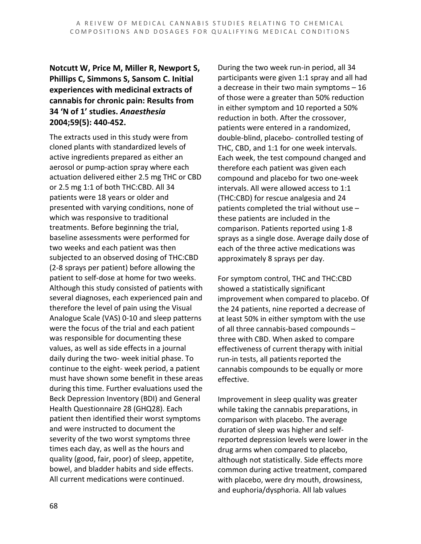#### **Notcutt W, Price M, Miller R, Newport S, Phillips C, Simmons S, Sansom C. Initial experiences with medicinal extracts of cannabis for chronic pain: Results from 34 'N of 1' studies.** *Anaesthesia*  **2004;59(5): 440-452.**

The extracts used in this study were from cloned plants with standardized levels of active ingredients prepared as either an aerosol or pump-action spray where each actuation delivered either 2.5 mg THC or CBD or 2.5 mg 1:1 of both THC:CBD. All 34 patients were 18 years or older and presented with varying conditions, none of which was responsive to traditional treatments. Before beginning the trial, baseline assessments were performed for two weeks and each patient was then subjected to an observed dosing of THC:CBD (2-8 sprays per patient) before allowing the patient to self-dose at home for two weeks. Although this study consisted of patients with several diagnoses, each experienced pain and therefore the level of pain using the Visual Analogue Scale (VAS) 0-10 and sleep patterns were the focus of the trial and each patient was responsible for documenting these values, as well as side effects in a journal daily during the two- week initial phase. To continue to the eight- week period, a patient must have shown some benefit in these areas during this time. Further evaluations used the Beck Depression Inventory (BDI) and General Health Questionnaire 28 (GHQ28). Each patient then identified their worst symptoms and were instructed to document the severity of the two worst symptoms three times each day, as well as the hours and quality (good, fair, poor) of sleep, appetite, bowel, and bladder habits and side effects. All current medications were continued.

During the two week run-in period, all 34 participants were given 1:1 spray and all had a decrease in their two main symptoms – 16 of those were a greater than 50% reduction in either symptom and 10 reported a 50% reduction in both. After the crossover, patients were entered in a randomized, double-blind, placebo- controlled testing of THC, CBD, and 1:1 for one week intervals. Each week, the test compound changed and therefore each patient was given each compound and placebo for two one-week intervals. All were allowed access to 1:1 (THC:CBD) for rescue analgesia and 24 patients completed the trial without use – these patients are included in the comparison. Patients reported using 1-8 sprays as a single dose. Average daily dose of each of the three active medications was approximately 8 sprays per day.

For symptom control, THC and THC:CBD showed a statistically significant improvement when compared to placebo. Of the 24 patients, nine reported a decrease of at least 50% in either symptom with the use of all three cannabis-based compounds – three with CBD. When asked to compare effectiveness of current therapy with initial run-in tests, all patients reported the cannabis compounds to be equally or more effective.

Improvement in sleep quality was greater while taking the cannabis preparations, in comparison with placebo. The average duration of sleep was higher and selfreported depression levels were lower in the drug arms when compared to placebo, although not statistically. Side effects more common during active treatment, compared with placebo, were dry mouth, drowsiness, and euphoria/dysphoria. All lab values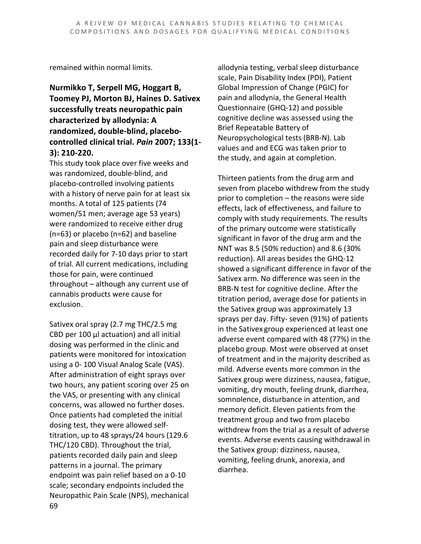remained within normal limits.

#### **Nurmikko T, Serpell MG, Hoggart B, Toomey PJ, Morton BJ, Haines D. Sativex successfully treats neuropathic pain characterized by allodynia: A randomized, double-blind, placebocontrolled clinical trial.** *Pain* **2007; 133(1- 3): 210-220.**

This study took place over five weeks and was randomized, double-blind, and placebo-controlled involving patients with a history of nerve pain for at least six months. A total of 125 patients (74 women/51 men; average age 53 years) were randomized to receive either drug (n=63) or placebo (n=62) and baseline pain and sleep disturbance were recorded daily for 7-10 days prior to start of trial. All current medications, including those for pain, were continued throughout – although any current use of cannabis products were cause for exclusion.

69 Sativex oral spray (2.7 mg THC/2.5 mg CBD per 100 μl actuation) and all initial dosing was performed in the clinic and patients were monitored for intoxication using a 0- 100 Visual Analog Scale (VAS). After administration of eight sprays over two hours, any patient scoring over 25 on the VAS, or presenting with any clinical concerns, was allowed no further doses. Once patients had completed the initial dosing test, they were allowed selftitration, up to 48 sprays/24 hours (129.6 THC/120 CBD). Throughout the trial, patients recorded daily pain and sleep patterns in a journal. The primary endpoint was pain relief based on a 0-10 scale; secondary endpoints included the Neuropathic Pain Scale (NPS), mechanical

allodynia testing, verbal sleep disturbance scale, Pain Disability Index (PDI), Patient Global Impression of Change (PGIC) for pain and allodynia, the General Health Questionnaire (GHQ-12) and possible cognitive decline was assessed using the Brief Repeatable Battery of Neuropsychological tests (BRB-N). Lab values and and ECG was taken prior to the study, and again at completion.

Thirteen patients from the drug arm and seven from placebo withdrew from the study prior to completion – the reasons were side effects, lack of effectiveness, and failure to comply with study requirements. The results of the primary outcome were statistically significant in favor of the drug arm and the NNT was 8.5 (50% reduction) and 8.6 (30% reduction). All areas besides the GHQ-12 showed a significant difference in favor of the Sativex arm. No difference was seen in the BRB-N test for cognitive decline. After the titration period, average dose for patients in the Sativex group was approximately 13 sprays per day. Fifty- seven (91%) of patients in the Sativex group experienced at least one adverse event compared with 48 (77%) in the placebo group. Most were observed at onset of treatment and in the majority described as mild. Adverse events more common in the Sativex group were dizziness, nausea, fatigue, vomiting, dry mouth, feeling drunk, diarrhea, somnolence, disturbance in attention, and memory deficit. Eleven patients from the treatment group and two from placebo withdrew from the trial as a result of adverse events. Adverse events causing withdrawal in the Sativex group: dizziness, nausea, vomiting, feeling drunk, anorexia, and diarrhea.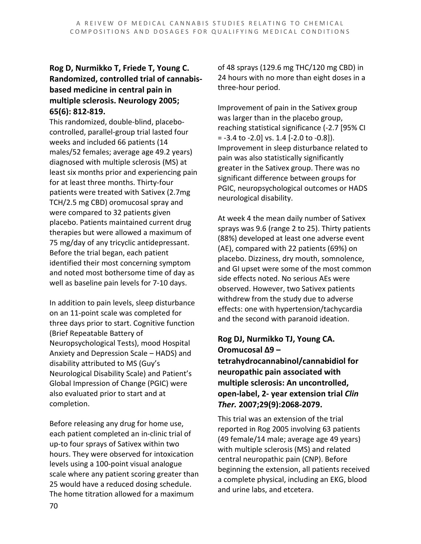#### **Rog D, Nurmikko T, Friede T, Young C. Randomized, controlled trial of cannabisbased medicine in central pain in multiple sclerosis. Neurology 2005; 65(6): 812-819.**

This randomized, double-blind, placebocontrolled, parallel-group trial lasted four weeks and included 66 patients (14 males/52 females; average age 49.2 years) diagnosed with multiple sclerosis (MS) at least six months prior and experiencing pain for at least three months. Thirty-four patients were treated with Sativex (2.7mg TCH/2.5 mg CBD) oromucosal spray and were compared to 32 patients given placebo. Patients maintained current drug therapies but were allowed a maximum of 75 mg/day of any tricyclic antidepressant. Before the trial began, each patient identified their most concerning symptom and noted most bothersome time of day as well as baseline pain levels for 7-10 days.

In addition to pain levels, sleep disturbance on an 11-point scale was completed for three days prior to start. Cognitive function (Brief Repeatable Battery of Neuropsychological Tests), mood Hospital Anxiety and Depression Scale – HADS) and disability attributed to MS (Guy's Neurological Disability Scale) and Patient's Global Impression of Change (PGIC) were also evaluated prior to start and at completion.

Before releasing any drug for home use, each patient completed an in-clinic trial of up-to four sprays of Sativex within two hours. They were observed for intoxication levels using a 100-point visual analogue scale where any patient scoring greater than 25 would have a reduced dosing schedule. The home titration allowed for a maximum

of 48 sprays (129.6 mg THC/120 mg CBD) in 24 hours with no more than eight doses in a three-hour period.

Improvement of pain in the Sativex group was larger than in the placebo group, reaching statistical significance (-2.7 [95% CI  $= -3.4$  to  $-2.0$ ] vs. 1.4 [ $-2.0$  to  $-0.8$ ]). Improvement in sleep disturbance related to pain was also statistically significantly greater in the Sativex group. There was no significant difference between groups for PGIC, neuropsychological outcomes or HADS neurological disability.

At week 4 the mean daily number of Sativex sprays was 9.6 (range 2 to 25). Thirty patients (88%) developed at least one adverse event (AE), compared with 22 patients (69%) on placebo. Dizziness, dry mouth, somnolence, and GI upset were some of the most common side effects noted. No serious AEs were observed. However, two Sativex patients withdrew from the study due to adverse effects: one with hypertension/tachycardia and the second with paranoid ideation.

#### **Rog DJ, Nurmikko TJ, Young CA. Oromucosal Δ9 –**

**tetrahydrocannabinol/cannabidiol for neuropathic pain associated with multiple sclerosis: An uncontrolled, open-label, 2- year extension trial** *Clin Ther.* **2007;29(9):2068-2079.**

This trial was an extension of the trial reported in Rog 2005 involving 63 patients (49 female/14 male; average age 49 years) with multiple sclerosis (MS) and related central neuropathic pain (CNP). Before beginning the extension, all patients received a complete physical, including an EKG, blood and urine labs, and etcetera.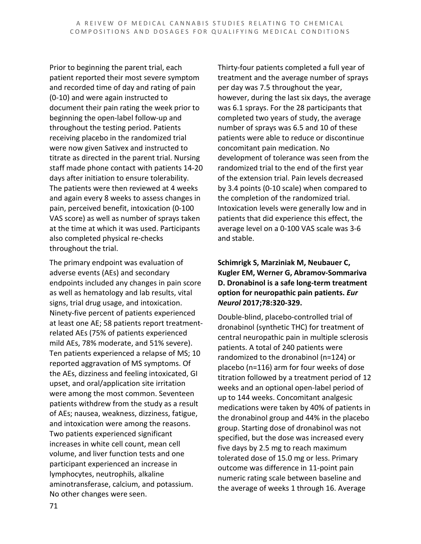Prior to beginning the parent trial, each patient reported their most severe symptom and recorded time of day and rating of pain (0-10) and were again instructed to document their pain rating the week prior to beginning the open-label follow-up and throughout the testing period. Patients receiving placebo in the randomized trial were now given Sativex and instructed to titrate as directed in the parent trial. Nursing staff made phone contact with patients 14-20 days after initiation to ensure tolerability. The patients were then reviewed at 4 weeks and again every 8 weeks to assess changes in pain, perceived benefit, intoxication (0-100 VAS score) as well as number of sprays taken at the time at which it was used. Participants also completed physical re-checks throughout the trial.

The primary endpoint was evaluation of adverse events (AEs) and secondary endpoints included any changes in pain score as well as hematology and lab results, vital signs, trial drug usage, and intoxication. Ninety-five percent of patients experienced at least one AE; 58 patients report treatmentrelated AEs (75% of patients experienced mild AEs, 78% moderate, and 51% severe). Ten patients experienced a relapse of MS; 10 reported aggravation of MS symptoms. Of the AEs, dizziness and feeling intoxicated, GI upset, and oral/application site irritation were among the most common. Seventeen patients withdrew from the study as a result of AEs; nausea, weakness, dizziness, fatigue, and intoxication were among the reasons. Two patients experienced significant increases in white cell count, mean cell volume, and liver function tests and one participant experienced an increase in lymphocytes, neutrophils, alkaline aminotransferase, calcium, and potassium. No other changes were seen.

Thirty-four patients completed a full year of treatment and the average number of sprays per day was 7.5 throughout the year, however, during the last six days, the average was 6.1 sprays. For the 28 participants that completed two years of study, the average number of sprays was 6.5 and 10 of these patients were able to reduce or discontinue concomitant pain medication. No development of tolerance was seen from the randomized trial to the end of the first year of the extension trial. Pain levels decreased by 3.4 points (0-10 scale) when compared to the completion of the randomized trial. Intoxication levels were generally low and in patients that did experience this effect, the average level on a 0-100 VAS scale was 3-6 and stable.

#### **Schimrigk S, Marziniak M, Neubauer C, Kugler EM, Werner G, Abramov-Sommariva D. Dronabinol is a safe long-term treatment option for neuropathic pain patients.** *Eur Neurol* **2017;78:320-329.**

Double-blind, placebo-controlled trial of dronabinol (synthetic THC) for treatment of central neuropathic pain in multiple sclerosis patients. A total of 240 patients were randomized to the dronabinol (n=124) or placebo (n=116) arm for four weeks of dose titration followed by a treatment period of 12 weeks and an optional open-label period of up to 144 weeks. Concomitant analgesic medications were taken by 40% of patients in the dronabinol group and 44% in the placebo group. Starting dose of dronabinol was not specified, but the dose was increased every five days by 2.5 mg to reach maximum tolerated dose of 15.0 mg or less. Primary outcome was difference in 11-point pain numeric rating scale between baseline and the average of weeks 1 through 16. Average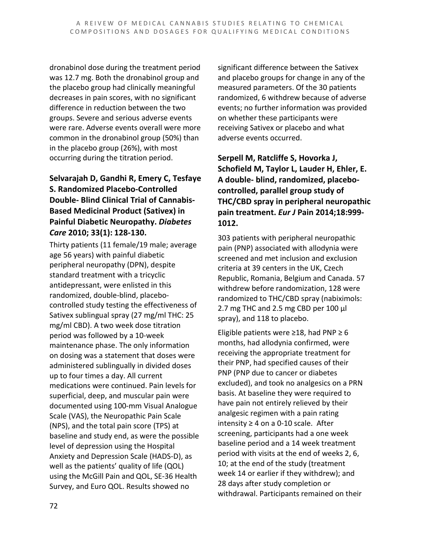dronabinol dose during the treatment period was 12.7 mg. Both the dronabinol group and the placebo group had clinically meaningful decreases in pain scores, with no significant difference in reduction between the two groups. Severe and serious adverse events were rare. Adverse events overall were more common in the dronabinol group (50%) than in the placebo group (26%), with most occurring during the titration period.

#### **Selvarajah D, Gandhi R, Emery C, Tesfaye S. Randomized Placebo-Controlled Double- Blind Clinical Trial of Cannabis-Based Medicinal Product (Sativex) in Painful Diabetic Neuropathy.** *Diabetes Care* **2010; 33(1): 128-130.**

Thirty patients (11 female/19 male; average age 56 years) with painful diabetic peripheral neuropathy (DPN), despite standard treatment with a tricyclic antidepressant, were enlisted in this randomized, double-blind, placebocontrolled study testing the effectiveness of Sativex sublingual spray (27 mg/ml THC: 25 mg/ml CBD). A two week dose titration period was followed by a 10-week maintenance phase. The only information on dosing was a statement that doses were administered sublingually in divided doses up to four times a day. All current medications were continued. Pain levels for superficial, deep, and muscular pain were documented using 100-mm Visual Analogue Scale (VAS), the Neuropathic Pain Scale (NPS), and the total pain score (TPS) at baseline and study end, as were the possible level of depression using the Hospital Anxiety and Depression Scale (HADS-D), as well as the patients' quality of life (QOL) using the McGill Pain and QOL, SE-36 Health Survey, and Euro QOL. Results showed no

significant difference between the Sativex and placebo groups for change in any of the measured parameters. Of the 30 patients randomized, 6 withdrew because of adverse events; no further information was provided on whether these participants were receiving Sativex or placebo and what adverse events occurred.

**Serpell M, Ratcliffe S, Hovorka J, Schofield M, Taylor L, Lauder H, Ehler, E. A double- blind, randomized, placebocontrolled, parallel group study of THC/CBD spray in peripheral neuropathic pain treatment.** *Eur J* **Pain 2014;18:999- 1012.**

303 patients with peripheral neuropathic pain (PNP) associated with allodynia were screened and met inclusion and exclusion criteria at 39 centers in the UK, Czech Republic, Romania, Belgium and Canada. 57 withdrew before randomization, 128 were randomized to THC/CBD spray (nabiximols: 2.7 mg THC and 2.5 mg CBD per 100 µl spray), and 118 to placebo.

Eligible patients were  $\geq$ 18, had PNP  $\geq$  6 months, had allodynia confirmed, were receiving the appropriate treatment for their PNP, had specified causes of their PNP (PNP due to cancer or diabetes excluded), and took no analgesics on a PRN basis. At baseline they were required to have pain not entirely relieved by their analgesic regimen with a pain rating intensity ≥ 4 on a 0-10 scale. After screening, participants had a one week baseline period and a 14 week treatment period with visits at the end of weeks 2, 6, 10; at the end of the study (treatment week 14 or earlier if they withdrew); and 28 days after study completion or withdrawal. Participants remained on their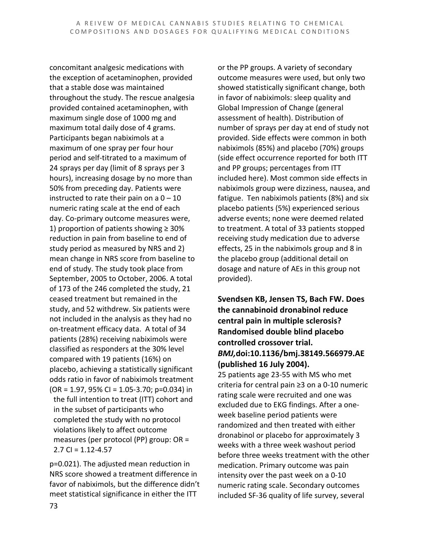concomitant analgesic medications with the exception of acetaminophen, provided that a stable dose was maintained throughout the study. The rescue analgesia provided contained acetaminophen, with maximum single dose of 1000 mg and maximum total daily dose of 4 grams. Participants began nabiximols at a maximum of one spray per four hour period and self-titrated to a maximum of 24 sprays per day (limit of 8 sprays per 3 hours), increasing dosage by no more than 50% from preceding day. Patients were instructed to rate their pain on a  $0 - 10$ numeric rating scale at the end of each day. Co-primary outcome measures were, 1) proportion of patients showing ≥ 30% reduction in pain from baseline to end of study period as measured by NRS and 2) mean change in NRS score from baseline to end of study. The study took place from September, 2005 to October, 2006. A total of 173 of the 246 completed the study, 21 ceased treatment but remained in the study, and 52 withdrew. Six patients were not included in the analysis as they had no on-treatment efficacy data. A total of 34 patients (28%) receiving nabiximols were classified as responders at the 30% level compared with 19 patients (16%) on placebo, achieving a statistically significant odds ratio in favor of nabiximols treatment  $(OR = 1.97, 95\% CI = 1.05-3.70; p=0.034)$  in the full intention to treat (ITT) cohort and in the subset of participants who completed the study with no protocol violations likely to affect outcome measures (per protocol (PP) group: OR = 2.7 CI =  $1.12 - 4.57$ 

p=0.021). The adjusted mean reduction in NRS score showed a treatment difference in favor of nabiximols, but the difference didn't meet statistical significance in either the ITT

or the PP groups. A variety of secondary outcome measures were used, but only two showed statistically significant change, both in favor of nabiximols: sleep quality and Global Impression of Change (general assessment of health). Distribution of number of sprays per day at end of study not provided. Side effects were common in both nabiximols (85%) and placebo (70%) groups (side effect occurrence reported for both ITT and PP groups; percentages from ITT included here). Most common side effects in nabiximols group were dizziness, nausea, and fatigue. Ten nabiximols patients (8%) and six placebo patients (5%) experienced serious adverse events; none were deemed related to treatment. A total of 33 patients stopped receiving study medication due to adverse effects, 25 in the nabiximols group and 8 in the placebo group (additional detail on dosage and nature of AEs in this group not provided).

#### **Svendsen KB, Jensen TS, Bach FW. Does the cannabinoid dronabinol reduce central pain in multiple sclerosis? Randomised double blind placebo controlled crossover trial.**  *BMJ,***doi:10.1136/bmj.38149.566979.AE (published 16 July 2004).**

25 patients age 23-55 with MS who met criteria for central pain ≥3 on a 0-10 numeric rating scale were recruited and one was excluded due to EKG findings. After a oneweek baseline period patients were randomized and then treated with either dronabinol or placebo for approximately 3 weeks with a three week washout period before three weeks treatment with the other medication. Primary outcome was pain intensity over the past week on a 0-10 numeric rating scale. Secondary outcomes included SF-36 quality of life survey, several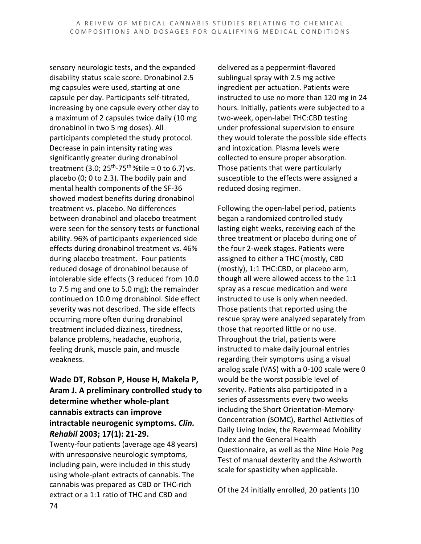sensory neurologic tests, and the expanded disability status scale score. Dronabinol 2.5 mg capsules were used, starting at one capsule per day. Participants self-titrated, increasing by one capsule every other day to a maximum of 2 capsules twice daily (10 mg dronabinol in two 5 mg doses). All participants completed the study protocol. Decrease in pain intensity rating was significantly greater during dronabinol treatment (3.0;  $25^{th}$ -75<sup>th</sup> %tile = 0 to 6.7) vs. placebo (0; 0 to 2.3). The bodily pain and mental health components of the SF-36 showed modest benefits during dronabinol treatment vs. placebo. No differences between dronabinol and placebo treatment were seen for the sensory tests or functional ability. 96% of participants experienced side effects during dronabinol treatment vs. 46% during placebo treatment. Four patients reduced dosage of dronabinol because of intolerable side effects (3 reduced from 10.0 to 7.5 mg and one to 5.0 mg); the remainder continued on 10.0 mg dronabinol. Side effect severity was not described. The side effects occurring more often during dronabinol treatment included dizziness, tiredness, balance problems, headache, euphoria, feeling drunk, muscle pain, and muscle weakness.

### **Wade DT, Robson P, House H, Makela P, Aram J. A preliminary controlled study to determine whether whole-plant cannabis extracts can improve intractable neurogenic symptoms.** *Clin. Rehabil* **2003; 17(1): 21-29.**

Twenty-four patients (average age 48 years) with unresponsive neurologic symptoms, including pain, were included in this study using whole-plant extracts of cannabis. The cannabis was prepared as CBD or THC-rich extract or a 1:1 ratio of THC and CBD and

delivered as a peppermint-flavored sublingual spray with 2.5 mg active ingredient per actuation. Patients were instructed to use no more than 120 mg in 24 hours. Initially, patients were subjected to a two-week, open-label THC:CBD testing under professional supervision to ensure they would tolerate the possible side effects and intoxication. Plasma levels were collected to ensure proper absorption. Those patients that were particularly susceptible to the effects were assigned a reduced dosing regimen.

Following the open-label period, patients began a randomized controlled study lasting eight weeks, receiving each of the three treatment or placebo during one of the four 2-week stages. Patients were assigned to either a THC (mostly, CBD (mostly), 1:1 THC:CBD, or placebo arm, though all were allowed access to the 1:1 spray as a rescue medication and were instructed to use is only when needed. Those patients that reported using the rescue spray were analyzed separately from those that reported little or no use. Throughout the trial, patients were instructed to make daily journal entries regarding their symptoms using a visual analog scale (VAS) with a 0-100 scale were 0 would be the worst possible level of severity. Patients also participated in a series of assessments every two weeks including the Short Orientation-Memory-Concentration (SOMC), Barthel Activities of Daily Living Index, the Revermead Mobility Index and the General Health Questionnaire, as well as the Nine Hole Peg Test of manual dexterity and the Ashworth scale for spasticity when applicable.

Of the 24 initially enrolled, 20 patients (10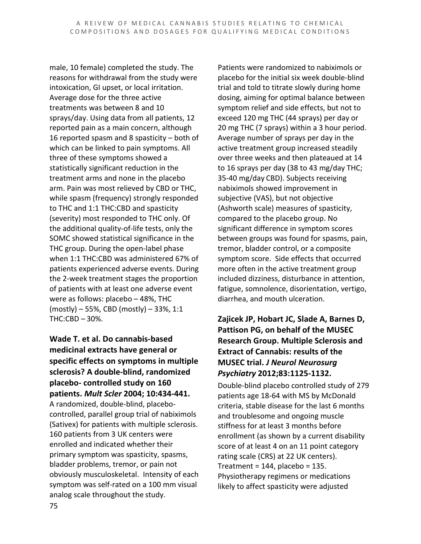male, 10 female) completed the study. The reasons for withdrawal from the study were intoxication, GI upset, or local irritation. Average dose for the three active treatments was between 8 and 10 sprays/day. Using data from all patients, 12 reported pain as a main concern, although 16 reported spasm and 8 spasticity – both of which can be linked to pain symptoms. All three of these symptoms showed a statistically significant reduction in the treatment arms and none in the placebo arm. Pain was most relieved by CBD or THC, while spasm (frequency) strongly responded to THC and 1:1 THC:CBD and spasticity (severity) most responded to THC only. Of the additional quality-of-life tests, only the SOMC showed statistical significance in the THC group. During the open-label phase when 1:1 THC:CBD was administered 67% of patients experienced adverse events. During the 2-week treatment stages the proportion of patients with at least one adverse event were as follows: placebo – 48%, THC (mostly) – 55%, CBD (mostly) – 33%, 1:1 THC:CBD – 30%.

#### **Wade T. et al. Do cannabis-based medicinal extracts have general or specific effects on symptoms in multiple sclerosis? A double-blind, randomized placebo- controlled study on 160 patients.** *Mult Scler* **2004; 10:434-441.**

A randomized, double-blind, placebocontrolled, parallel group trial of nabiximols (Sativex) for patients with multiple sclerosis. 160 patients from 3 UK centers were enrolled and indicated whether their primary symptom was spasticity, spasms, bladder problems, tremor, or pain not obviously musculoskeletal. Intensity of each symptom was self-rated on a 100 mm visual analog scale throughout the study.

Patients were randomized to nabiximols or placebo for the initial six week double-blind trial and told to titrate slowly during home dosing, aiming for optimal balance between symptom relief and side effects, but not to exceed 120 mg THC (44 sprays) per day or 20 mg THC (7 sprays) within a 3 hour period. Average number of sprays per day in the active treatment group increased steadily over three weeks and then plateaued at 14 to 16 sprays per day (38 to 43 mg/day THC; 35-40 mg/day CBD). Subjects receiving nabiximols showed improvement in subjective (VAS), but not objective (Ashworth scale) measures of spasticity, compared to the placebo group. No significant difference in symptom scores between groups was found for spasms, pain, tremor, bladder control, or a composite symptom score. Side effects that occurred more often in the active treatment group included dizziness, disturbance in attention, fatigue, somnolence, disorientation, vertigo, diarrhea, and mouth ulceration.

## **Zajicek JP, Hobart JC, Slade A, Barnes D, Pattison PG, on behalf of the MUSEC Research Group. Multiple Sclerosis and Extract of Cannabis: results of the MUSEC trial.** *J Neurol Neurosurg Psychiatry* **2012;83:1125-1132.**

Double-blind placebo controlled study of 279 patients age 18-64 with MS by McDonald criteria, stable disease for the last 6 months and troublesome and ongoing muscle stiffness for at least 3 months before enrollment (as shown by a current disability score of at least 4 on an 11 point category rating scale (CRS) at 22 UK centers). Treatment =  $144$ , placebo =  $135$ . Physiotherapy regimens or medications likely to affect spasticity were adjusted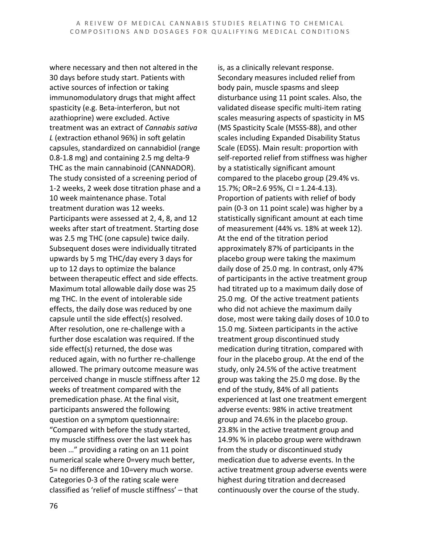where necessary and then not altered in the 30 days before study start. Patients with active sources of infection or taking immunomodulatory drugs that might affect spasticity (e.g. Beta-interferon, but not azathioprine) were excluded. Active treatment was an extract of *Cannabis sativa L* (extraction ethanol 96%) in soft gelatin capsules, standardized on cannabidiol (range 0.8-1.8 mg) and containing 2.5 mg delta-9 THC as the main cannabinoid (CANNADOR). The study consisted of a screening period of 1-2 weeks, 2 week dose titration phase and a 10 week maintenance phase. Total treatment duration was 12 weeks. Participants were assessed at 2, 4, 8, and 12 weeks after start of treatment. Starting dose was 2.5 mg THC (one capsule) twice daily. Subsequent doses were individually titrated upwards by 5 mg THC/day every 3 days for up to 12 days to optimize the balance between therapeutic effect and side effects. Maximum total allowable daily dose was 25 mg THC. In the event of intolerable side effects, the daily dose was reduced by one capsule until the side effect(s) resolved. After resolution, one re-challenge with a further dose escalation was required. If the side effect(s) returned, the dose was reduced again, with no further re-challenge allowed. The primary outcome measure was perceived change in muscle stiffness after 12 weeks of treatment compared with the premedication phase. At the final visit, participants answered the following question on a symptom questionnaire: "Compared with before the study started, my muscle stiffness over the last week has been …" providing a rating on an 11 point numerical scale where 0=very much better, 5= no difference and 10=very much worse. Categories 0-3 of the rating scale were classified as 'relief of muscle stiffness' – that

is, as a clinically relevant response. Secondary measures included relief from body pain, muscle spasms and sleep disturbance using 11 point scales. Also, the validated disease specific multi-item rating scales measuring aspects of spasticity in MS (MS Spasticity Scale (MSSS-88), and other scales including Expanded Disability Status Scale (EDSS). Main result: proportion with self-reported relief from stiffness was higher by a statistically significant amount compared to the placebo group (29.4% vs. 15.7%; OR=2.6 95%, CI = 1.24-4.13). Proportion of patients with relief of body pain (0-3 on 11 point scale) was higher by a statistically significant amount at each time of measurement (44% vs. 18% at week 12). At the end of the titration period approximately 87% of participants in the placebo group were taking the maximum daily dose of 25.0 mg. In contrast, only 47% of participants in the active treatment group had titrated up to a maximum daily dose of 25.0 mg. Of the active treatment patients who did not achieve the maximum daily dose, most were taking daily doses of 10.0 to 15.0 mg. Sixteen participants in the active treatment group discontinued study medication during titration, compared with four in the placebo group. At the end of the study, only 24.5% of the active treatment group was taking the 25.0 mg dose. By the end of the study, 84% of all patients experienced at last one treatment emergent adverse events: 98% in active treatment group and 74.6% in the placebo group. 23.8% in the active treatment group and 14.9% % in placebo group were withdrawn from the study or discontinued study medication due to adverse events. In the active treatment group adverse events were highest during titration and decreased continuously over the course of the study.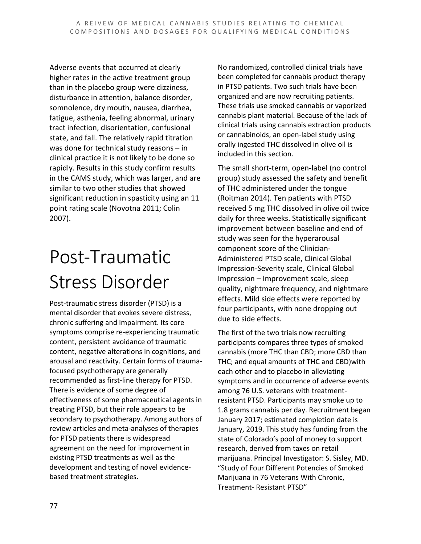Adverse events that occurred at clearly higher rates in the active treatment group than in the placebo group were dizziness, disturbance in attention, balance disorder, somnolence, dry mouth, nausea, diarrhea, fatigue, asthenia, feeling abnormal, urinary tract infection, disorientation, confusional state, and fall. The relatively rapid titration was done for technical study reasons – in clinical practice it is not likely to be done so rapidly. Results in this study confirm results in the CAMS study, which was larger, and are similar to two other studies that showed significant reduction in spasticity using an 11 point rating scale (Novotna 2011; Colin 2007).

# Post-Traumatic Stress Disorder

Post-traumatic stress disorder (PTSD) is a mental disorder that evokes severe distress, chronic suffering and impairment. Its core symptoms comprise re-experiencing traumatic content, persistent avoidance of traumatic content, negative alterations in cognitions, and arousal and reactivity. Certain forms of traumafocused psychotherapy are generally recommended as first-line therapy for PTSD. There is evidence of some degree of effectiveness of some pharmaceutical agents in treating PTSD, but their role appears to be secondary to psychotherapy. Among authors of review articles and meta-analyses of therapies for PTSD patients there is widespread agreement on the need for improvement in existing PTSD treatments as well as the development and testing of novel evidencebased treatment strategies.

No randomized, controlled clinical trials have been completed for cannabis product therapy in PTSD patients. Two such trials have been organized and are now recruiting patients. These trials use smoked cannabis or vaporized cannabis plant material. Because of the lack of clinical trials using cannabis extraction products or cannabinoids, an open-label study using orally ingested THC dissolved in olive oil is included in this section.

The small short-term, open-label (no control group) study assessed the safety and benefit of THC administered under the tongue (Roitman 2014). Ten patients with PTSD received 5 mg THC dissolved in olive oil twice daily for three weeks. Statistically significant improvement between baseline and end of study was seen for the hyperarousal component score of the Clinician-Administered PTSD scale, Clinical Global Impression-Severity scale, Clinical Global Impression – Improvement scale, sleep quality, nightmare frequency, and nightmare effects. Mild side effects were reported by four participants, with none dropping out due to side effects.

The first of the two trials now recruiting participants compares three types of smoked cannabis (more THC than CBD; more CBD than THC; and equal amounts of THC and CBD)with each other and to placebo in alleviating symptoms and in occurrence of adverse events among 76 U.S. veterans with treatmentresistant PTSD. Participants may smoke up to 1.8 grams cannabis per day. Recruitment began January 2017; estimated completion date is January, 2019. This study has funding from the state of Colorado's pool of money to support research, derived from taxes on retail marijuana. Principal Investigator: S. Sisley, MD. "Study of Four Different Potencies of Smoked Marijuana in 76 Veterans With Chronic, Treatment- Resistant PTSD"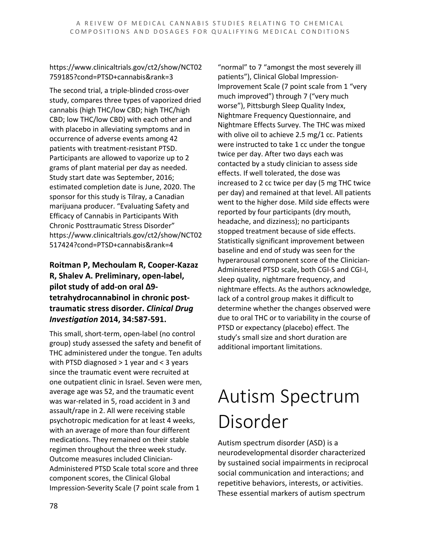https://www.clinicaltrials.gov/ct2/show/NCT02 759185?cond=PTSD+cannabis&rank=3

The second trial, a triple-blinded cross-over study, compares three types of vaporized dried cannabis (high THC/low CBD; high THC/high CBD; low THC/low CBD) with each other and with placebo in alleviating symptoms and in occurrence of adverse events among 42 patients with treatment-resistant PTSD. Participants are allowed to vaporize up to 2 grams of plant material per day as needed. Study start date was September, 2016; estimated completion date is June, 2020. The sponsor for this study is Tilray, a Canadian marijuana producer. "Evaluating Safety and Efficacy of Cannabis in Participants With Chronic Posttraumatic Stress Disorder" https://www.clinicaltrials.gov/ct2/show/NCT02 517424?cond=PTSD+cannabis&rank=4

### **Roitman P, Mechoulam R, Cooper-Kazaz R, Shalev A. Preliminary, open-label, pilot study of add-on oral Δ9 tetrahydrocannabinol in chronic posttraumatic stress disorder.** *Clinical Drug Investigation* **2014, 34:587-591.**

This small, short-term, open-label (no control group) study assessed the safety and benefit of THC administered under the tongue. Ten adults with PTSD diagnosed > 1 year and < 3 years since the traumatic event were recruited at one outpatient clinic in Israel. Seven were men, average age was 52, and the traumatic event was war-related in 5, road accident in 3 and assault/rape in 2. All were receiving stable psychotropic medication for at least 4 weeks, with an average of more than four different medications. They remained on their stable regimen throughout the three week study. Outcome measures included Clinician-Administered PTSD Scale total score and three component scores, the Clinical Global Impression-Severity Scale (7 point scale from 1

"normal" to 7 "amongst the most severely ill patients"), Clinical Global Impression-Improvement Scale (7 point scale from 1 "very much improved") through 7 ("very much worse"), Pittsburgh Sleep Quality Index, Nightmare Frequency Questionnaire, and Nightmare Effects Survey. The THC was mixed with olive oil to achieve 2.5 mg/1 cc. Patients were instructed to take 1 cc under the tongue twice per day. After two days each was contacted by a study clinician to assess side effects. If well tolerated, the dose was increased to 2 cc twice per day (5 mg THC twice per day) and remained at that level. All patients went to the higher dose. Mild side effects were reported by four participants (dry mouth, headache, and dizziness); no participants stopped treatment because of side effects. Statistically significant improvement between baseline and end of study was seen for the hyperarousal component score of the Clinician-Administered PTSD scale, both CGI-S and CGI-I, sleep quality, nightmare frequency, and nightmare effects. As the authors acknowledge, lack of a control group makes it difficult to determine whether the changes observed were due to oral THC or to variability in the course of PTSD or expectancy (placebo) effect. The study's small size and short duration are additional important limitations.

# Autism Spectrum Disorder

Autism spectrum disorder (ASD) is a neurodevelopmental disorder characterized by sustained social impairments in reciprocal social communication and interactions; and repetitive behaviors, interests, or activities. These essential markers of autism spectrum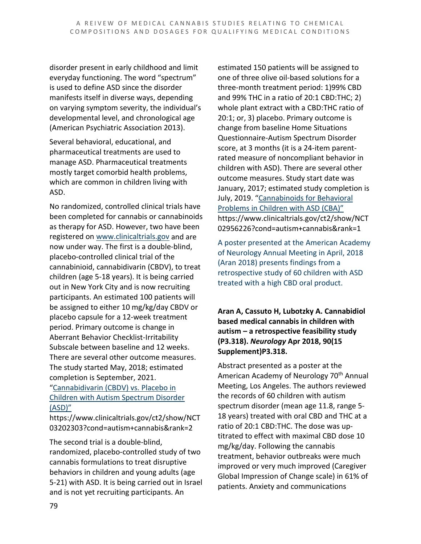disorder present in early childhood and limit everyday functioning. The word "spectrum" is used to define ASD since the disorder manifests itself in diverse ways, depending on varying symptom severity, the individual's developmental level, and chronological age (American Psychiatric Association 2013).

Several behavioral, educational, and pharmaceutical treatments are used to manage ASD. Pharmaceutical treatments mostly target comorbid health problems, which are common in children living with ASD.

No randomized, controlled clinical trials have been completed for cannabis or cannabinoids as therapy for ASD. However, two have been registered on [www.clinicaltrials.gov](http://www.clinicaltrials.gov/) and are now under way. The first is a double-blind, placebo-controlled clinical trial of the cannabinioid, cannabidivarin (CBDV), to treat children (age 5-18 years). It is being carried out in New York City and is now recruiting participants. An estimated 100 patients will be assigned to either 10 mg/kg/day CBDV or placebo capsule for a 12-week treatment period. Primary outcome is change in Aberrant Behavior Checklist-Irritability Subscale between baseline and 12 weeks. There are several other outcome measures. The study started May, 2018; estimated completion is September, 2021.

["Cannabidivarin \(CBDV\) vs. Placebo in](https://www.clinicaltrials.gov/ct2/show/NCT03202303?cond=autism+cannabis&rank=2)  [Children with Autism Spectrum Disorder](https://www.clinicaltrials.gov/ct2/show/NCT03202303?cond=autism+cannabis&rank=2)  [\(ASD\)"](https://www.clinicaltrials.gov/ct2/show/NCT03202303?cond=autism+cannabis&rank=2)

https://www.clinicaltrials.gov/ct2/show/NCT 03202303?cond=autism+cannabis&rank=2

The second trial is a double-blind, randomized, placebo-controlled study of two cannabis formulations to treat disruptive behaviors in children and young adults (age 5-21) with ASD. It is being carried out in Israel and is not yet recruiting participants. An

estimated 150 patients will be assigned to one of three olive oil-based solutions for a three-month treatment period: 1)99% CBD and 99% THC in a ratio of 20:1 CBD:THC; 2) whole plant extract with a CBD:THC ratio of 20:1; or, 3) placebo. Primary outcome is change from baseline Home Situations Questionnaire-Autism Spectrum Disorder score, at 3 months (it is a 24-item parentrated measure of noncompliant behavior in children with ASD). There are several other outcome measures. Study start date was January, 2017; estimated study completion is July, 2019. ["Cannabinoids for Behavioral](https://www.clinicaltrials.gov/ct2/show/NCT02956226?cond=autism+cannabis&rank=1)  [Problems in Children with ASD \(CBA\)"](https://www.clinicaltrials.gov/ct2/show/NCT02956226?cond=autism+cannabis&rank=1) https://www.clinicaltrials.gov/ct2/show/NCT 02956226?cond=autism+cannabis&rank=1

A poster presented at the American Academy of Neurology Annual Meeting in April, 2018 (Aran 2018) presents findings from a retrospective study of 60 children with ASD treated with a high CBD oral product.

**Aran A, Cassuto H, Lubotzky A. Cannabidiol based medical cannabis in children with autism – a retrospective feasibility study (P3.318).** *Neurology* **Apr 2018, 90(15 Supplement)P3.318.**

Abstract presented as a poster at the American Academy of Neurology 70<sup>th</sup> Annual Meeting, Los Angeles. The authors reviewed the records of 60 children with autism spectrum disorder (mean age 11.8, range 5- 18 years) treated with oral CBD and THC at a ratio of 20:1 CBD:THC. The dose was uptitrated to effect with maximal CBD dose 10 mg/kg/day. Following the cannabis treatment, behavior outbreaks were much improved or very much improved (Caregiver Global Impression of Change scale) in 61% of patients. Anxiety and communications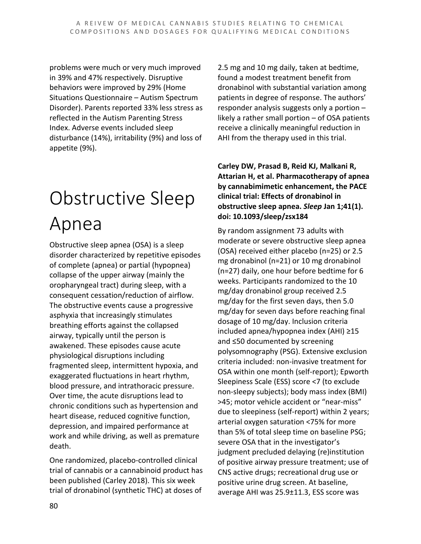problems were much or very much improved in 39% and 47% respectively. Disruptive behaviors were improved by 29% (Home Situations Questionnaire – Autism Spectrum Disorder). Parents reported 33% less stress as reflected in the Autism Parenting Stress Index. Adverse events included sleep disturbance (14%), irritability (9%) and loss of appetite (9%).

# Obstructive Sleep Apnea

Obstructive sleep apnea (OSA) is a sleep disorder characterized by repetitive episodes of complete (apnea) or partial (hypopnea) collapse of the upper airway (mainly the oropharyngeal tract) during sleep, with a consequent cessation/reduction of airflow. The obstructive events cause a progressive asphyxia that increasingly stimulates breathing efforts against the collapsed airway, typically until the person is awakened. These episodes cause acute physiological disruptions including fragmented sleep, intermittent hypoxia, and exaggerated fluctuations in heart rhythm, blood pressure, and intrathoracic pressure. Over time, the acute disruptions lead to chronic conditions such as hypertension and heart disease, reduced cognitive function, depression, and impaired performance at work and while driving, as well as premature death.

One randomized, placebo-controlled clinical trial of cannabis or a cannabinoid product has been published (Carley 2018). This six week trial of dronabinol (synthetic THC) at doses of

2.5 mg and 10 mg daily, taken at bedtime, found a modest treatment benefit from dronabinol with substantial variation among patients in degree of response. The authors' responder analysis suggests only a portion – likely a rather small portion – of OSA patients receive a clinically meaningful reduction in AHI from the therapy used in this trial.

**Carley DW, Prasad B, Reid KJ, Malkani R, Attarian H, et al. Pharmacotherapy of apnea by cannabimimetic enhancement, the PACE clinical trial: Effects of dronabinol in obstructive sleep apnea.** *Sleep* **Jan 1;41(1). doi: 10.1093/sleep/zsx184**

By random assignment 73 adults with moderate or severe obstructive sleep apnea (OSA) received either placebo (n=25) or 2.5 mg dronabinol (n=21) or 10 mg dronabinol (n=27) daily, one hour before bedtime for 6 weeks. Participants randomized to the 10 mg/day dronabinol group received 2.5 mg/day for the first seven days, then 5.0 mg/day for seven days before reaching final dosage of 10 mg/day. Inclusion criteria included apnea/hypopnea index (AHI) ≥15 and ≤50 documented by screening polysomnography (PSG). Extensive exclusion criteria included: non-invasive treatment for OSA within one month (self-report); Epworth Sleepiness Scale (ESS) score <7 (to exclude non-sleepy subjects); body mass index (BMI) >45; motor vehicle accident or "near-miss" due to sleepiness (self-report) within 2 years; arterial oxygen saturation <75% for more than 5% of total sleep time on baseline PSG; severe OSA that in the investigator's judgment precluded delaying (re)institution of positive airway pressure treatment; use of CNS active drugs; recreational drug use or positive urine drug screen. At baseline, average AHI was 25.9±11.3, ESS score was